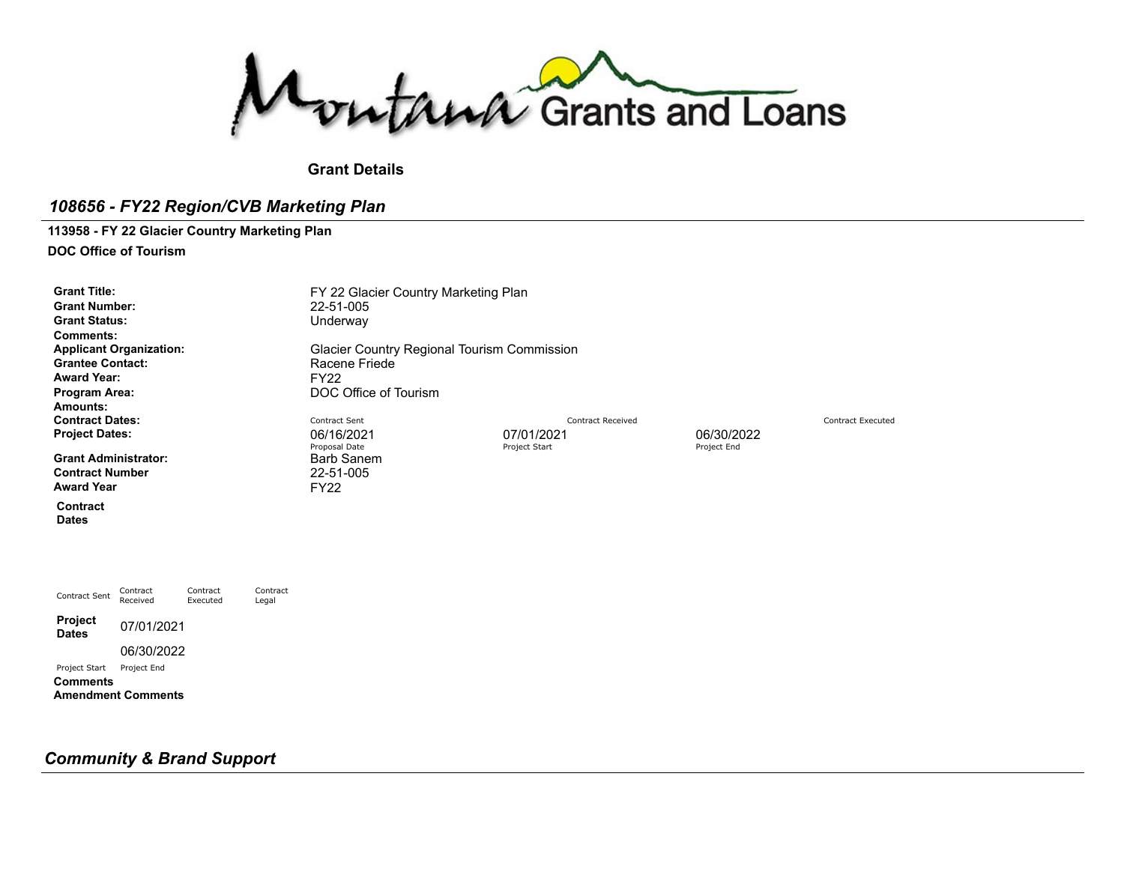Montana Grants and Loans

# **Grant Details**

# *108656 - FY22 Region/CVB Marketing Plan*

# **113958 - FY 22 Glacier Country Marketing Plan**

**DOC Office of Tourism**

| <b>Grant Title:</b><br><b>Grant Number:</b><br><b>Grant Status:</b><br><b>Comments:</b><br><b>Applicant Organization:</b><br><b>Grantee Contact:</b><br><b>Award Year:</b><br>Program Area:<br>Amounts: |                      |                      |                   | 22-51-005<br>Underway<br>Racene Friede<br><b>FY22</b>                                  | FY 22 Glacier Country Marketing Plan<br>Glacier Country Regional Tourism Commission<br>DOC Office of Tourism |                                                       |                          |  |  |  |
|---------------------------------------------------------------------------------------------------------------------------------------------------------------------------------------------------------|----------------------|----------------------|-------------------|----------------------------------------------------------------------------------------|--------------------------------------------------------------------------------------------------------------|-------------------------------------------------------|--------------------------|--|--|--|
| <b>Contract Dates:</b><br><b>Project Dates:</b><br><b>Grant Administrator:</b><br><b>Contract Number</b><br><b>Award Year</b>                                                                           |                      |                      |                   | Contract Sent<br>06/16/2021<br>Proposal Date<br>Barb Sanem<br>22-51-005<br><b>FY22</b> | 07/01/2021<br>Project Start                                                                                  | <b>Contract Received</b><br>06/30/2022<br>Project End | <b>Contract Executed</b> |  |  |  |
| Contract<br><b>Dates</b>                                                                                                                                                                                |                      |                      |                   |                                                                                        |                                                                                                              |                                                       |                          |  |  |  |
| Contract Sent                                                                                                                                                                                           | Contract<br>Received | Contract<br>Executed | Contract<br>Legal |                                                                                        |                                                                                                              |                                                       |                          |  |  |  |
| <b>Project</b><br><b>Dates</b>                                                                                                                                                                          | 07/01/2021           |                      |                   |                                                                                        |                                                                                                              |                                                       |                          |  |  |  |
|                                                                                                                                                                                                         | 06/30/2022           |                      |                   |                                                                                        |                                                                                                              |                                                       |                          |  |  |  |
| Project Start                                                                                                                                                                                           | Project End          |                      |                   |                                                                                        |                                                                                                              |                                                       |                          |  |  |  |

**Comments Amendment Comments**

# *Community & Brand Support*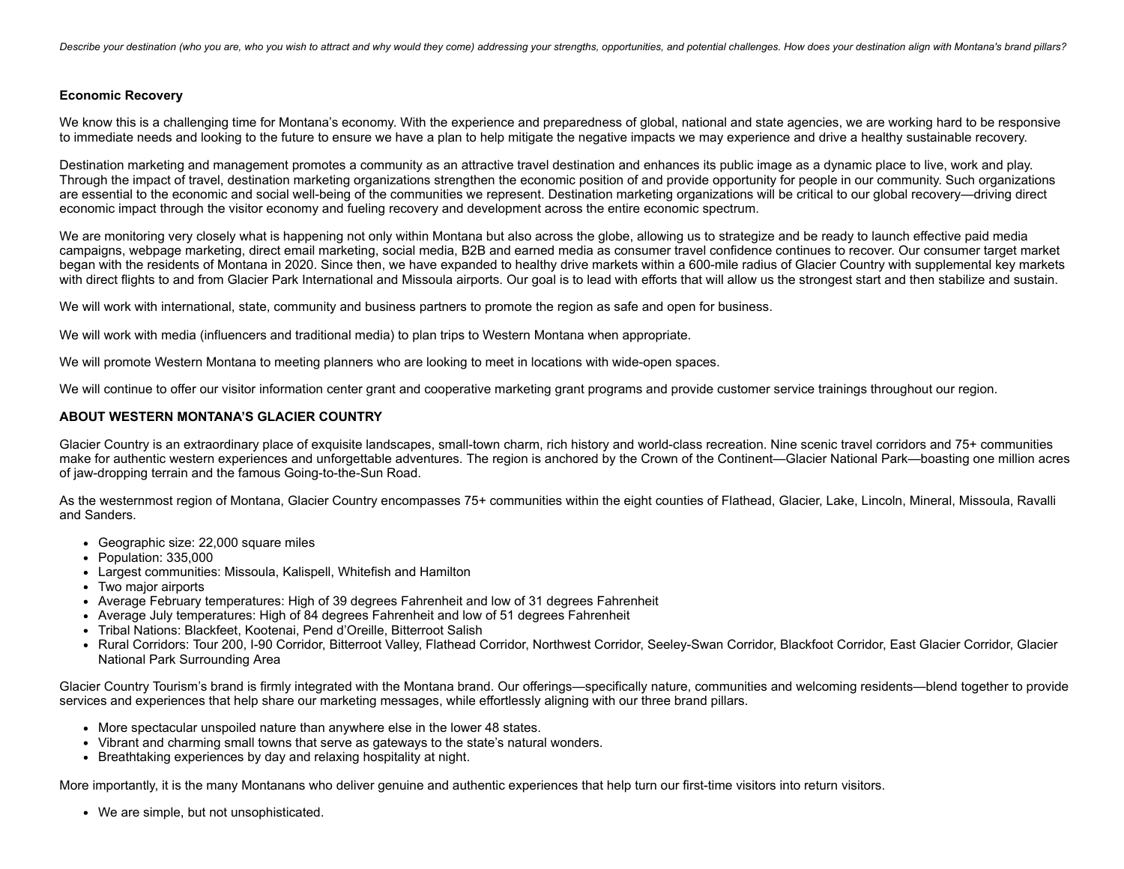Describe your destination (who you are, who you wish to attract and why would they come) addressing your strengths, opportunities, and potential challenges. How does your destination align with Montana's brand pillars?

#### **Economic Recovery**

We know this is a challenging time for Montana's economy. With the experience and preparedness of global, national and state agencies, we are working hard to be responsive to immediate needs and looking to the future to ensure we have a plan to help mitigate the negative impacts we may experience and drive a healthy sustainable recovery.

Destination marketing and management promotes a community as an attractive travel destination and enhances its public image as a dynamic place to live, work and play. Through the impact of travel, destination marketing organizations strengthen the economic position of and provide opportunity for people in our community. Such organizations are essential to the economic and social well-being of the communities we represent. Destination marketing organizations will be critical to our global recovery—driving direct economic impact through the visitor economy and fueling recovery and development across the entire economic spectrum.

We are monitoring very closely what is happening not only within Montana but also across the globe, allowing us to strategize and be ready to launch effective paid media campaigns, webpage marketing, direct email marketing, social media, B2B and earned media as consumer travel confidence continues to recover. Our consumer target market began with the residents of Montana in 2020. Since then, we have expanded to healthy drive markets within a 600-mile radius of Glacier Country with supplemental key markets with direct flights to and from Glacier Park International and Missoula airports. Our goal is to lead with efforts that will allow us the strongest start and then stabilize and sustain.

We will work with international, state, community and business partners to promote the region as safe and open for business.

We will work with media (influencers and traditional media) to plan trips to Western Montana when appropriate.

We will promote Western Montana to meeting planners who are looking to meet in locations with wide-open spaces.

We will continue to offer our visitor information center grant and cooperative marketing grant programs and provide customer service trainings throughout our region.

#### **ABOUT WESTERN MONTANA'S GLACIER COUNTRY**

Glacier Country is an extraordinary place of exquisite landscapes, small-town charm, rich history and world-class recreation. Nine scenic travel corridors and 75+ communities make for authentic western experiences and unforgettable adventures. The region is anchored by the Crown of the Continent—Glacier National Park—boasting one million acres of jaw-dropping terrain and the famous Going-to-the-Sun Road.

As the westernmost region of Montana, Glacier Country encompasses 75+ communities within the eight counties of Flathead, Glacier, Lake, Lincoln, Mineral, Missoula, Ravalli and Sanders.

- Geographic size: 22,000 square miles
- Population: 335,000
- Largest communities: Missoula, Kalispell, Whitefish and Hamilton
- Two major airports
- Average February temperatures: High of 39 degrees Fahrenheit and low of 31 degrees Fahrenheit
- Average July temperatures: High of 84 degrees Fahrenheit and low of 51 degrees Fahrenheit
- Tribal Nations: Blackfeet, Kootenai, Pend d'Oreille, Bitterroot Salish
- Rural Corridors: Tour 200, I-90 Corridor, Bitterroot Valley, Flathead Corridor, Northwest Corridor, Seeley-Swan Corridor, Blackfoot Corridor, East Glacier Corridor, Glacier National Park Surrounding Area

Glacier Country Tourism's brand is firmly integrated with the Montana brand. Our offerings—specifically nature, communities and welcoming residents—blend together to provide services and experiences that help share our marketing messages, while effortlessly aligning with our three brand pillars.

- More spectacular unspoiled nature than anywhere else in the lower 48 states.
- Vibrant and charming small towns that serve as gateways to the state's natural wonders.
- Breathtaking experiences by day and relaxing hospitality at night.

More importantly, it is the many Montanans who deliver genuine and authentic experiences that help turn our first-time visitors into return visitors.

We are simple, but not unsophisticated.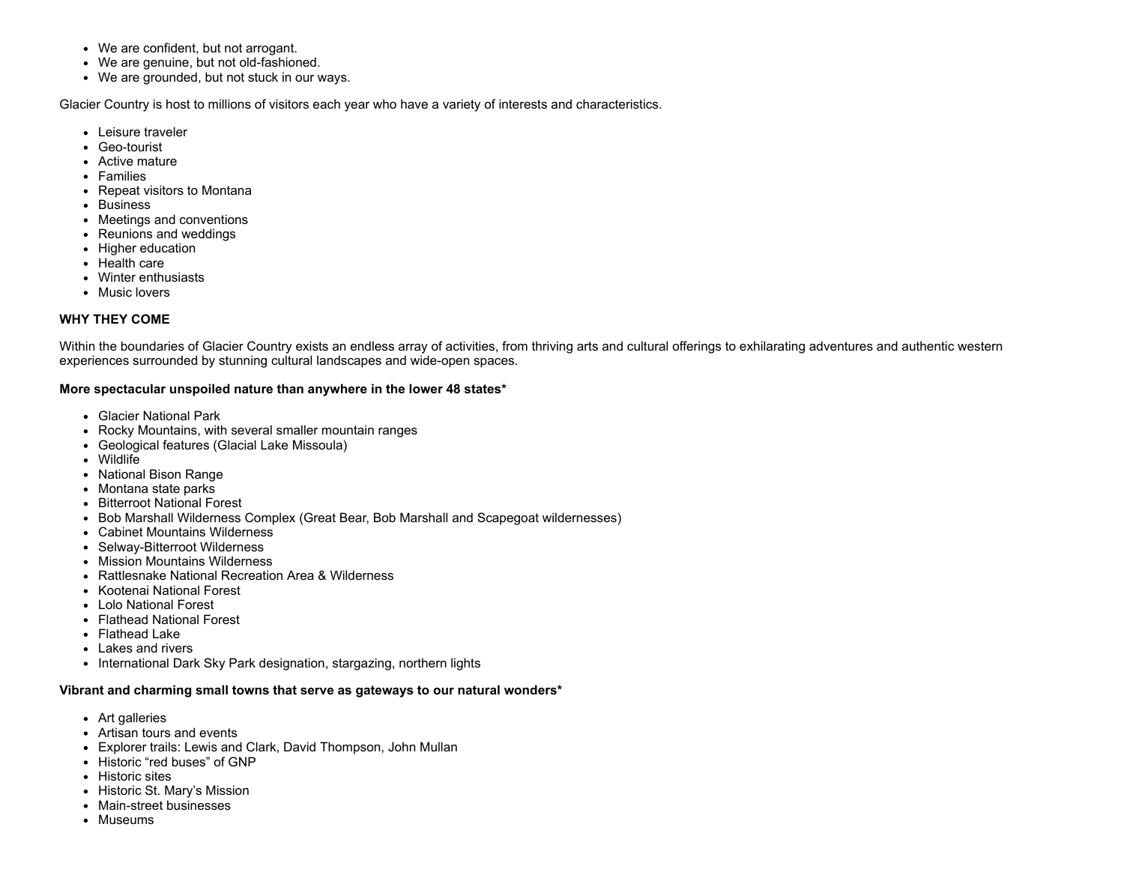- We are confident, but not arrogant.
- We are genuine, but not old-fashioned.
- We are grounded, but not stuck in our ways.

Glacier Country is host to millions of visitors each year who have a variety of interests and characteristics.

- Leisure traveler
- Geo-tourist
- Active mature
- Families
- Repeat visitors to Montana
- Business
- Meetings and conventions
- Reunions and weddings
- Higher education
- Health care
- Winter enthusiasts
- Music lovers

## **WHY THEY COME**

Within the boundaries of Glacier Country exists an endless array of activities, from thriving arts and cultural offerings to exhilarating adventures and authentic western experiences surrounded by stunning cultural landscapes and wide-open spaces.

#### **More spectacular unspoiled nature than anywhere in the lower 48 states\***

- Glacier National Park
- Rocky Mountains, with several smaller mountain ranges
- Geological features (Glacial Lake Missoula)
- Wildlife
- National Bison Range
- Montana state parks
- Bitterroot National Forest
- Bob Marshall Wilderness Complex (Great Bear, Bob Marshall and Scapegoat wildernesses)
- Cabinet Mountains Wilderness
- Selway-Bitterroot Wilderness
- Mission Mountains Wilderness
- Rattlesnake National Recreation Area & Wilderness
- Kootenai National Forest
- Lolo National Forest
- Flathead National Forest
- Flathead Lake
- Lakes and rivers
- International Dark Sky Park designation, stargazing, northern lights

#### **Vibrant and charming small towns that serve as gateways to our natural wonders\***

- Art galleries
- Artisan tours and events
- Explorer trails: Lewis and Clark, David Thompson, John Mullan
- Historic "red buses" of GNP
- Historic sites
- Historic St. Mary's Mission
- Main-street businesses
- Museums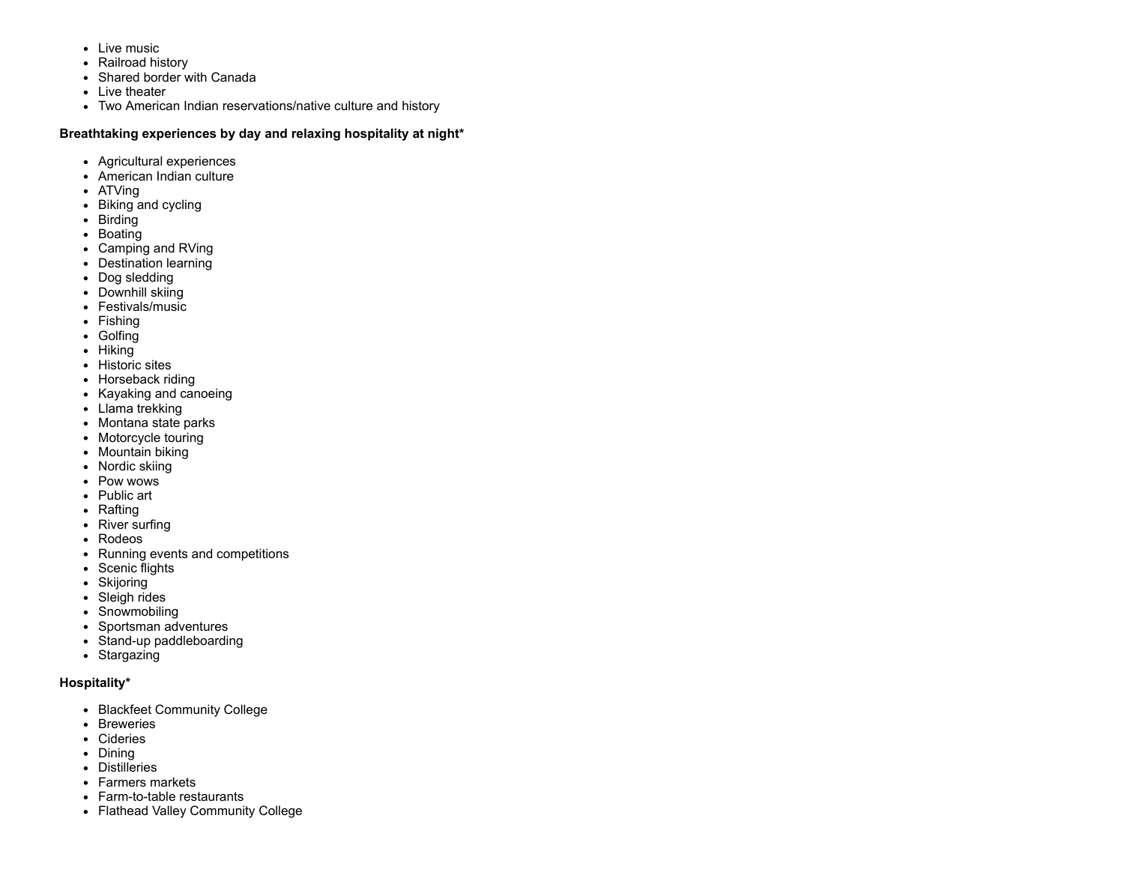- Live music
- Railroad history
- Shared border with Canada
- Live theater
- Two American Indian reservations/native culture and history

# **Breathtaking experiences by day and relaxing hospitality at night\***

- Agricultural experiences
- American Indian culture
- ATVing
- Biking and cycling
- Birding
- Boating
- Camping and RVing
- Destination learning
- Dog sledding
- Downhill skiing
- Festivals/music
- Fishing
- Golfing
- Hiking
- Historic sites
- Horseback riding
- Kayaking and canoeing
- Llama trekking
- Montana state parks
- Motorcycle touring
- Mountain biking
- Nordic skiing
- Pow wows
- Public art
- Rafting
- River surfing
- Rodeos
- Running events and competitions
- Scenic flights
- Skijoring
- Sleigh rides
- Snowmobiling
- Sportsman adventures
- Stand-up paddleboarding
- Stargazing

# **Hospitality\***

- Blackfeet Community College
- Breweries
- Cideries
- Dining
- Distilleries
- Farmers markets
- Farm-to-table restaurants
- Flathead Valley Community College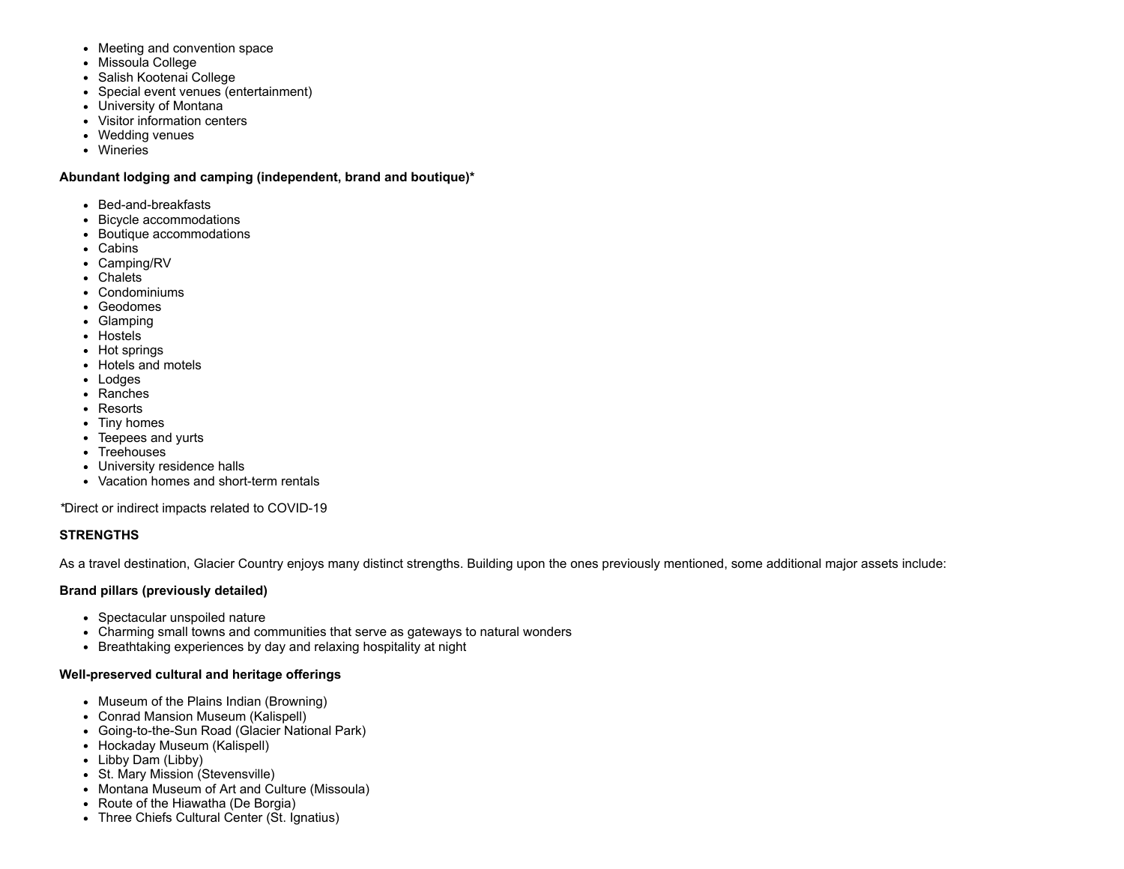- Meeting and convention space
- Missoula College
- Salish Kootenai College
- Special event venues (entertainment)
- University of Montana
- Visitor information centers
- Wedding venues
- Wineries

# **Abundant lodging and camping (independent, brand and boutique)\***

- Bed-and-breakfasts
- Bicycle accommodations
- Boutique accommodations
- Cabins
- Camping/RV
- Chalets
- Condominiums
- Geodomes
- Glamping
- Hostels
- Hot springs
- Hotels and motels
- Lodges
- Ranches
- Resorts
- Tiny homes
- Teepees and yurts
- Treehouses
- University residence halls
- Vacation homes and short-term rentals

*\**Direct or indirect impacts related to COVID-19

# **STRENGTHS**

As a travel destination, Glacier Country enjoys many distinct strengths. Building upon the ones previously mentioned, some additional major assets include:

# **Brand pillars (previously detailed)**

- Spectacular unspoiled nature
- Charming small towns and communities that serve as gateways to natural wonders
- Breathtaking experiences by day and relaxing hospitality at night

# **Well-preserved cultural and heritage offerings**

- Museum of the Plains Indian (Browning)
- Conrad Mansion Museum (Kalispell)
- Going-to-the-Sun Road (Glacier National Park)
- Hockaday Museum (Kalispell)
- Libby Dam (Libby)
- St. Mary Mission (Stevensville)
- Montana Museum of Art and Culture (Missoula)
- Route of the Hiawatha (De Borgia)
- Three Chiefs Cultural Center (St. Ignatius)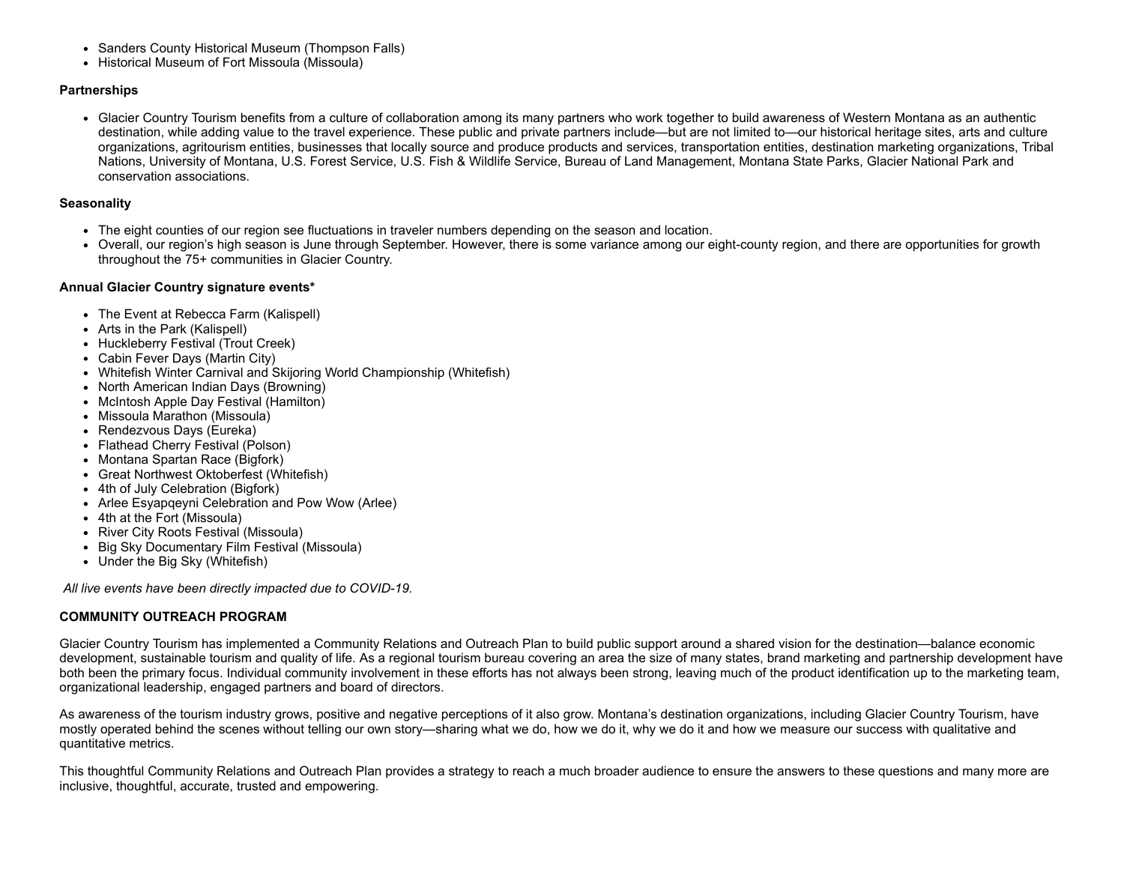- Sanders County Historical Museum (Thompson Falls)
- Historical Museum of Fort Missoula (Missoula)

# **Partnerships**

Glacier Country Tourism benefits from a culture of collaboration among its many partners who work together to build awareness of Western Montana as an authentic destination, while adding value to the travel experience. These public and private partners include—but are not limited to—our historical heritage sites, arts and culture organizations, agritourism entities, businesses that locally source and produce products and services, transportation entities, destination marketing organizations, Tribal Nations, University of Montana, U.S. Forest Service, U.S. Fish & Wildlife Service, Bureau of Land Management, Montana State Parks, Glacier National Park and conservation associations.

## **Seasonality**

- The eight counties of our region see fluctuations in traveler numbers depending on the season and location.
- Overall, our region's high season is June through September. However, there is some variance among our eight-county region, and there are opportunities for growth throughout the 75+ communities in Glacier Country.

#### **Annual Glacier Country signature events\***

- The Event at Rebecca Farm (Kalispell)
- Arts in the Park (Kalispell)
- Huckleberry Festival (Trout Creek)
- Cabin Fever Days (Martin City)
- Whitefish Winter Carnival and Skijoring World Championship (Whitefish)
- North American Indian Days (Browning)
- McIntosh Apple Day Festival (Hamilton)
- Missoula Marathon (Missoula)
- Rendezvous Days (Eureka)
- Flathead Cherry Festival (Polson)
- Montana Spartan Race (Bigfork)
- Great Northwest Oktoberfest (Whitefish)
- 4th of July Celebration (Bigfork)
- Arlee Esyapqeyni Celebration and Pow Wow (Arlee)
- 4th at the Fort (Missoula)
- River City Roots Festival (Missoula)
- Big Sky Documentary Film Festival (Missoula)
- Under the Big Sky (Whitefish)

*All live events have been directly impacted due to COVID-19.*

# **COMMUNITY OUTREACH PROGRAM**

Glacier Country Tourism has implemented a Community Relations and Outreach Plan to build public support around a shared vision for the destination—balance economic development, sustainable tourism and quality of life. As a regional tourism bureau covering an area the size of many states, brand marketing and partnership development have both been the primary focus. Individual community involvement in these efforts has not always been strong, leaving much of the product identification up to the marketing team, organizational leadership, engaged partners and board of directors.

As awareness of the tourism industry grows, positive and negative perceptions of it also grow. Montana's destination organizations, including Glacier Country Tourism, have mostly operated behind the scenes without telling our own story—sharing what we do, how we do it, why we do it and how we measure our success with qualitative and quantitative metrics.

This thoughtful Community Relations and Outreach Plan provides a strategy to reach a much broader audience to ensure the answers to these questions and many more are inclusive, thoughtful, accurate, trusted and empowering.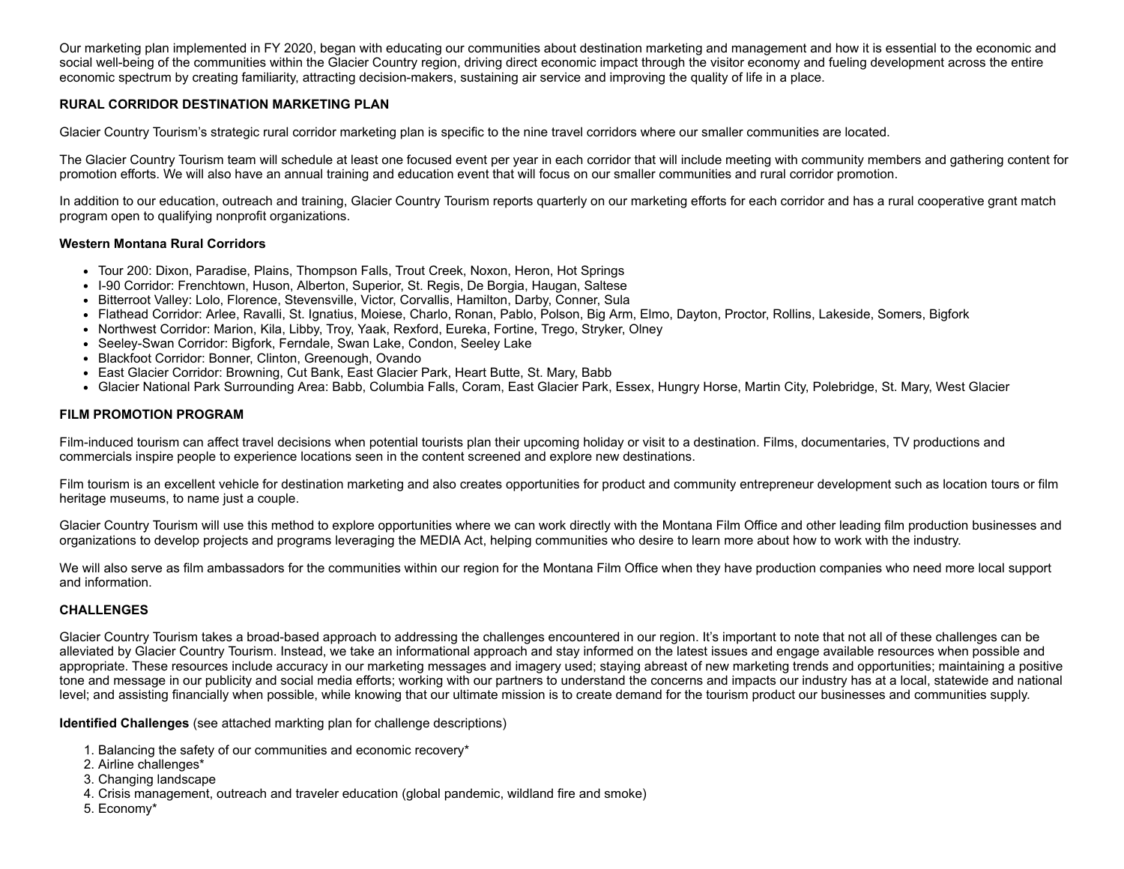Our marketing plan implemented in FY 2020, began with educating our communities about destination marketing and management and how it is essential to the economic and social well-being of the communities within the Glacier Country region, driving direct economic impact through the visitor economy and fueling development across the entire economic spectrum by creating familiarity, attracting decision-makers, sustaining air service and improving the quality of life in a place.

# **RURAL CORRIDOR DESTINATION MARKETING PLAN**

Glacier Country Tourism's strategic rural corridor marketing plan is specific to the nine travel corridors where our smaller communities are located.

The Glacier Country Tourism team will schedule at least one focused event per year in each corridor that will include meeting with community members and gathering content for promotion efforts. We will also have an annual training and education event that will focus on our smaller communities and rural corridor promotion.

In addition to our education, outreach and training, Glacier Country Tourism reports quarterly on our marketing efforts for each corridor and has a rural cooperative grant match program open to qualifying nonprofit organizations.

#### **Western Montana Rural Corridors**

- Tour 200: Dixon, Paradise, Plains, Thompson Falls, Trout Creek, Noxon, Heron, Hot Springs
- I-90 Corridor: Frenchtown, Huson, Alberton, Superior, St. Regis, De Borgia, Haugan, Saltese
- Bitterroot Valley: Lolo, Florence, Stevensville, Victor, Corvallis, Hamilton, Darby, Conner, Sula
- Flathead Corridor: Arlee, Ravalli, St. Ignatius, Moiese, Charlo, Ronan, Pablo, Polson, Big Arm, Elmo, Dayton, Proctor, Rollins, Lakeside, Somers, Bigfork
- Northwest Corridor: Marion, Kila, Libby, Troy, Yaak, Rexford, Eureka, Fortine, Trego, Stryker, Olney
- Seeley-Swan Corridor: Bigfork, Ferndale, Swan Lake, Condon, Seeley Lake
- Blackfoot Corridor: Bonner, Clinton, Greenough, Ovando
- East Glacier Corridor: Browning, Cut Bank, East Glacier Park, Heart Butte, St. Mary, Babb
- Glacier National Park Surrounding Area: Babb, Columbia Falls, Coram, East Glacier Park, Essex, Hungry Horse, Martin City, Polebridge, St. Mary, West Glacier

## **FILM PROMOTION PROGRAM**

Film-induced tourism can affect travel decisions when potential tourists plan their upcoming holiday or visit to a destination. Films, documentaries, TV productions and commercials inspire people to experience locations seen in the content screened and explore new destinations.

Film tourism is an excellent vehicle for destination marketing and also creates opportunities for product and community entrepreneur development such as location tours or film heritage museums, to name just a couple.

Glacier Country Tourism will use this method to explore opportunities where we can work directly with the Montana Film Office and other leading film production businesses and organizations to develop projects and programs leveraging the MEDIA Act, helping communities who desire to learn more about how to work with the industry.

We will also serve as film ambassadors for the communities within our region for the Montana Film Office when they have production companies who need more local support and information.

#### **CHALLENGES**

Glacier Country Tourism takes a broad-based approach to addressing the challenges encountered in our region. It's important to note that not all of these challenges can be alleviated by Glacier Country Tourism. Instead, we take an informational approach and stay informed on the latest issues and engage available resources when possible and appropriate. These resources include accuracy in our marketing messages and imagery used; staying abreast of new marketing trends and opportunities; maintaining a positive tone and message in our publicity and social media efforts; working with our partners to understand the concerns and impacts our industry has at a local, statewide and national level; and assisting financially when possible, while knowing that our ultimate mission is to create demand for the tourism product our businesses and communities supply.

**Identified Challenges** (see attached markting plan for challenge descriptions)

- 1. Balancing the safety of our communities and economic recovery\*
- 2. Airline challenges\*
- 3. Changing landscape
- 4. Crisis management, outreach and traveler education (global pandemic, wildland fire and smoke)
- 5. Economy\*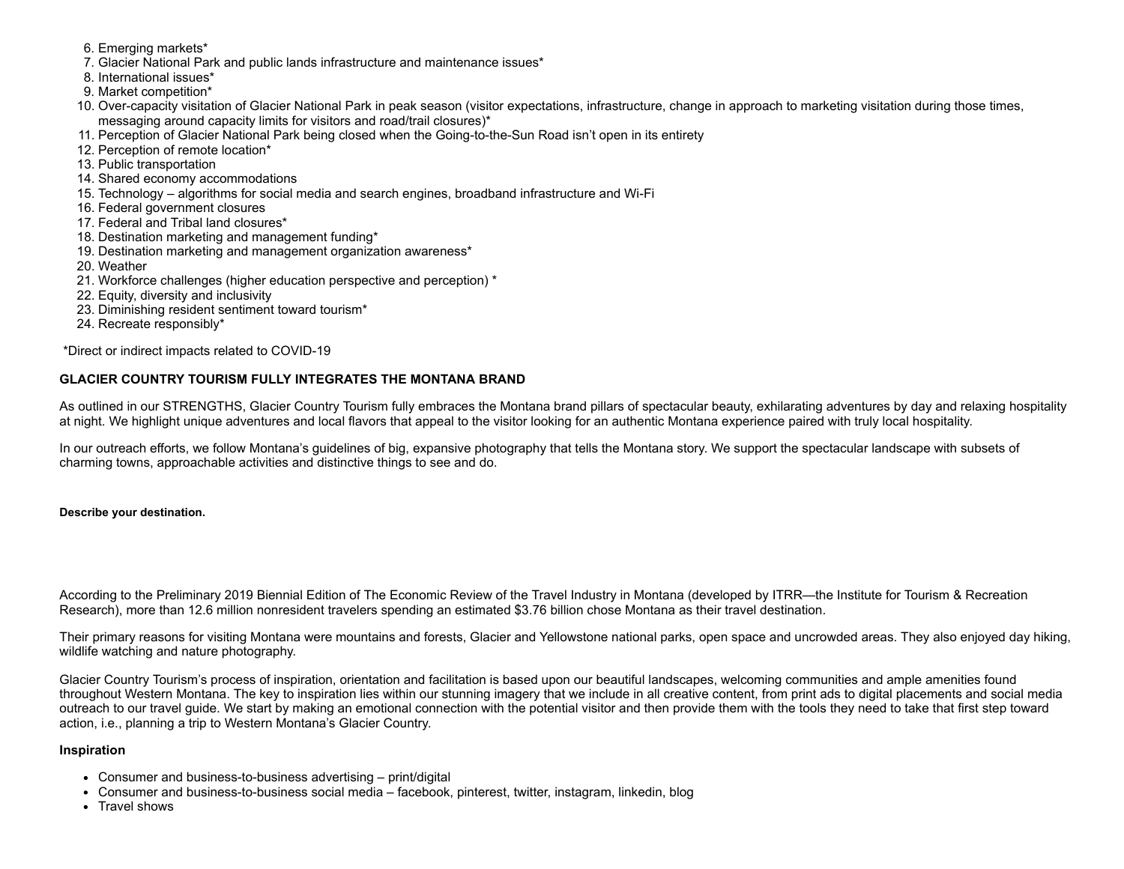- 6. Emerging markets\*
- 7. Glacier National Park and public lands infrastructure and maintenance issues\*
- 8. International issues\*
- 9. Market competition\*
- 10. Over-capacity visitation of Glacier National Park in peak season (visitor expectations, infrastructure, change in approach to marketing visitation during those times, messaging around capacity limits for visitors and road/trail closures)\*
- 11. Perception of Glacier National Park being closed when the Going-to-the-Sun Road isn't open in its entirety
- 12. Perception of remote location\*
- 13. Public transportation
- 14. Shared economy accommodations
- 15. Technology algorithms for social media and search engines, broadband infrastructure and Wi-Fi
- 16. Federal government closures
- 17. Federal and Tribal land closures\*
- 18. Destination marketing and management funding\*
- 19. Destination marketing and management organization awareness\*
- 20. Weather
- 21. Workforce challenges (higher education perspective and perception) \*
- 22. Equity, diversity and inclusivity
- 23. Diminishing resident sentiment toward tourism\*
- 24. Recreate responsibly\*

\*Direct or indirect impacts related to COVID-19

# **GLACIER COUNTRY TOURISM FULLY INTEGRATES THE MONTANA BRAND**

As outlined in our STRENGTHS, Glacier Country Tourism fully embraces the Montana brand pillars of spectacular beauty, exhilarating adventures by day and relaxing hospitality at night. We highlight unique adventures and local flavors that appeal to the visitor looking for an authentic Montana experience paired with truly local hospitality.

In our outreach efforts, we follow Montana's guidelines of big, expansive photography that tells the Montana story. We support the spectacular landscape with subsets of charming towns, approachable activities and distinctive things to see and do.

#### **Describe your destination.**

According to the Preliminary 2019 Biennial Edition of The Economic Review of the Travel Industry in Montana (developed by ITRR—the Institute for Tourism & Recreation Research), more than 12.6 million nonresident travelers spending an estimated \$3.76 billion chose Montana as their travel destination.

Their primary reasons for visiting Montana were mountains and forests, Glacier and Yellowstone national parks, open space and uncrowded areas. They also enjoyed day hiking, wildlife watching and nature photography.

Glacier Country Tourism's process of inspiration, orientation and facilitation is based upon our beautiful landscapes, welcoming communities and ample amenities found throughout Western Montana. The key to inspiration lies within our stunning imagery that we include in all creative content, from print ads to digital placements and social media outreach to our travel guide. We start by making an emotional connection with the potential visitor and then provide them with the tools they need to take that first step toward action, i.e., planning a trip to Western Montana's Glacier Country.

#### **Inspiration**

- Consumer and business-to-business advertising print/digital
- Consumer and business-to-business social media facebook, pinterest, twitter, instagram, linkedin, blog
- Travel shows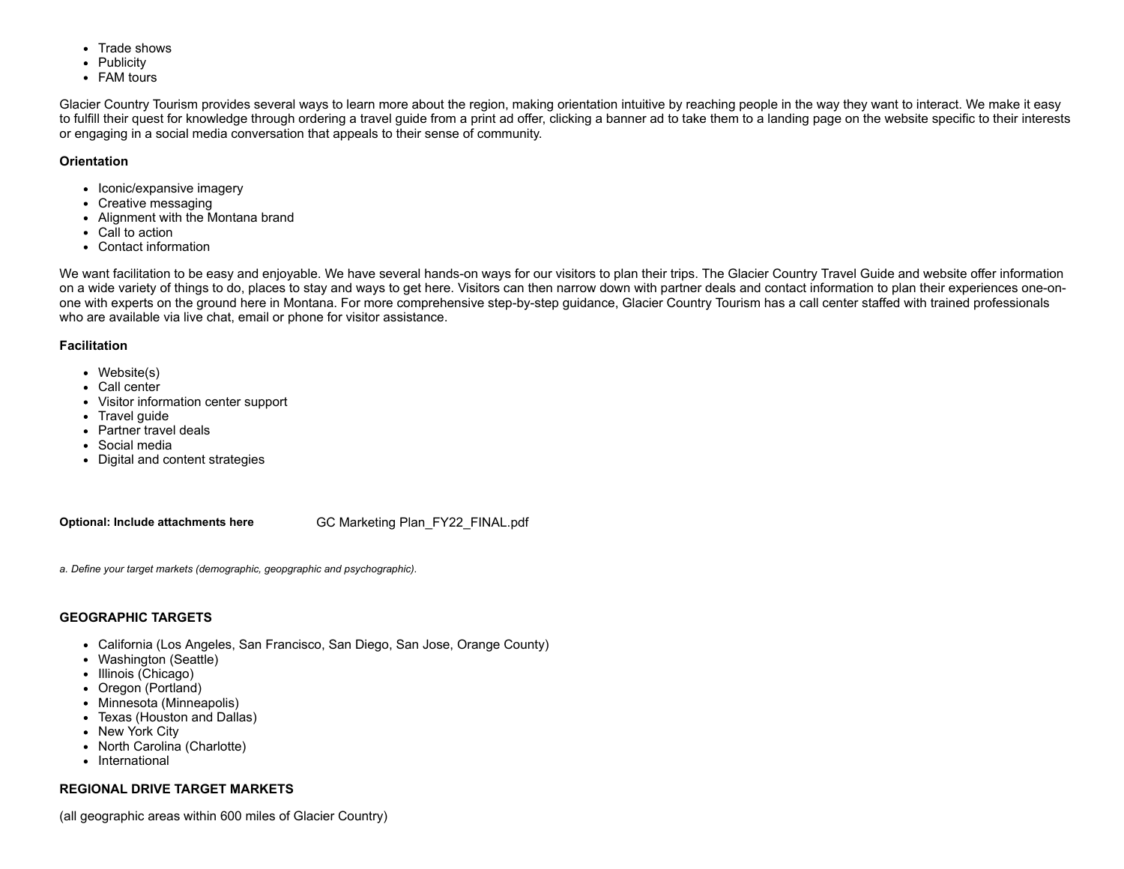- Trade shows
- Publicity
- FAM tours

Glacier Country Tourism provides several ways to learn more about the region, making orientation intuitive by reaching people in the way they want to interact. We make it easy to fulfill their quest for knowledge through ordering a travel guide from a print ad offer, clicking a banner ad to take them to a landing page on the website specific to their interests or engaging in a social media conversation that appeals to their sense of community.

# **Orientation**

- Iconic/expansive imagery
- Creative messaging
- Alignment with the Montana brand
- Call to action
- Contact information

We want facilitation to be easy and enjoyable. We have several hands-on ways for our visitors to plan their trips. The Glacier Country Travel Guide and website offer information on a wide variety of things to do, places to stay and ways to get here. Visitors can then narrow down with partner deals and contact information to plan their experiences one-onone with experts on the ground here in Montana. For more comprehensive step-by-step guidance, Glacier Country Tourism has a call center staffed with trained professionals who are available via live chat, email or phone for visitor assistance.

## **Facilitation**

- Website(s)
- Call center
- Visitor information center support
- Travel quide
- Partner travel deals
- Social media
- Digital and content strategies

**Optional: Include attachments here** GC Marketing [Plan\\_FY22\\_FINAL.pdf](https://funding.mt.gov/fileDownload.jsp?filename=1619468439659_GC+Marketing+Plan_FY22_FINAL.pdf)

*a. Define your target markets (demographic, geopgraphic and psychographic).*

# **GEOGRAPHIC TARGETS**

- California (Los Angeles, San Francisco, San Diego, San Jose, Orange County)
- Washington (Seattle)
- Illinois (Chicago)
- Oregon (Portland)
- Minnesota (Minneapolis)
- Texas (Houston and Dallas)
- New York City
- North Carolina (Charlotte)
- International

# **REGIONAL DRIVE TARGET MARKETS**

(all geographic areas within 600 miles of Glacier Country)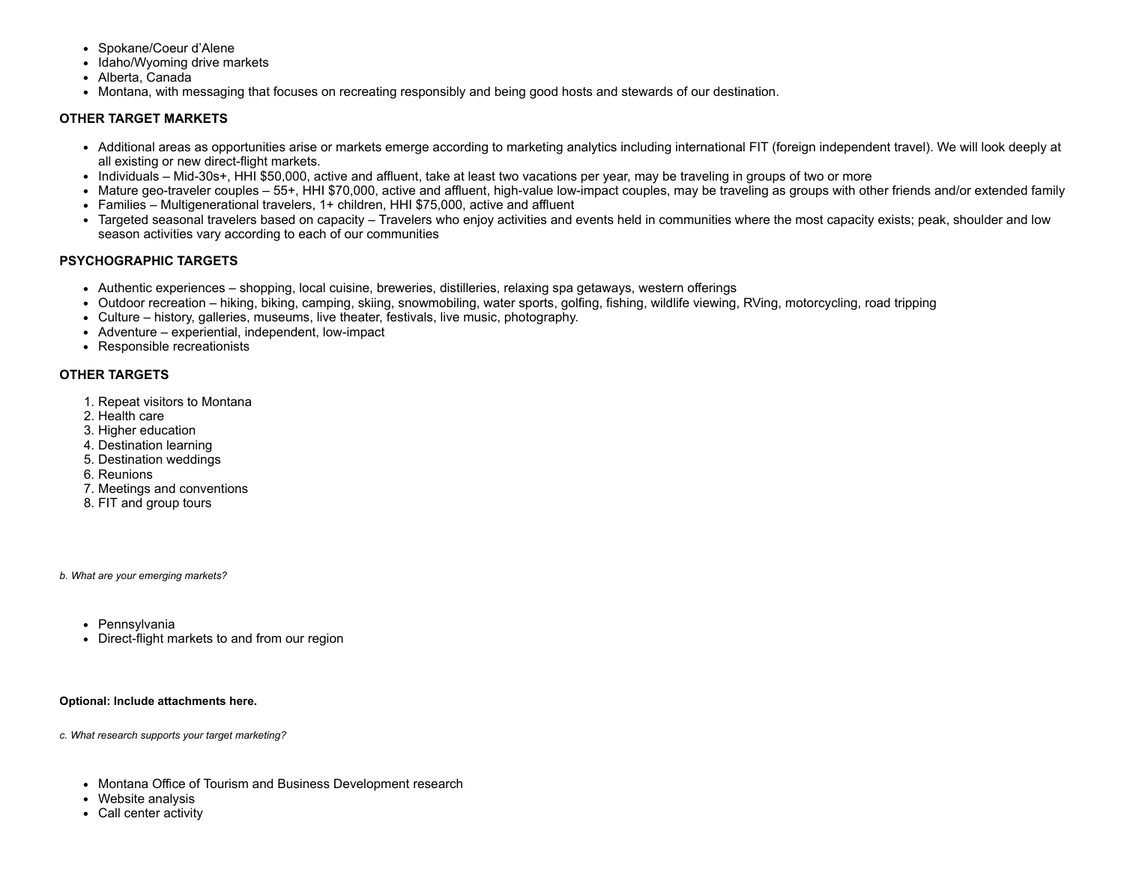- Spokane/Coeur d'Alene
- Idaho/Wyoming drive markets
- Alberta, Canada
- Montana, with messaging that focuses on recreating responsibly and being good hosts and stewards of our destination.

# **OTHER TARGET MARKETS**

- Additional areas as opportunities arise or markets emerge according to marketing analytics including international FIT (foreign independent travel). We will look deeply at all existing or new direct-flight markets.
- Individuals Mid-30s+, HHI \$50,000, active and affluent, take at least two vacations per year, may be traveling in groups of two or more
- Mature geo-traveler couples 55+, HHI \$70,000, active and affluent, high-value low-impact couples, may be traveling as groups with other friends and/or extended family
- Families Multigenerational travelers, 1+ children, HHI \$75,000, active and affluent
- Targeted seasonal travelers based on capacity Travelers who enjoy activities and events held in communities where the most capacity exists; peak, shoulder and low season activities vary according to each of our communities

## **PSYCHOGRAPHIC TARGETS**

- Authentic experiences shopping, local cuisine, breweries, distilleries, relaxing spa getaways, western offerings
- Outdoor recreation hiking, biking, camping, skiing, snowmobiling, water sports, golfing, fishing, wildlife viewing, RVing, motorcycling, road tripping
- Culture history, galleries, museums, live theater, festivals, live music, photography.
- Adventure experiential, independent, low-impact
- Responsible recreationists

## **OTHER TARGETS**

- 1. Repeat visitors to Montana
- 2. Health care
- 3. Higher education
- 4. Destination learning
- 5. Destination weddings
- 6. Reunions
- 7. Meetings and conventions
- 8. FIT and group tours

*b. What are your emerging markets?*

- Pennsylvania
- Direct-flight markets to and from our region

**Optional: Include attachments here.**

*c. What research supports your target marketing?*

- Montana Office of Tourism and Business Development research
- Website analysis
- Call center activity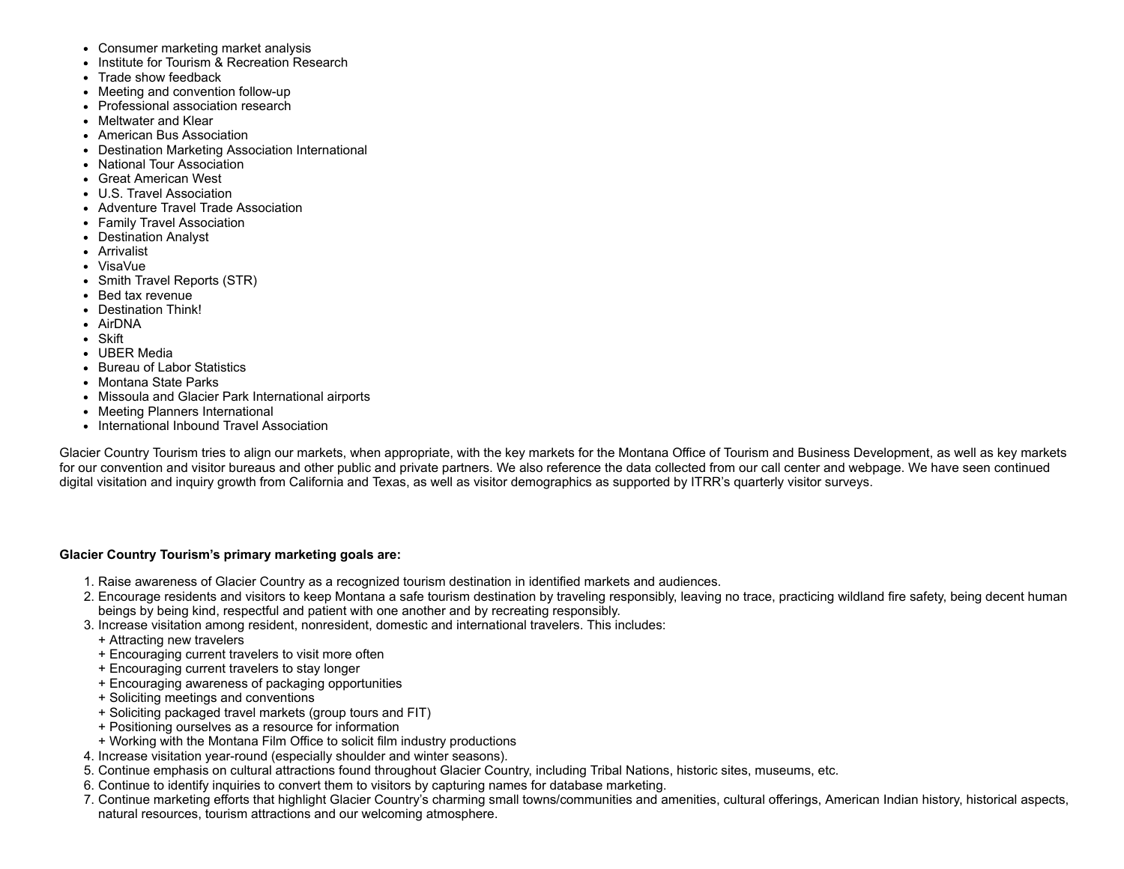- Consumer marketing market analysis
- Institute for Tourism & Recreation Research
- Trade show feedback
- Meeting and convention follow-up
- Professional association research
- Meltwater and Klear
- American Bus Association
- Destination Marketing Association International
- National Tour Association
- Great American West
- U.S. Travel Association
- Adventure Travel Trade Association
- Family Travel Association
- Destination Analyst
- Arrivalist
- VisaVue
- Smith Travel Reports (STR)
- Bed tax revenue
- Destination Think!
- AirDNA
- Skift
- UBER Media
- Bureau of Labor Statistics
- Montana State Parks
- Missoula and Glacier Park International airports
- Meeting Planners International
- International Inbound Travel Association

Glacier Country Tourism tries to align our markets, when appropriate, with the key markets for the Montana Office of Tourism and Business Development, as well as key markets for our convention and visitor bureaus and other public and private partners. We also reference the data collected from our call center and webpage. We have seen continued digital visitation and inquiry growth from California and Texas, as well as visitor demographics as supported by ITRR's quarterly visitor surveys.

# **Glacier Country Tourism's primary marketing goals are:**

- 1. Raise awareness of Glacier Country as a recognized tourism destination in identified markets and audiences.
- 2. Encourage residents and visitors to keep Montana a safe tourism destination by traveling responsibly, leaving no trace, practicing wildland fire safety, being decent human beings by being kind, respectful and patient with one another and by recreating responsibly.
- 3. Increase visitation among resident, nonresident, domestic and international travelers. This includes:
	- + Attracting new travelers
	- + Encouraging current travelers to visit more often
	- + Encouraging current travelers to stay longer
	- + Encouraging awareness of packaging opportunities
	- + Soliciting meetings and conventions
	- + Soliciting packaged travel markets (group tours and FIT)
	- + Positioning ourselves as a resource for information
	- + Working with the Montana Film Office to solicit film industry productions
- 4. Increase visitation year-round (especially shoulder and winter seasons).
- 5. Continue emphasis on cultural attractions found throughout Glacier Country, including Tribal Nations, historic sites, museums, etc.
- 6. Continue to identify inquiries to convert them to visitors by capturing names for database marketing.
- 7. Continue marketing efforts that highlight Glacier Country's charming small towns/communities and amenities, cultural offerings, American Indian history, historical aspects, natural resources, tourism attractions and our welcoming atmosphere.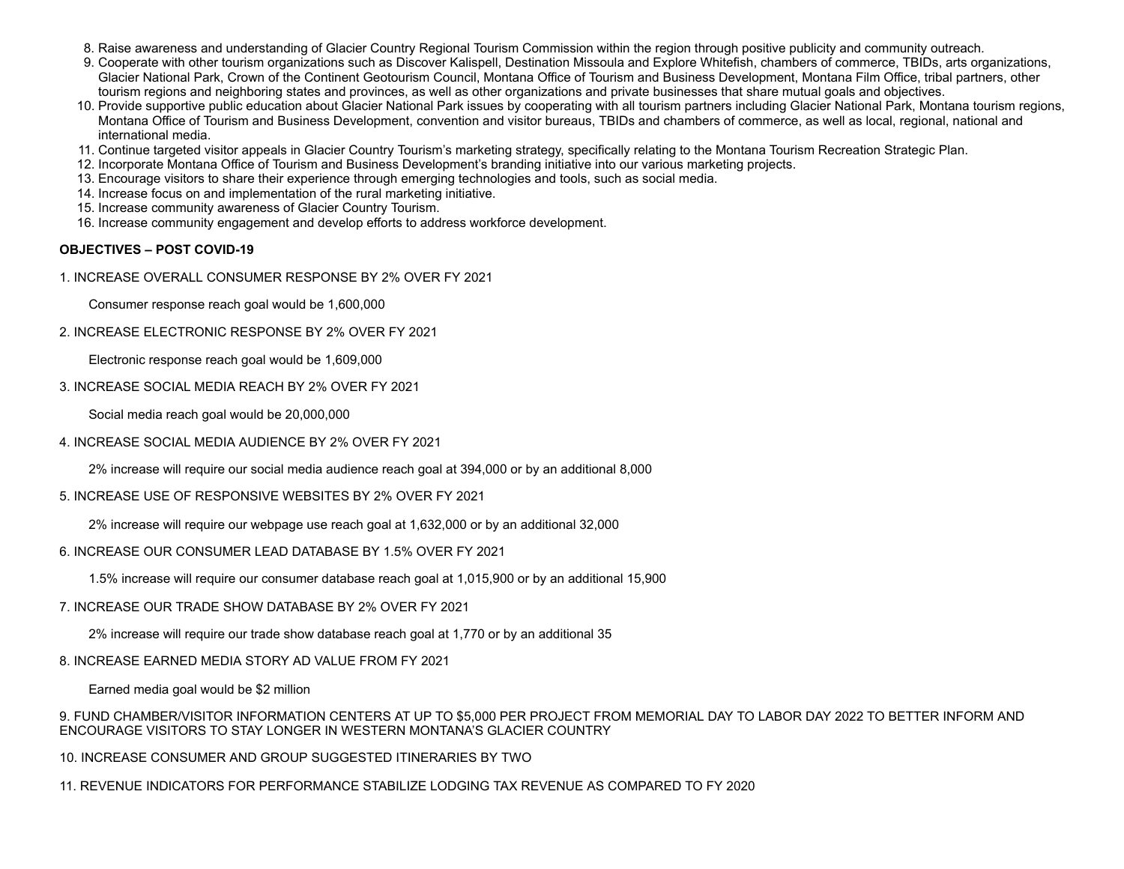- 8. Raise awareness and understanding of Glacier Country Regional Tourism Commission within the region through positive publicity and community outreach.
- 9. Cooperate with other tourism organizations such as Discover Kalispell, Destination Missoula and Explore Whitefish, chambers of commerce, TBIDs, arts organizations, Glacier National Park, Crown of the Continent Geotourism Council, Montana Office of Tourism and Business Development, Montana Film Office, tribal partners, other tourism regions and neighboring states and provinces, as well as other organizations and private businesses that share mutual goals and objectives.
- 10. Provide supportive public education about Glacier National Park issues by cooperating with all tourism partners including Glacier National Park, Montana tourism regions, Montana Office of Tourism and Business Development, convention and visitor bureaus, TBIDs and chambers of commerce, as well as local, regional, national and international media.
- 11. Continue targeted visitor appeals in Glacier Country Tourism's marketing strategy, specifically relating to the Montana Tourism Recreation Strategic Plan.
- 12. Incorporate Montana Office of Tourism and Business Development's branding initiative into our various marketing projects.
- 13. Encourage visitors to share their experience through emerging technologies and tools, such as social media.
- 14. Increase focus on and implementation of the rural marketing initiative.
- 15. Increase community awareness of Glacier Country Tourism.
- 16. Increase community engagement and develop efforts to address workforce development.

#### **OBJECTIVES – POST COVID-19**

1. INCREASE OVERALL CONSUMER RESPONSE BY 2% OVER FY 2021

Consumer response reach goal would be 1,600,000

2. INCREASE ELECTRONIC RESPONSE BY 2% OVER FY 2021

Electronic response reach goal would be 1,609,000

3. INCREASE SOCIAL MEDIA REACH BY 2% OVER FY 2021

Social media reach goal would be 20,000,000

4. INCREASE SOCIAL MEDIA AUDIENCE BY 2% OVER FY 2021

2% increase will require our social media audience reach goal at 394,000 or by an additional 8,000

#### 5. INCREASE USE OF RESPONSIVE WEBSITES BY 2% OVER FY 2021

2% increase will require our webpage use reach goal at 1,632,000 or by an additional 32,000

#### 6. INCREASE OUR CONSUMER LEAD DATABASE BY 1.5% OVER FY 2021

1.5% increase will require our consumer database reach goal at 1,015,900 or by an additional 15,900

#### 7. INCREASE OUR TRADE SHOW DATABASE BY 2% OVER FY 2021

2% increase will require our trade show database reach goal at 1,770 or by an additional 35

#### 8. INCREASE EARNED MEDIA STORY AD VALUE FROM FY 2021

Earned media goal would be \$2 million

9. FUND CHAMBER/VISITOR INFORMATION CENTERS AT UP TO \$5,000 PER PROJECT FROM MEMORIAL DAY TO LABOR DAY 2022 TO BETTER INFORM AND ENCOURAGE VISITORS TO STAY LONGER IN WESTERN MONTANA'S GLACIER COUNTRY

10. INCREASE CONSUMER AND GROUP SUGGESTED ITINERARIES BY TWO

11. REVENUE INDICATORS FOR PERFORMANCE STABILIZE LODGING TAX REVENUE AS COMPARED TO FY 2020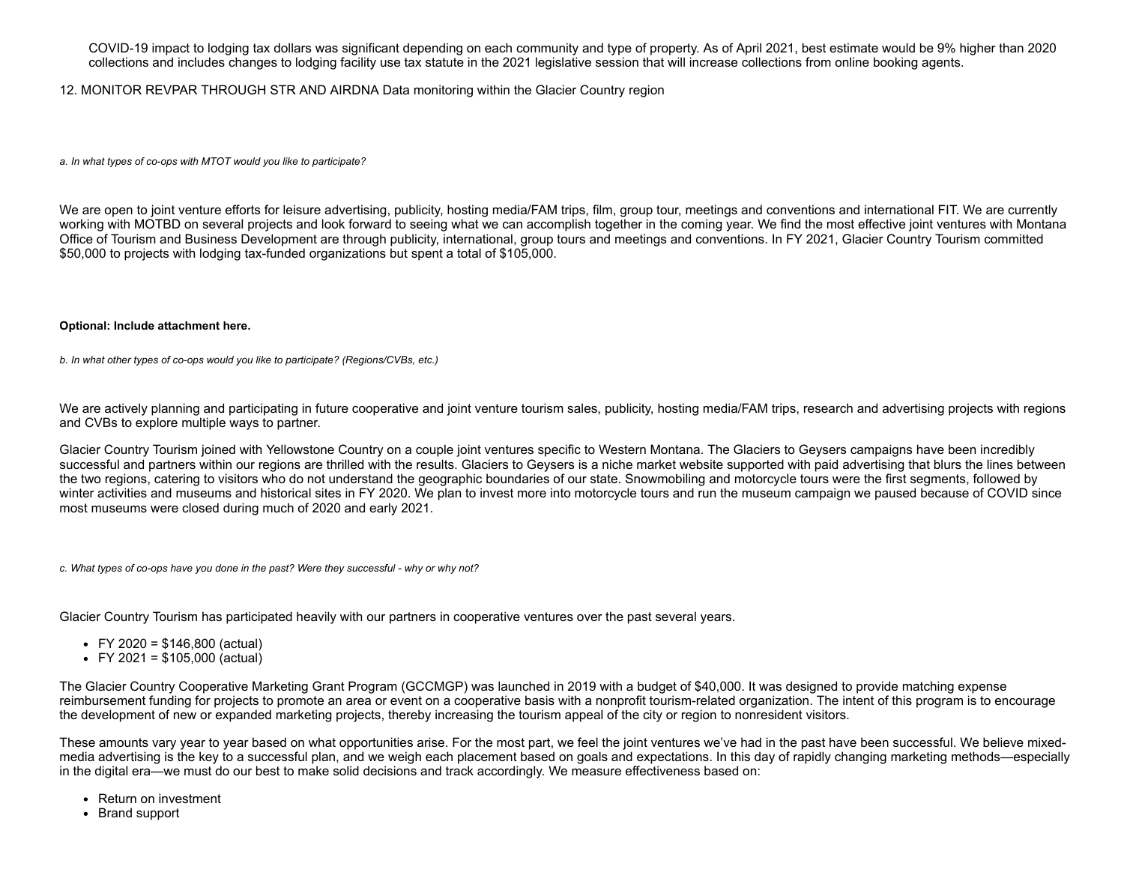COVID-19 impact to lodging tax dollars was significant depending on each community and type of property. As of April 2021, best estimate would be 9% higher than 2020 collections and includes changes to lodging facility use tax statute in the 2021 legislative session that will increase collections from online booking agents.

#### 12. MONITOR REVPAR THROUGH STR AND AIRDNA Data monitoring within the Glacier Country region

*a. In what types of co-ops with MTOT would you like to participate?*

We are open to joint venture efforts for leisure advertising, publicity, hosting media/FAM trips, film, group tour, meetings and conventions and international FIT. We are currently working with MOTBD on several projects and look forward to seeing what we can accomplish together in the coming year. We find the most effective joint ventures with Montana Office of Tourism and Business Development are through publicity, international, group tours and meetings and conventions. In FY 2021, Glacier Country Tourism committed \$50,000 to projects with lodging tax-funded organizations but spent a total of \$105,000.

#### **Optional: Include attachment here.**

*b. In what other types of co-ops would you like to participate? (Regions/CVBs, etc.)*

We are actively planning and participating in future cooperative and joint venture tourism sales, publicity, hosting media/FAM trips, research and advertising projects with regions and CVBs to explore multiple ways to partner.

Glacier Country Tourism joined with Yellowstone Country on a couple joint ventures specific to Western Montana. The Glaciers to Geysers campaigns have been incredibly successful and partners within our regions are thrilled with the results. Glaciers to Geysers is a niche market website supported with paid advertising that blurs the lines between the two regions, catering to visitors who do not understand the geographic boundaries of our state. Snowmobiling and motorcycle tours were the first segments, followed by winter activities and museums and historical sites in FY 2020. We plan to invest more into motorcycle tours and run the museum campaign we paused because of COVID since most museums were closed during much of 2020 and early 2021.

*c. What types of co-ops have you done in the past? Were they successful - why or why not?*

Glacier Country Tourism has participated heavily with our partners in cooperative ventures over the past several years.

- FY 2020 =  $$146,800$  (actual)
- $\cdot$  FY 2021 = \$105,000 (actual)

The Glacier Country Cooperative Marketing Grant Program (GCCMGP) was launched in 2019 with a budget of \$40,000. It was designed to provide matching expense reimbursement funding for projects to promote an area or event on a cooperative basis with a nonprofit tourism-related organization. The intent of this program is to encourage the development of new or expanded marketing projects, thereby increasing the tourism appeal of the city or region to nonresident visitors.

These amounts vary year to year based on what opportunities arise. For the most part, we feel the joint ventures we've had in the past have been successful. We believe mixedmedia advertising is the key to a successful plan, and we weigh each placement based on goals and expectations. In this day of rapidly changing marketing methods—especially in the digital era—we must do our best to make solid decisions and track accordingly. We measure effectiveness based on:

- Return on investment
- Brand support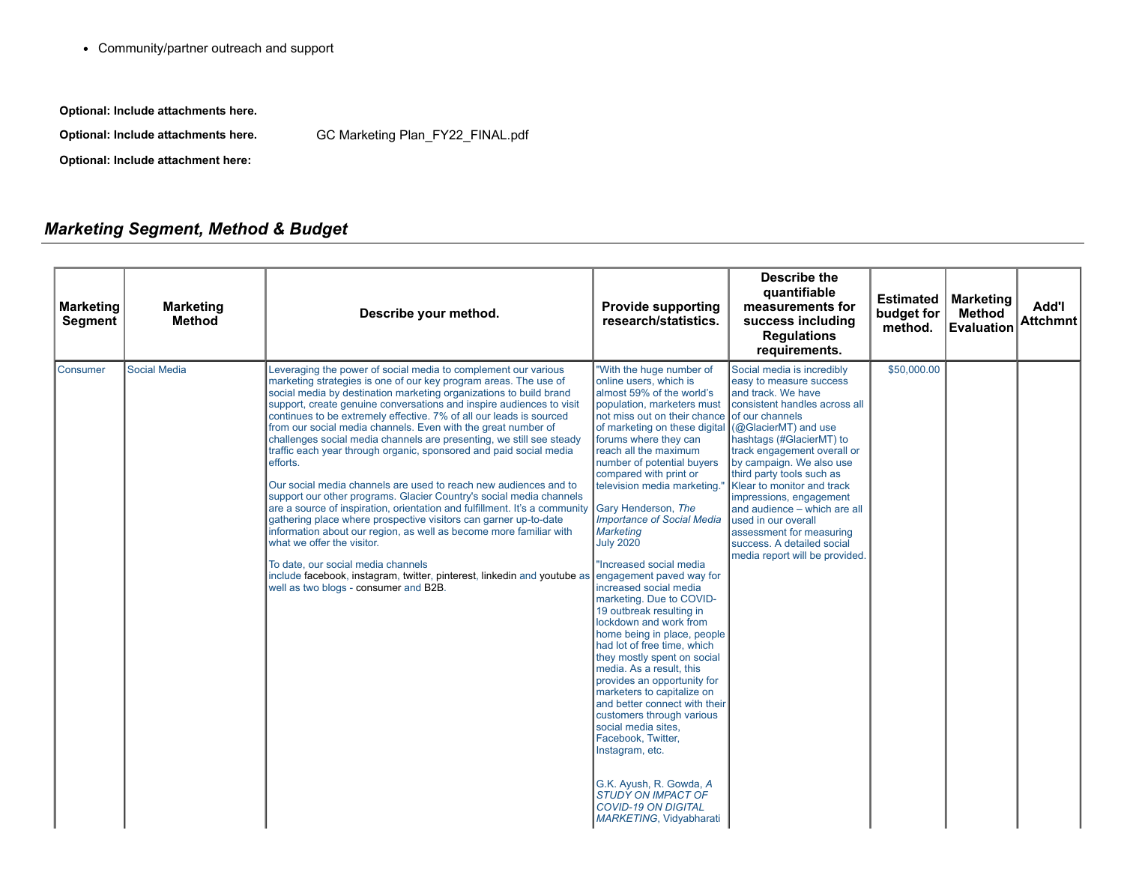Community/partner outreach and support

**Optional: Include attachments here.**

**Optional: Include attachments here.** GC Marketing [Plan\\_FY22\\_FINAL.pdf](https://funding.mt.gov/fileDownload.jsp?filename=1619468439659_GC+Marketing+Plan_FY22_FINAL.pdf)

**Optional: Include attachment here:**

# *Marketing Segment, Method & Budget*

| <b>Marketing</b><br><b>Segment</b> | <b>Marketing</b><br><b>Method</b> | Describe your method.                                                                                                                                                                                                                                                                                                                                                                                                                                                                                                                                                                                                                                                                                                                                                                                                                                                                                                                                                                                                                                                                                                                                                                       | <b>Provide supporting</b><br>research/statistics.                                                                                                                                                                                                                                                                                                                                                                                                                                                                                                                                                                                                                                                                                                                                                                                                                                                                                                                                   | <b>Describe the</b><br>quantifiable<br>measurements for<br>success including<br><b>Regulations</b><br>requirements.                                                                                                                                                                                                                                                                                                                                                       | budget for<br>method. | <b>Estimated   Marketing</b><br><b>Method</b><br><b>Evaluation</b> | Add'l<br><b>Attchmnt</b> |
|------------------------------------|-----------------------------------|---------------------------------------------------------------------------------------------------------------------------------------------------------------------------------------------------------------------------------------------------------------------------------------------------------------------------------------------------------------------------------------------------------------------------------------------------------------------------------------------------------------------------------------------------------------------------------------------------------------------------------------------------------------------------------------------------------------------------------------------------------------------------------------------------------------------------------------------------------------------------------------------------------------------------------------------------------------------------------------------------------------------------------------------------------------------------------------------------------------------------------------------------------------------------------------------|-------------------------------------------------------------------------------------------------------------------------------------------------------------------------------------------------------------------------------------------------------------------------------------------------------------------------------------------------------------------------------------------------------------------------------------------------------------------------------------------------------------------------------------------------------------------------------------------------------------------------------------------------------------------------------------------------------------------------------------------------------------------------------------------------------------------------------------------------------------------------------------------------------------------------------------------------------------------------------------|---------------------------------------------------------------------------------------------------------------------------------------------------------------------------------------------------------------------------------------------------------------------------------------------------------------------------------------------------------------------------------------------------------------------------------------------------------------------------|-----------------------|--------------------------------------------------------------------|--------------------------|
| Consumer                           | <b>Social Media</b>               | Leveraging the power of social media to complement our various<br>marketing strategies is one of our key program areas. The use of<br>social media by destination marketing organizations to build brand<br>support, create genuine conversations and inspire audiences to visit<br>continues to be extremely effective. 7% of all our leads is sourced<br>from our social media channels. Even with the great number of<br>challenges social media channels are presenting, we still see steady<br>traffic each year through organic, sponsored and paid social media<br>efforts.<br>Our social media channels are used to reach new audiences and to<br>support our other programs. Glacier Country's social media channels<br>are a source of inspiration, orientation and fulfillment. It's a community Gary Henderson, The<br>gathering place where prospective visitors can garner up-to-date<br>information about our region, as well as become more familiar with<br>what we offer the visitor.<br>To date, our social media channels<br>include facebook, instagram, twitter, pinterest, linkedin and youtube as engagement payed way for<br>well as two blogs - consumer and B2B. | "With the huge number of<br>online users, which is<br>lalmost 59% of the world's<br>not miss out on their chance of our channels<br>of marketing on these digital (@GlacierMT) and use<br>forums where they can<br>reach all the maximum<br>number of potential buyers<br>compared with print or<br>television media marketing."<br><b>Importance of Social Media</b><br>Marketing<br><b>July 2020</b><br>"Increased social media<br>increased social media<br>marketing. Due to COVID-<br>19 outbreak resulting in<br>lockdown and work from<br>home being in place, people<br>had lot of free time, which<br>they mostly spent on social<br>Imedia. As a result. this<br>provides an opportunity for<br>marketers to capitalize on<br>and better connect with their<br>customers through various<br>social media sites,<br>Facebook, Twitter,<br>Instagram, etc.<br>G.K. Ayush, R. Gowda, A<br><b>STUDY ON IMPACT OF</b><br><b>COVID-19 ON DIGITAL</b><br>MARKETING, Vidyabharati | Social media is incredibly<br>easy to measure success<br>and track. We have<br>Ipopulation. marketers must Iconsistent handles across all<br>hashtags (#GlacierMT) to<br>track engagement overall or<br>by campaign. We also use<br>third party tools such as<br>Klear to monitor and track<br>impressions, engagement<br>and audience - which are all<br>used in our overall<br>assessment for measuring<br>success. A detailed social<br>media report will be provided. | \$50,000.00           |                                                                    |                          |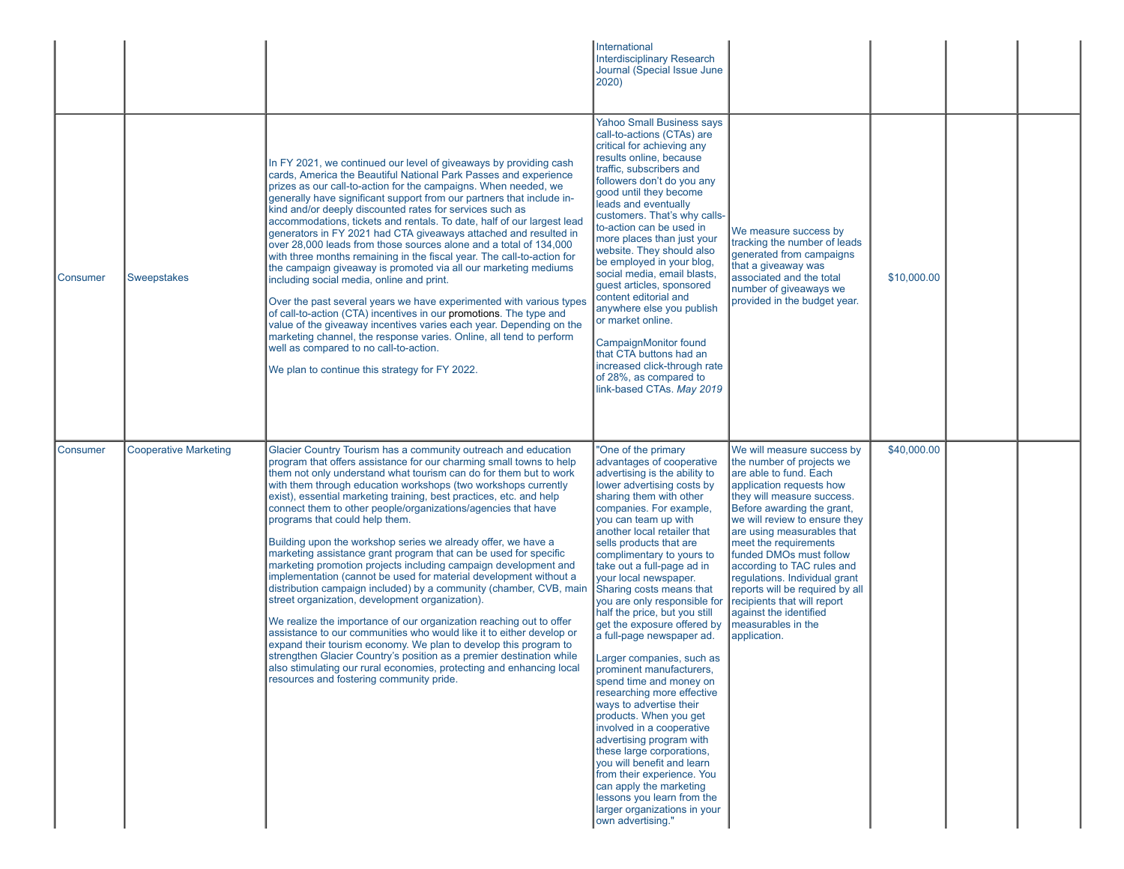|          |                              |                                                                                                                                                                                                                                                                                                                                                                                                                                                                                                                                                                                                                                                                                                                                                                                                                                                                                                                                                                                                                                                                                                                                                                                                                                                                             | International<br><b>Interdisciplinary Research</b><br>Journal (Special Issue June<br>2020)                                                                                                                                                                                                                                                                                                                                                                                                                                                                                                                                                                                                                                                                                                                                                                                                                                                  |                                                                                                                                                                                                                                                                                                                                                                                                                                                                                               |             |  |
|----------|------------------------------|-----------------------------------------------------------------------------------------------------------------------------------------------------------------------------------------------------------------------------------------------------------------------------------------------------------------------------------------------------------------------------------------------------------------------------------------------------------------------------------------------------------------------------------------------------------------------------------------------------------------------------------------------------------------------------------------------------------------------------------------------------------------------------------------------------------------------------------------------------------------------------------------------------------------------------------------------------------------------------------------------------------------------------------------------------------------------------------------------------------------------------------------------------------------------------------------------------------------------------------------------------------------------------|---------------------------------------------------------------------------------------------------------------------------------------------------------------------------------------------------------------------------------------------------------------------------------------------------------------------------------------------------------------------------------------------------------------------------------------------------------------------------------------------------------------------------------------------------------------------------------------------------------------------------------------------------------------------------------------------------------------------------------------------------------------------------------------------------------------------------------------------------------------------------------------------------------------------------------------------|-----------------------------------------------------------------------------------------------------------------------------------------------------------------------------------------------------------------------------------------------------------------------------------------------------------------------------------------------------------------------------------------------------------------------------------------------------------------------------------------------|-------------|--|
| Consumer | Sweepstakes                  | In FY 2021, we continued our level of giveaways by providing cash<br>cards, America the Beautiful National Park Passes and experience<br>prizes as our call-to-action for the campaigns. When needed, we<br>generally have significant support from our partners that include in-<br>kind and/or deeply discounted rates for services such as<br>accommodations, tickets and rentals. To date, half of our largest lead<br>generators in FY 2021 had CTA giveaways attached and resulted in<br>over 28,000 leads from those sources alone and a total of 134,000<br>with three months remaining in the fiscal year. The call-to-action for<br>the campaign giveaway is promoted via all our marketing mediums<br>including social media, online and print.<br>Over the past several years we have experimented with various types<br>of call-to-action (CTA) incentives in our promotions. The type and<br>value of the giveaway incentives varies each year. Depending on the<br>marketing channel, the response varies. Online, all tend to perform<br>well as compared to no call-to-action.<br>We plan to continue this strategy for FY 2022.                                                                                                                           | <b>Yahoo Small Business says</b><br>call-to-actions (CTAs) are<br>critical for achieving any<br>results online, because<br>traffic, subscribers and<br>followers don't do you any<br>good until they become<br>leads and eventually<br>customers. That's why calls-<br>to-action can be used in<br>more places than just your<br>website. They should also<br>be employed in your blog,<br>social media, email blasts,<br>guest articles, sponsored<br>content editorial and<br>anywhere else you publish<br>or market online.<br>CampaignMonitor found<br>that CTA buttons had an<br>increased click-through rate<br>of 28%, as compared to<br>link-based CTAs. May 2019                                                                                                                                                                                                                                                                   | We measure success by<br>tracking the number of leads<br>generated from campaigns<br>that a giveaway was<br>associated and the total<br>number of giveaways we<br>provided in the budget year.                                                                                                                                                                                                                                                                                                | \$10,000.00 |  |
| Consumer | <b>Cooperative Marketing</b> | Glacier Country Tourism has a community outreach and education<br>program that offers assistance for our charming small towns to help<br>them not only understand what tourism can do for them but to work<br>with them through education workshops (two workshops currently<br>exist), essential marketing training, best practices, etc. and help<br>connect them to other people/organizations/agencies that have<br>programs that could help them.<br>Building upon the workshop series we already offer, we have a<br>marketing assistance grant program that can be used for specific<br>marketing promotion projects including campaign development and<br>implementation (cannot be used for material development without a<br>distribution campaign included) by a community (chamber, CVB, main<br>street organization, development organization).<br>We realize the importance of our organization reaching out to offer<br>assistance to our communities who would like it to either develop or<br>expand their tourism economy. We plan to develop this program to<br>strengthen Glacier Country's position as a premier destination while<br>also stimulating our rural economies, protecting and enhancing local<br>resources and fostering community pride. | "One of the primary<br>advantages of cooperative<br>advertising is the ability to<br>lower advertising costs by<br>sharing them with other<br>companies. For example,<br>you can team up with<br>another local retailer that<br>sells products that are<br>complimentary to yours to<br>take out a full-page ad in<br>your local newspaper.<br>Sharing costs means that<br>you are only responsible for<br>half the price, but you still<br>get the exposure offered by<br>a full-page newspaper ad.<br>Larger companies, such as<br>prominent manufacturers,<br>spend time and money on<br>researching more effective<br>ways to advertise their<br>products. When you get<br>involved in a cooperative<br>advertising program with<br>these large corporations,<br>you will benefit and learn<br>from their experience. You<br>can apply the marketing<br>lessons you learn from the<br>larger organizations in your<br>own advertising." | We will measure success by<br>the number of projects we<br>are able to fund. Each<br>application requests how<br>they will measure success.<br>Before awarding the grant,<br>we will review to ensure they<br>are using measurables that<br>meet the requirements<br>funded DMOs must follow<br>according to TAC rules and<br>regulations. Individual grant<br>reports will be required by all<br>recipients that will report<br>against the identified<br>measurables in the<br>application. | \$40,000.00 |  |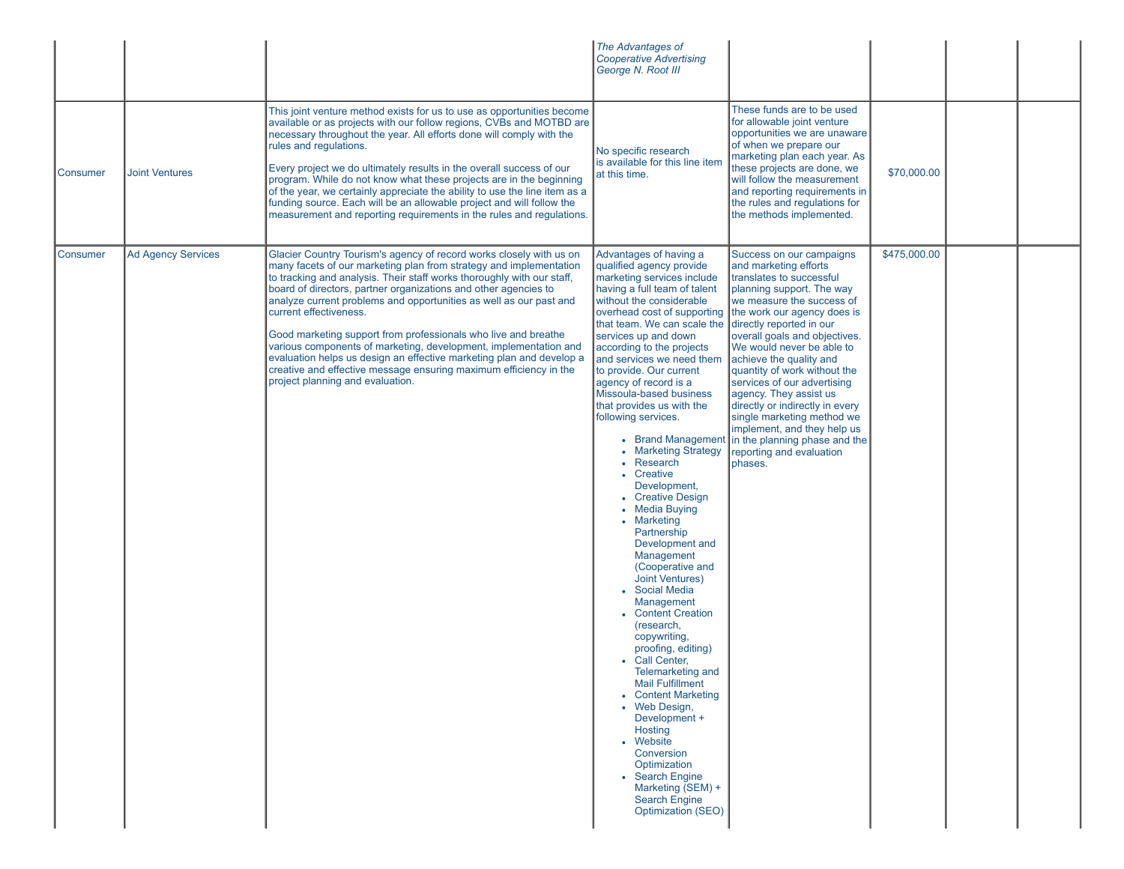|          |                           |                                                                                                                                                                                                                                                                                                                                                                                                                                                                                                                                                                                                                                                                                                               | The Advantages of<br><b>Cooperative Advertising</b><br>George N. Root III                                                                                                                                                                                                                                                                                                                                                                                                                                                                                                                                                                                                                                                                                                                                                                                                                                                                                                                                                         |                                                                                                                                                                                                                                                                                                                                                                                                                                                                                                                                                                                 |              |  |
|----------|---------------------------|---------------------------------------------------------------------------------------------------------------------------------------------------------------------------------------------------------------------------------------------------------------------------------------------------------------------------------------------------------------------------------------------------------------------------------------------------------------------------------------------------------------------------------------------------------------------------------------------------------------------------------------------------------------------------------------------------------------|-----------------------------------------------------------------------------------------------------------------------------------------------------------------------------------------------------------------------------------------------------------------------------------------------------------------------------------------------------------------------------------------------------------------------------------------------------------------------------------------------------------------------------------------------------------------------------------------------------------------------------------------------------------------------------------------------------------------------------------------------------------------------------------------------------------------------------------------------------------------------------------------------------------------------------------------------------------------------------------------------------------------------------------|---------------------------------------------------------------------------------------------------------------------------------------------------------------------------------------------------------------------------------------------------------------------------------------------------------------------------------------------------------------------------------------------------------------------------------------------------------------------------------------------------------------------------------------------------------------------------------|--------------|--|
| Consumer | <b>Joint Ventures</b>     | This joint venture method exists for us to use as opportunities become<br>available or as projects with our follow regions, CVBs and MOTBD are<br>necessary throughout the year. All efforts done will comply with the<br>rules and regulations.<br>Every project we do ultimately results in the overall success of our<br>program. While do not know what these projects are in the beginning<br>of the year, we certainly appreciate the ability to use the line item as a<br>funding source. Each will be an allowable project and will follow the<br>measurement and reporting requirements in the rules and regulations.                                                                                | No specific research<br>is available for this line item<br>at this time.                                                                                                                                                                                                                                                                                                                                                                                                                                                                                                                                                                                                                                                                                                                                                                                                                                                                                                                                                          | These funds are to be used<br>for allowable joint venture<br>opportunities we are unaware<br>of when we prepare our<br>marketing plan each year. As<br>these projects are done, we<br>will follow the measurement<br>and reporting requirements in<br>the rules and regulations for<br>the methods implemented.                                                                                                                                                                                                                                                                 | \$70,000.00  |  |
| Consumer | <b>Ad Agency Services</b> | Glacier Country Tourism's agency of record works closely with us on<br>many facets of our marketing plan from strategy and implementation<br>to tracking and analysis. Their staff works thoroughly with our staff,<br>board of directors, partner organizations and other agencies to<br>analyze current problems and opportunities as well as our past and<br>current effectiveness.<br>Good marketing support from professionals who live and breathe<br>various components of marketing, development, implementation and<br>evaluation helps us design an effective marketing plan and develop a<br>creative and effective message ensuring maximum efficiency in the<br>project planning and evaluation. | Advantages of having a<br>qualified agency provide<br>marketing services include<br>having a full team of talent<br>without the considerable<br>that team. We can scale the directly reported in our<br>services up and down<br>according to the projects<br>and services we need them<br>to provide. Our current<br>agency of record is a<br>Missoula-based business<br>that provides us with the<br>following services.<br>• Marketing Strategy<br>• Research<br>Creative<br>Development,<br>• Creative Design<br>• Media Buying<br>• Marketing<br>Partnership<br>Development and<br>Management<br>(Cooperative and<br>Joint Ventures)<br><b>Social Media</b><br>Management<br>• Content Creation<br>(research,<br>copywriting,<br>proofing, editing)<br>Call Center.<br>Telemarketing and<br><b>Mail Fulfillment</b><br><b>Content Marketing</b><br>• Web Design,<br>Development +<br>Hosting<br>• Website<br>Conversion<br>Optimization<br>• Search Engine<br>Marketing (SEM) +<br><b>Search Engine</b><br>Optimization (SEO) | Success on our campaigns<br>and marketing efforts<br>translates to successful<br>planning support. The way<br>we measure the success of<br>overhead cost of supporting the work our agency does is<br>overall goals and objectives.<br>We would never be able to<br>achieve the quality and<br>quantity of work without the<br>services of our advertising<br>agency. They assist us<br>directly or indirectly in every<br>single marketing method we<br>implement, and they help us<br>• Brand Management in the planning phase and the<br>reporting and evaluation<br>phases. | \$475,000.00 |  |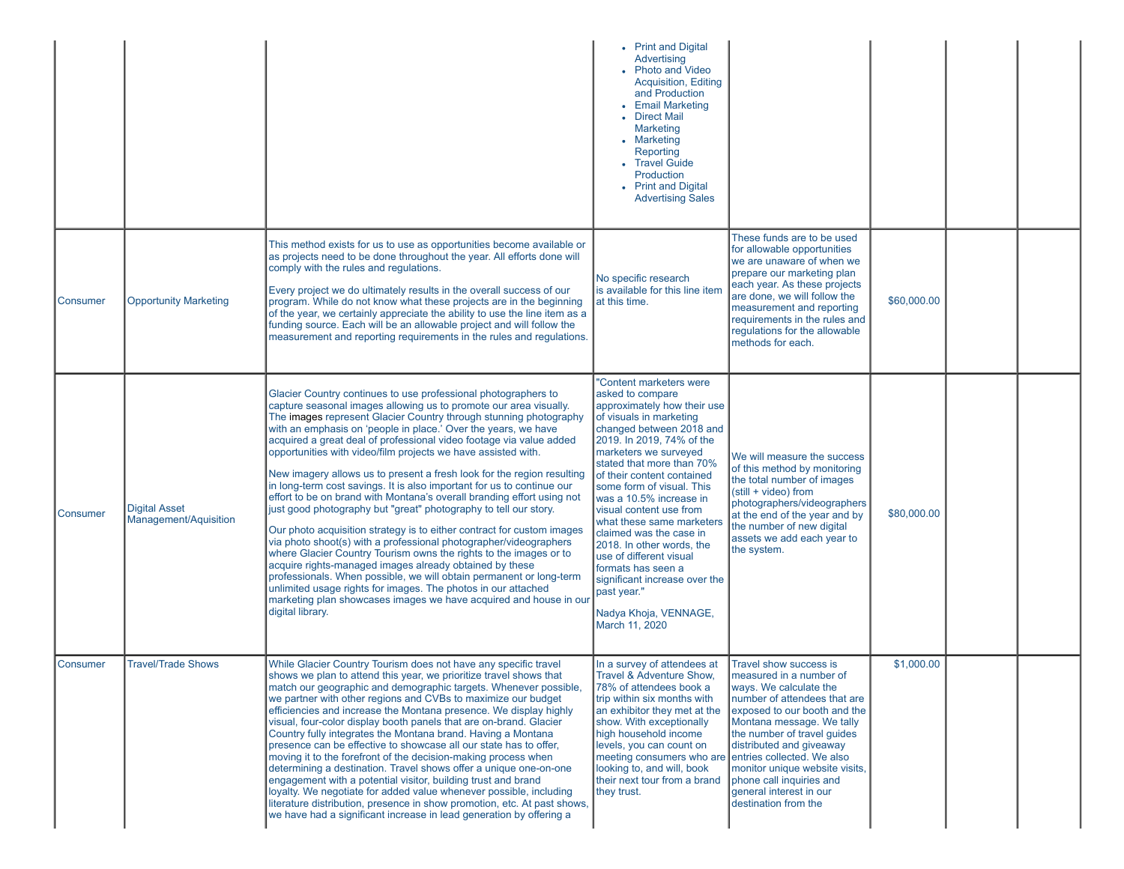|                 |                                               |                                                                                                                                                                                                                                                                                                                                                                                                                                                                                                                                                                                                                                                                                                                                                                                                                                                                                                                                                                                                                                                                                                                                                                                                                                      | • Print and Digital<br>Advertising<br>• Photo and Video<br>Acquisition, Editing<br>and Production<br>• Email Marketing<br>• Direct Mail<br><b>Marketing</b><br>• Marketing<br>Reporting<br>• Travel Guide<br><b>Production</b><br>• Print and Digital<br><b>Advertising Sales</b>                                                                                                                                                                                                                                                                                      |                                                                                                                                                                                                                                                                                                                                                       |             |  |
|-----------------|-----------------------------------------------|--------------------------------------------------------------------------------------------------------------------------------------------------------------------------------------------------------------------------------------------------------------------------------------------------------------------------------------------------------------------------------------------------------------------------------------------------------------------------------------------------------------------------------------------------------------------------------------------------------------------------------------------------------------------------------------------------------------------------------------------------------------------------------------------------------------------------------------------------------------------------------------------------------------------------------------------------------------------------------------------------------------------------------------------------------------------------------------------------------------------------------------------------------------------------------------------------------------------------------------|------------------------------------------------------------------------------------------------------------------------------------------------------------------------------------------------------------------------------------------------------------------------------------------------------------------------------------------------------------------------------------------------------------------------------------------------------------------------------------------------------------------------------------------------------------------------|-------------------------------------------------------------------------------------------------------------------------------------------------------------------------------------------------------------------------------------------------------------------------------------------------------------------------------------------------------|-------------|--|
| Consumer        | <b>Opportunity Marketing</b>                  | This method exists for us to use as opportunities become available or<br>as projects need to be done throughout the year. All efforts done will<br>comply with the rules and regulations.<br>Every project we do ultimately results in the overall success of our<br>program. While do not know what these projects are in the beginning<br>of the year, we certainly appreciate the ability to use the line item as a<br>funding source. Each will be an allowable project and will follow the<br>measurement and reporting requirements in the rules and regulations.                                                                                                                                                                                                                                                                                                                                                                                                                                                                                                                                                                                                                                                              | No specific research<br>is available for this line iten<br>at this time.                                                                                                                                                                                                                                                                                                                                                                                                                                                                                               | These funds are to be used<br>for allowable opportunities<br>we are unaware of when we<br>prepare our marketing plan<br>each year. As these projects<br>are done, we will follow the<br>measurement and reporting<br>requirements in the rules and<br>regulations for the allowable<br>methods for each.                                              | \$60,000.00 |  |
| Consumer        | <b>Digital Asset</b><br>Management/Aquisition | Glacier Country continues to use professional photographers to<br>capture seasonal images allowing us to promote our area visually.<br>The images represent Glacier Country through stunning photography<br>with an emphasis on 'people in place.' Over the years, we have<br>acquired a great deal of professional video footage via value added<br>opportunities with video/film projects we have assisted with.<br>New imagery allows us to present a fresh look for the region resulting<br>in long-term cost savings. It is also important for us to continue our<br>effort to be on brand with Montana's overall branding effort using not<br>just good photography but "great" photography to tell our story.<br>Our photo acquisition strategy is to either contract for custom images<br>via photo shoot(s) with a professional photographer/videographers<br>where Glacier Country Tourism owns the rights to the images or to<br>acquire rights-managed images already obtained by these<br>professionals. When possible, we will obtain permanent or long-term<br>unlimited usage rights for images. The photos in our attached<br>marketing plan showcases images we have acquired and house in our<br>digital library. | "Content marketers were<br>asked to compare<br>approximately how their use<br>of visuals in marketing<br>changed between 2018 and<br>2019. In 2019, 74% of the<br>marketers we surveyed<br>stated that more than 70%<br>of their content contained<br>some form of visual. This<br>was a 10.5% increase in<br>visual content use from<br>what these same marketers<br>claimed was the case in<br>2018. In other words, the<br>use of different visual<br>formats has seen a<br>significant increase over the<br>past year."<br>Nadya Khoja, VENNAGE,<br>March 11, 2020 | We will measure the success<br>of this method by monitoring<br>the total number of images<br>(still + video) from<br>photographers/videographers<br>at the end of the year and by<br>the number of new digital<br>assets we add each year to<br>the system.                                                                                           | \$80,000.00 |  |
| <b>Consumer</b> | <b>Travel/Trade Shows</b>                     | While Glacier Country Tourism does not have any specific travel<br>shows we plan to attend this year, we prioritize travel shows that<br>match our geographic and demographic targets. Whenever possible,<br>we partner with other regions and CVBs to maximize our budget<br>efficiencies and increase the Montana presence. We display highly<br>visual, four-color display booth panels that are on-brand. Glacier<br>Country fully integrates the Montana brand. Having a Montana<br>presence can be effective to showcase all our state has to offer,<br>moving it to the forefront of the decision-making process when<br>determining a destination. Travel shows offer a unique one-on-one<br>engagement with a potential visitor, building trust and brand<br>loyalty. We negotiate for added value whenever possible, including<br>literature distribution, presence in show promotion, etc. At past shows,<br>we have had a significant increase in lead generation by offering a                                                                                                                                                                                                                                          | In a survey of attendees at<br>Travel & Adventure Show,<br>78% of attendees book a<br>trip within six months with<br>an exhibitor they met at the<br>show. With exceptionally<br>high household income<br>levels, you can count on<br>meeting consumers who are entries collected. We also<br>looking to, and will, book<br>their next tour from a brand<br>they trust.                                                                                                                                                                                                | Travel show success is<br>∥measured in a number of<br>ways. We calculate the<br>number of attendees that are<br>exposed to our booth and the<br>Montana message. We tally<br>the number of travel guides<br>distributed and giveaway<br>monitor unique website visits,<br>phone call inquiries and<br>general interest in our<br>destination from the | \$1,000.00  |  |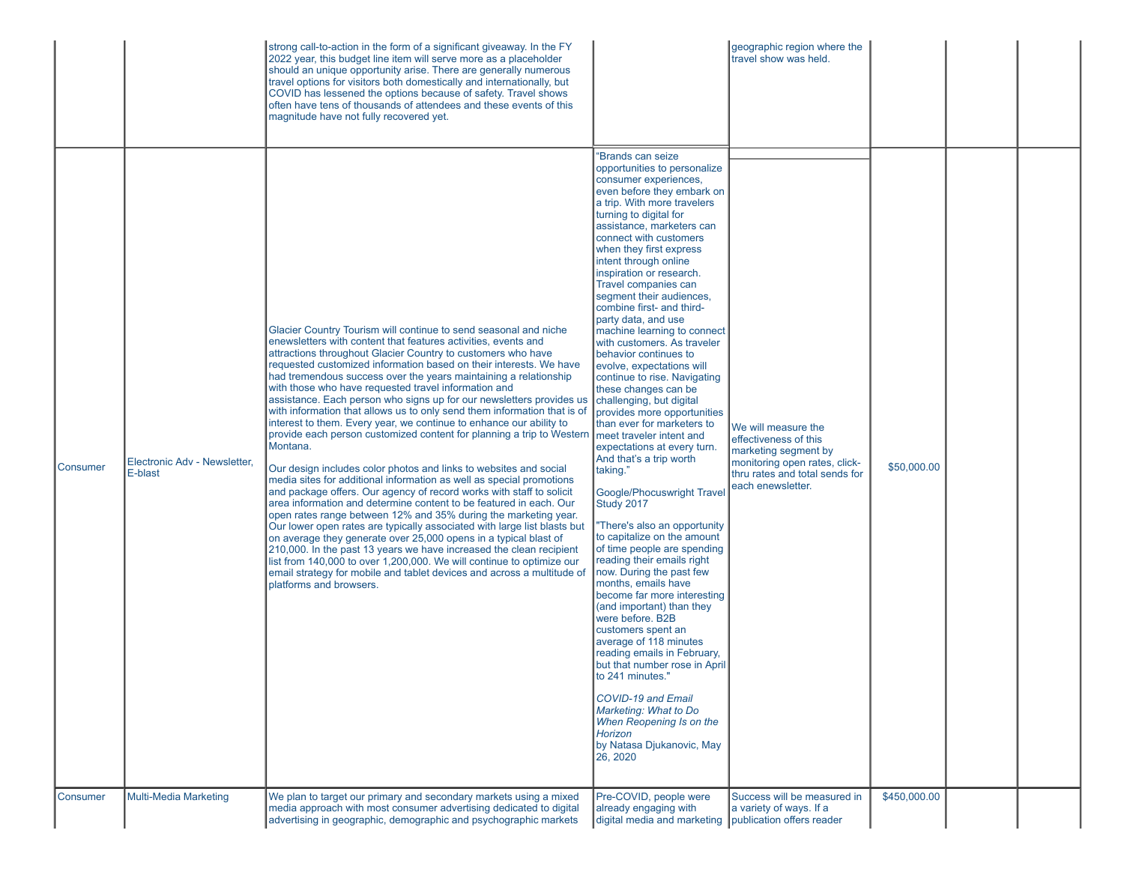|                                                     | strong call-to-action in the form of a significant giveaway. In the FY<br>2022 year, this budget line item will serve more as a placeholder<br>should an unique opportunity arise. There are generally numerous<br>travel options for visitors both domestically and internationally, but<br>COVID has lessened the options because of safety. Travel shows<br>often have tens of thousands of attendees and these events of this<br>magnitude have not fully recovered yet.                                                                                                                                                                                                                                                                                                                                                                                                                                                                                                                                                                                                                                                                                                                                                                                                                                                                                                                                                                                                                                       |                                                                                                                                                                                                                                                                                                                                                                                                                                                                                                                                                                                                                                                                                                                                                                                                                                                                                                                                                                                                                                                                                                                                                                                                                                                                                                                                                  | geographic region where the<br>travel show was held.                                                                                                         |              |  |
|-----------------------------------------------------|--------------------------------------------------------------------------------------------------------------------------------------------------------------------------------------------------------------------------------------------------------------------------------------------------------------------------------------------------------------------------------------------------------------------------------------------------------------------------------------------------------------------------------------------------------------------------------------------------------------------------------------------------------------------------------------------------------------------------------------------------------------------------------------------------------------------------------------------------------------------------------------------------------------------------------------------------------------------------------------------------------------------------------------------------------------------------------------------------------------------------------------------------------------------------------------------------------------------------------------------------------------------------------------------------------------------------------------------------------------------------------------------------------------------------------------------------------------------------------------------------------------------|--------------------------------------------------------------------------------------------------------------------------------------------------------------------------------------------------------------------------------------------------------------------------------------------------------------------------------------------------------------------------------------------------------------------------------------------------------------------------------------------------------------------------------------------------------------------------------------------------------------------------------------------------------------------------------------------------------------------------------------------------------------------------------------------------------------------------------------------------------------------------------------------------------------------------------------------------------------------------------------------------------------------------------------------------------------------------------------------------------------------------------------------------------------------------------------------------------------------------------------------------------------------------------------------------------------------------------------------------|--------------------------------------------------------------------------------------------------------------------------------------------------------------|--------------|--|
| Electronic Adv - Newsletter.<br>Consumer<br>E-blast | Glacier Country Tourism will continue to send seasonal and niche<br>enewsletters with content that features activities, events and<br>attractions throughout Glacier Country to customers who have<br>requested customized information based on their interests. We have<br>had tremendous success over the years maintaining a relationship<br>with those who have requested travel information and<br>assistance. Each person who signs up for our newsletters provides us<br>with information that allows us to only send them information that is of<br>interest to them. Every year, we continue to enhance our ability to<br>provide each person customized content for planning a trip to Western   meet traveler intent and<br>Montana.<br>Our design includes color photos and links to websites and social<br>media sites for additional information as well as special promotions<br>and package offers. Our agency of record works with staff to solicit<br>area information and determine content to be featured in each. Our<br>open rates range between 12% and 35% during the marketing year.<br>Our lower open rates are typically associated with large list blasts but<br>on average they generate over 25,000 opens in a typical blast of<br>210,000. In the past 13 years we have increased the clean recipient<br>list from 140,000 to over 1,200,000. We will continue to optimize our<br>email strategy for mobile and tablet devices and across a multitude of<br>platforms and browsers. | "Brands can seize<br>opportunities to personalize<br>consumer experiences,<br>even before they embark on<br>a trip. With more travelers<br>turning to digital for<br>assistance, marketers can<br>connect with customers<br>when they first express<br>intent through online<br>inspiration or research.<br>Travel companies can<br>segment their audiences,<br>combine first- and third-<br>party data, and use<br>machine learning to connect<br>with customers. As traveler<br>behavior continues to<br>evolve, expectations will<br>continue to rise. Navigating<br>these changes can be<br>challenging, but digital<br>provides more opportunities<br>than ever for marketers to<br>expectations at every turn.<br>And that's a trip worth<br>taking."<br>Google/Phocuswright Travel<br>Study 2017<br>"There's also an opportunity<br>to capitalize on the amount<br>of time people are spending<br>reading their emails right<br>now. During the past few<br>months, emails have<br>become far more interesting<br>(and important) than they<br>were before. B2B<br>customers spent an<br>average of 118 minutes<br>reading emails in February,<br>but that number rose in April<br>to 241 minutes."<br><b>COVID-19 and Email</b><br>Marketing: What to Do<br>When Reopening Is on the<br>Horizon<br>by Natasa Djukanovic, May<br>26, 2020 | We will measure the<br>effectiveness of this<br>marketing segment by<br>monitoring open rates, click-<br>thru rates and total sends for<br>each enewsletter. | \$50,000.00  |  |
| Consumer<br><b>Multi-Media Marketing</b>            | We plan to target our primary and secondary markets using a mixed<br>media approach with most consumer advertising dedicated to digital<br>advertising in geographic, demographic and psychographic markets                                                                                                                                                                                                                                                                                                                                                                                                                                                                                                                                                                                                                                                                                                                                                                                                                                                                                                                                                                                                                                                                                                                                                                                                                                                                                                        | Pre-COVID, people were<br>already engaging with<br>digital media and marketing publication offers reader                                                                                                                                                                                                                                                                                                                                                                                                                                                                                                                                                                                                                                                                                                                                                                                                                                                                                                                                                                                                                                                                                                                                                                                                                                         | Success will be measured in<br>a variety of ways. If a                                                                                                       | \$450,000.00 |  |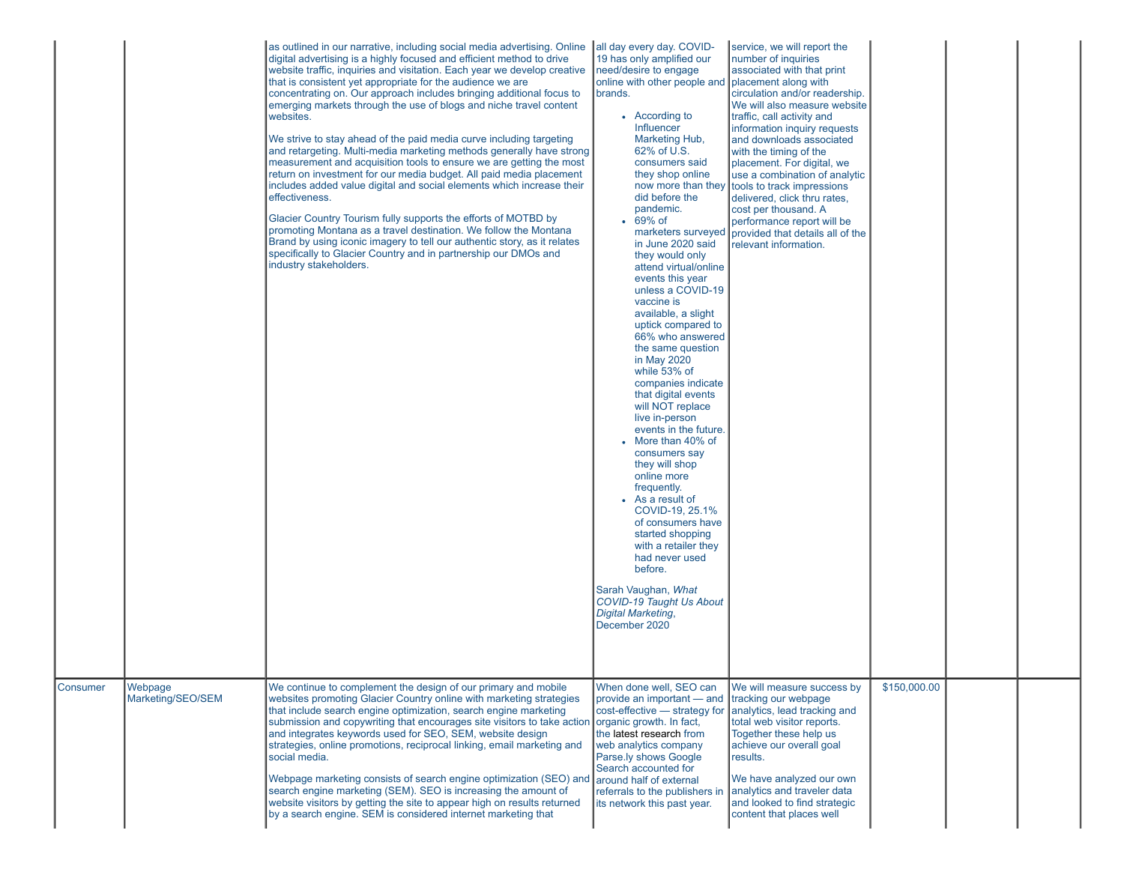|          |                              | as outlined in our narrative, including social media advertising. Online<br>digital advertising is a highly focused and efficient method to drive<br>website traffic, inquiries and visitation. Each year we develop creative<br>that is consistent yet appropriate for the audience we are<br>concentrating on. Our approach includes bringing additional focus to<br>emerging markets through the use of blogs and niche travel content<br>websites.<br>We strive to stay ahead of the paid media curve including targeting<br>and retargeting. Multi-media marketing methods generally have strong<br>measurement and acquisition tools to ensure we are getting the most<br>return on investment for our media budget. All paid media placement<br>includes added value digital and social elements which increase their<br>effectiveness.<br>Glacier Country Tourism fully supports the efforts of MOTBD by<br>promoting Montana as a travel destination. We follow the Montana<br>Brand by using iconic imagery to tell our authentic story, as it relates<br>specifically to Glacier Country and in partnership our DMOs and<br>industry stakeholders. | all day every day. COVID-<br>19 has only amplified our<br>need/desire to engage<br>online with other people and placement along with<br>brands.<br>• According to<br><b>Influencer</b><br>Marketing Hub,<br>62% of U.S.<br>consumers said<br>they shop online<br>now more than they<br>did before the<br>pandemic.<br>$\cdot$ 69% of<br>in June 2020 said<br>they would only<br>attend virtual/online<br>events this year<br>unless a COVID-19<br>vaccine is<br>available, a slight<br>uptick compared to<br>66% who answered<br>the same question<br>in May 2020<br>while 53% of<br>companies indicate<br>that digital events<br>will NOT replace<br>live in-person<br>events in the future.<br>• More than 40% of<br>consumers say<br>they will shop<br>online more<br>frequently.<br>As a result of<br>COVID-19, 25.1%<br>of consumers have<br>started shopping<br>with a retailer they<br>had never used<br>before.<br>Sarah Vaughan, What<br>COVID-19 Taught Us About<br><b>Digital Marketing,</b><br>December 2020 | service, we will report the<br>number of inquiries<br>associated with that print<br>circulation and/or readership.<br>We will also measure website<br>traffic, call activity and<br>information inquiry requests<br>and downloads associated<br>with the timing of the<br>placement. For digital, we<br>use a combination of analytic<br>tools to track impressions<br>delivered, click thru rates,<br>cost per thousand. A<br>performance report will be<br>marketers surveyed provided that details all of the<br>relevant information. |              |  |
|----------|------------------------------|---------------------------------------------------------------------------------------------------------------------------------------------------------------------------------------------------------------------------------------------------------------------------------------------------------------------------------------------------------------------------------------------------------------------------------------------------------------------------------------------------------------------------------------------------------------------------------------------------------------------------------------------------------------------------------------------------------------------------------------------------------------------------------------------------------------------------------------------------------------------------------------------------------------------------------------------------------------------------------------------------------------------------------------------------------------------------------------------------------------------------------------------------------------|--------------------------------------------------------------------------------------------------------------------------------------------------------------------------------------------------------------------------------------------------------------------------------------------------------------------------------------------------------------------------------------------------------------------------------------------------------------------------------------------------------------------------------------------------------------------------------------------------------------------------------------------------------------------------------------------------------------------------------------------------------------------------------------------------------------------------------------------------------------------------------------------------------------------------------------------------------------------------------------------------------------------------|-------------------------------------------------------------------------------------------------------------------------------------------------------------------------------------------------------------------------------------------------------------------------------------------------------------------------------------------------------------------------------------------------------------------------------------------------------------------------------------------------------------------------------------------|--------------|--|
| Consumer | Webpage<br>Marketing/SEO/SEM | We continue to complement the design of our primary and mobile<br>websites promoting Glacier Country online with marketing strategies<br>that include search engine optimization, search engine marketing<br>submission and copywriting that encourages site visitors to take action<br>and integrates keywords used for SEO, SEM, website design<br>strategies, online promotions, reciprocal linking, email marketing and<br>social media.<br>Webpage marketing consists of search engine optimization (SEO) and<br>search engine marketing (SEM). SEO is increasing the amount of<br>website visitors by getting the site to appear high on results returned<br>by a search engine. SEM is considered internet marketing that                                                                                                                                                                                                                                                                                                                                                                                                                              | When done well, SEO can<br>provide an important - and<br>cost-effective - strategy for<br>organic growth. In fact,<br>the latest research from<br>web analytics company<br>Parse.ly shows Google<br>Search accounted for<br>around half of external<br>referrals to the publishers in<br>its network this past year.                                                                                                                                                                                                                                                                                                                                                                                                                                                                                                                                                                                                                                                                                                     | We will measure success by<br>tracking our webpage<br>analytics, lead tracking and<br>total web visitor reports.<br>Together these help us<br>achieve our overall goal<br>results.<br>We have analyzed our own<br>analytics and traveler data<br>and looked to find strategic<br>content that places well                                                                                                                                                                                                                                 | \$150,000.00 |  |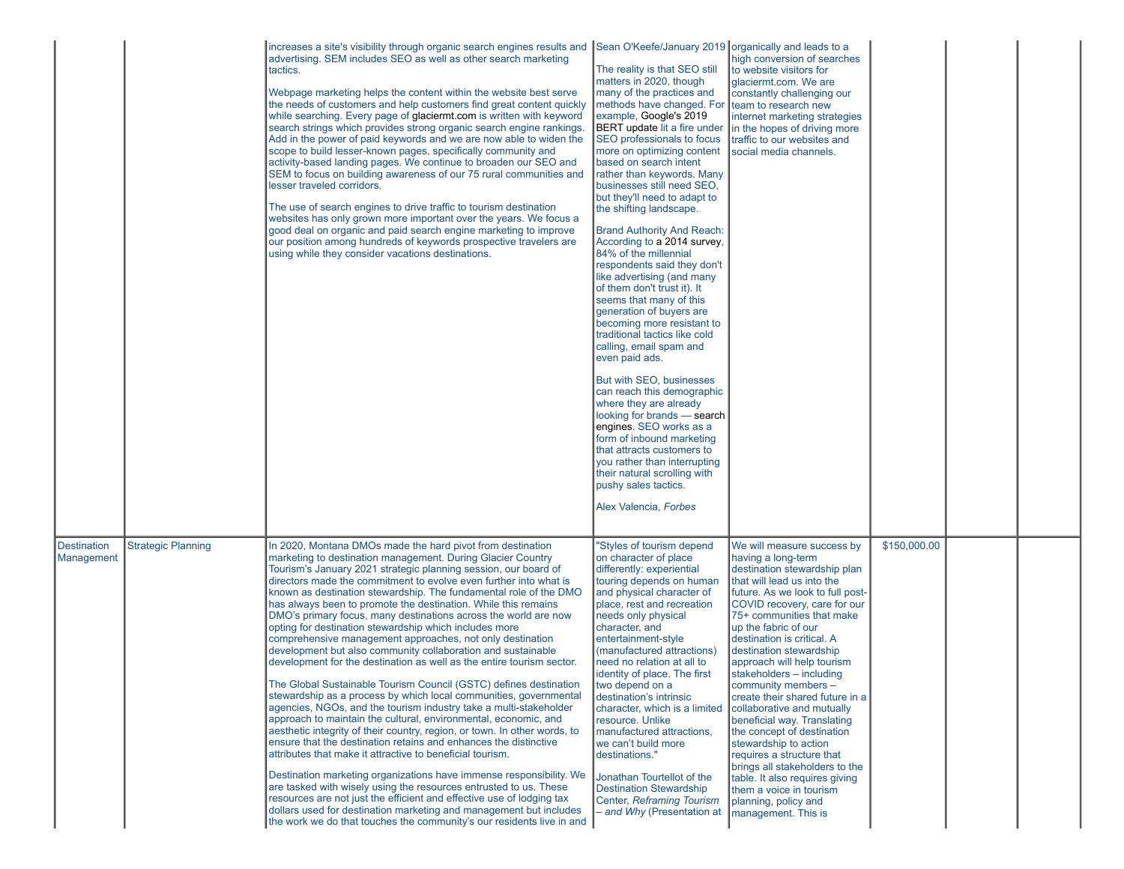|                                  |                           | increases a site's visibility through organic search engines results and Sean O'Keefe/January 2019 organically and leads to a<br>advertising. SEM includes SEO as well as other search marketing<br>tactics.<br>Webpage marketing helps the content within the website best serve<br>the needs of customers and help customers find great content quickly<br>while searching. Every page of glaciermt.com is written with keyword<br>search strings which provides strong organic search engine rankings.<br>Add in the power of paid keywords and we are now able to widen the<br>scope to build lesser-known pages, specifically community and<br>activity-based landing pages. We continue to broaden our SEO and<br>SEM to focus on building awareness of our 75 rural communities and<br>lesser traveled corridors.<br>The use of search engines to drive traffic to tourism destination<br>websites has only grown more important over the years. We focus a<br>good deal on organic and paid search engine marketing to improve<br>our position among hundreds of keywords prospective travelers are<br>using while they consider vacations destinations.                                                                                                                                                                                                                                                                                                                                                                                                                                                | The reality is that SEO still<br>matters in 2020, though<br>many of the practices and<br>methods have changed. For team to research new<br>example, Google's 2019<br>BERT update lit a fire under in the hopes of driving more<br>SEO professionals to focus<br>more on optimizing content<br>based on search intent<br>rather than keywords. Many<br>businesses still need SEO.<br>but they'll need to adapt to<br>the shifting landscape.<br><b>Brand Authority And Reach:</b><br>According to a 2014 survey,<br>84% of the millennial<br>respondents said they don't<br>like advertising (and many<br>of them don't trust it). It<br>seems that many of this<br>generation of buyers are<br>becoming more resistant to<br>traditional tactics like cold<br>calling, email spam and<br>even paid ads.<br>But with SEO, businesses<br>can reach this demographic<br>where they are already<br>looking for brands - search<br>engines. SEO works as a<br>form of inbound marketing<br>that attracts customers to<br>you rather than interrupting<br>their natural scrolling with<br>pushy sales tactics.<br>Alex Valencia, Forbes | high conversion of searches<br>to website visitors for<br>glaciermt.com. We are<br>constantly challenging our<br>internet marketing strategies<br>traffic to our websites and<br>social media channels.                                                                                                                                                                                                                                                                                                                                                                                                                                                                                                              |              |  |
|----------------------------------|---------------------------|-----------------------------------------------------------------------------------------------------------------------------------------------------------------------------------------------------------------------------------------------------------------------------------------------------------------------------------------------------------------------------------------------------------------------------------------------------------------------------------------------------------------------------------------------------------------------------------------------------------------------------------------------------------------------------------------------------------------------------------------------------------------------------------------------------------------------------------------------------------------------------------------------------------------------------------------------------------------------------------------------------------------------------------------------------------------------------------------------------------------------------------------------------------------------------------------------------------------------------------------------------------------------------------------------------------------------------------------------------------------------------------------------------------------------------------------------------------------------------------------------------------------------------------------------------------------------------------------------------------------|-----------------------------------------------------------------------------------------------------------------------------------------------------------------------------------------------------------------------------------------------------------------------------------------------------------------------------------------------------------------------------------------------------------------------------------------------------------------------------------------------------------------------------------------------------------------------------------------------------------------------------------------------------------------------------------------------------------------------------------------------------------------------------------------------------------------------------------------------------------------------------------------------------------------------------------------------------------------------------------------------------------------------------------------------------------------------------------------------------------------------------------|----------------------------------------------------------------------------------------------------------------------------------------------------------------------------------------------------------------------------------------------------------------------------------------------------------------------------------------------------------------------------------------------------------------------------------------------------------------------------------------------------------------------------------------------------------------------------------------------------------------------------------------------------------------------------------------------------------------------|--------------|--|
| <b>Destination</b><br>Management | <b>Strategic Planning</b> | In 2020, Montana DMOs made the hard pivot from destination<br>marketing to destination management. During Glacier Country<br>Tourism's January 2021 strategic planning session, our board of<br>directors made the commitment to evolve even further into what is<br>known as destination stewardship. The fundamental role of the DMO<br>has always been to promote the destination. While this remains<br>DMO's primary focus, many destinations across the world are now<br>opting for destination stewardship which includes more<br>comprehensive management approaches, not only destination<br>development but also community collaboration and sustainable<br>development for the destination as well as the entire tourism sector.<br>The Global Sustainable Tourism Council (GSTC) defines destination<br>stewardship as a process by which local communities, governmental<br>agencies, NGOs, and the tourism industry take a multi-stakeholder<br>approach to maintain the cultural, environmental, economic, and<br>aesthetic integrity of their country, region, or town. In other words, to<br>ensure that the destination retains and enhances the distinctive<br>attributes that make it attractive to beneficial tourism.<br>Destination marketing organizations have immense responsibility. We<br>are tasked with wisely using the resources entrusted to us. These<br>resources are not just the efficient and effective use of lodging tax<br>dollars used for destination marketing and management but includes<br>the work we do that touches the community's our residents live in and | "Styles of tourism depend<br>on character of place<br>differently: experiential<br>touring depends on human<br>and physical character of<br>place, rest and recreation<br>needs only physical<br>character, and<br>entertainment-style<br>(manufactured attractions)<br>need no relation at all to<br>identity of place. The first<br>two depend on a<br>destination's intrinsic<br>character, which is a limited<br>resource. Unlike<br>manufactured attractions,<br>we can't build more<br>destinations."<br>Jonathan Tourtellot of the<br><b>Destination Stewardship</b><br>Center, Reframing Tourism<br>- and Why (Presentation at                                                                                                                                                                                                                                                                                                                                                                                                                                                                                            | We will measure success by<br>having a long-term<br>destination stewardship plan<br>that will lead us into the<br>future. As we look to full post-<br>COVID recovery, care for our<br>75+ communities that make<br>up the fabric of our<br>destination is critical. A<br>destination stewardship<br>approach will help tourism<br>∥stakeholders – including<br>community members -<br>create their shared future in a<br>collaborative and mutually<br>beneficial way. Translating<br>the concept of destination<br>stewardship to action<br>requires a structure that<br>brings all stakeholders to the<br>table. It also requires giving<br>them a voice in tourism<br>planning, policy and<br>management. This is | \$150,000.00 |  |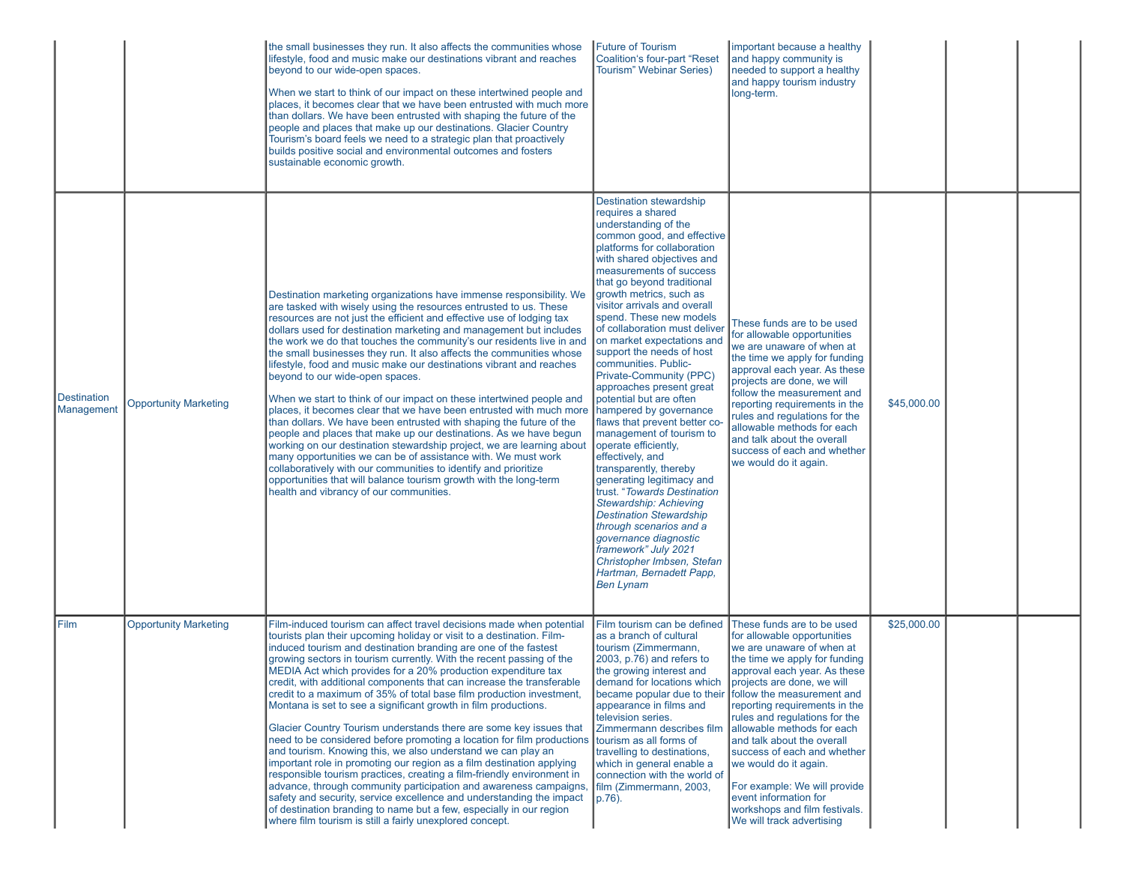|                                  |                              | the small businesses they run. It also affects the communities whose<br>lifestyle, food and music make our destinations vibrant and reaches<br>beyond to our wide-open spaces.<br>When we start to think of our impact on these intertwined people and<br>places, it becomes clear that we have been entrusted with much more<br>than dollars. We have been entrusted with shaping the future of the<br>people and places that make up our destinations. Glacier Country<br>Tourism's board feels we need to a strategic plan that proactively<br>builds positive social and environmental outcomes and fosters<br>sustainable economic growth.                                                                                                                                                                                                                                                                                                                                                                                                                                                                                                                                                                                  | <b>Future of Tourism</b><br><b>Coalition's four-part "Reset</b><br><b>Tourism</b> " Webinar Series)                                                                                                                                                                                                                                                                                                                                                                                                                                                                                                                                                                                                                                                                                                                                                                                                                                                                       | important because a healthy<br>and happy community is<br>needed to support a healthy<br>and happy tourism industry<br>long-term.                                                                                                                                                                                                                                                                                                                                                                                                                              |             |  |
|----------------------------------|------------------------------|----------------------------------------------------------------------------------------------------------------------------------------------------------------------------------------------------------------------------------------------------------------------------------------------------------------------------------------------------------------------------------------------------------------------------------------------------------------------------------------------------------------------------------------------------------------------------------------------------------------------------------------------------------------------------------------------------------------------------------------------------------------------------------------------------------------------------------------------------------------------------------------------------------------------------------------------------------------------------------------------------------------------------------------------------------------------------------------------------------------------------------------------------------------------------------------------------------------------------------|---------------------------------------------------------------------------------------------------------------------------------------------------------------------------------------------------------------------------------------------------------------------------------------------------------------------------------------------------------------------------------------------------------------------------------------------------------------------------------------------------------------------------------------------------------------------------------------------------------------------------------------------------------------------------------------------------------------------------------------------------------------------------------------------------------------------------------------------------------------------------------------------------------------------------------------------------------------------------|---------------------------------------------------------------------------------------------------------------------------------------------------------------------------------------------------------------------------------------------------------------------------------------------------------------------------------------------------------------------------------------------------------------------------------------------------------------------------------------------------------------------------------------------------------------|-------------|--|
| <b>Destination</b><br>Management | <b>Opportunity Marketing</b> | Destination marketing organizations have immense responsibility. We<br>are tasked with wisely using the resources entrusted to us. These<br>resources are not just the efficient and effective use of lodging tax<br>dollars used for destination marketing and management but includes<br>the work we do that touches the community's our residents live in and<br>the small businesses they run. It also affects the communities whose<br>lifestyle, food and music make our destinations vibrant and reaches<br>beyond to our wide-open spaces.<br>When we start to think of our impact on these intertwined people and<br>places, it becomes clear that we have been entrusted with much more<br>than dollars. We have been entrusted with shaping the future of the<br>people and places that make up our destinations. As we have begun<br>working on our destination stewardship project, we are learning about<br>many opportunities we can be of assistance with. We must work<br>collaboratively with our communities to identify and prioritize<br>opportunities that will balance tourism growth with the long-term<br>health and vibrancy of our communities.                                                       | <b>Destination stewardship</b><br>requires a shared<br>understanding of the<br>common good, and effective<br>platforms for collaboration<br>with shared objectives and<br>measurements of success<br>that go beyond traditional<br>growth metrics, such as<br>visitor arrivals and overall<br>spend. These new models<br>of collaboration must deliver<br>on market expectations and<br>support the needs of host<br>communities. Public-<br>Private-Community (PPC)<br>approaches present great<br>potential but are often<br>hampered by governance<br>flaws that prevent better co<br>management of tourism to<br>operate efficiently,<br>effectively, and<br>transparently, thereby<br>generating legitimacy and<br>trust. "Towards Destination<br>Stewardship: Achieving<br><b>Destination Stewardship</b><br>through scenarios and a<br>governance diagnostic<br>framework" July 2021<br>Christopher Imbsen, Stefan<br>Hartman, Bernadett Papp,<br><b>Ben Lynam</b> | These funds are to be used<br>for allowable opportunities<br>we are unaware of when at<br>the time we apply for funding<br>approval each year. As these<br>projects are done, we will<br>follow the measurement and<br>reporting requirements in the<br>rules and regulations for the<br>allowable methods for each<br>and talk about the overall<br>success of each and whether<br>we would do it again.                                                                                                                                                     | \$45,000.00 |  |
| Film                             | <b>Opportunity Marketing</b> | Film-induced tourism can affect travel decisions made when potential<br>tourists plan their upcoming holiday or visit to a destination. Film-<br>induced tourism and destination branding are one of the fastest<br>growing sectors in tourism currently. With the recent passing of the<br>MEDIA Act which provides for a 20% production expenditure tax<br>credit, with additional components that can increase the transferable<br>credit to a maximum of 35% of total base film production investment,<br>Montana is set to see a significant growth in film productions.<br>Glacier Country Tourism understands there are some key issues that<br>need to be considered before promoting a location for film productions<br>and tourism. Knowing this, we also understand we can play an<br>important role in promoting our region as a film destination applying<br>responsible tourism practices, creating a film-friendly environment in<br>advance, through community participation and awareness campaigns,<br>safety and security, service excellence and understanding the impact<br>of destination branding to name but a few, especially in our region<br>where film tourism is still a fairly unexplored concept. | Film tourism can be defined<br>as a branch of cultural<br>tourism (Zimmermann,<br>2003, p.76) and refers to<br>the growing interest and<br>demand for locations which<br>appearance in films and<br>television series.<br>Zimmermann describes film<br>tourism as all forms of<br>travelling to destinations,<br>which in general enable a<br>connection with the world of<br>film (Zimmermann, 2003,<br>p.76).                                                                                                                                                                                                                                                                                                                                                                                                                                                                                                                                                           | These funds are to be used<br>for allowable opportunities<br>lwe are unaware of when at<br>the time we apply for funding<br>approval each year. As these<br>projects are done, we will<br>became popular due to their follow the measurement and<br>reporting requirements in the<br>rules and regulations for the<br>allowable methods for each<br>and talk about the overall<br>success of each and whether<br>we would do it again.<br>For example: We will provide<br>event information for<br>workshops and film festivals.<br>We will track advertising | \$25,000.00 |  |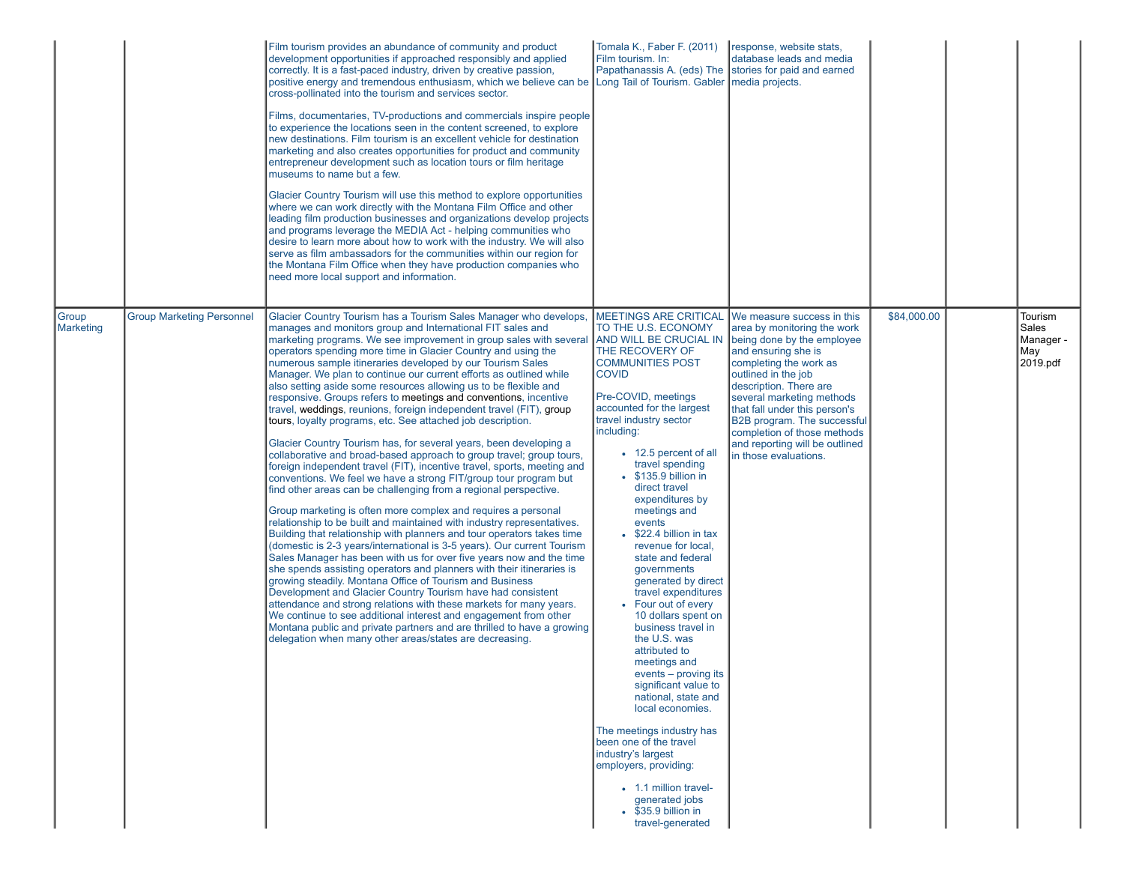|                    |                                  | Film tourism provides an abundance of community and product<br>development opportunities if approached responsibly and applied<br>correctly. It is a fast-paced industry, driven by creative passion,<br>positive energy and tremendous enthusiasm, which we believe can be Long Tail of Tourism. Gabler media projects.<br>cross-pollinated into the tourism and services sector.<br>Films, documentaries, TV-productions and commercials inspire people<br>to experience the locations seen in the content screened, to explore<br>new destinations. Film tourism is an excellent vehicle for destination<br>marketing and also creates opportunities for product and community<br>entrepreneur development such as location tours or film heritage<br>museums to name but a few.<br>Glacier Country Tourism will use this method to explore opportunities<br>where we can work directly with the Montana Film Office and other<br>leading film production businesses and organizations develop projects<br>and programs leverage the MEDIA Act - helping communities who<br>desire to learn more about how to work with the industry. We will also<br>serve as film ambassadors for the communities within our region for<br>the Montana Film Office when they have production companies who<br>need more local support and information.                                                                                                                                                                                                                                                                                                                                                                                                                                                                                                                                                                        | Tomala K., Faber F. (2011)<br>Film tourism. In:<br>Papathanassis A. (eds) The stories for paid and earned                                                                                                                                                                                                                                                                                                                                                                                                                                                                                                                                                                                                                                                                                                                                                                                                                                            | response, website stats,<br>Idatabase leads and media                                                                                                                                                                                                                                                                                                     |             |                                                   |
|--------------------|----------------------------------|--------------------------------------------------------------------------------------------------------------------------------------------------------------------------------------------------------------------------------------------------------------------------------------------------------------------------------------------------------------------------------------------------------------------------------------------------------------------------------------------------------------------------------------------------------------------------------------------------------------------------------------------------------------------------------------------------------------------------------------------------------------------------------------------------------------------------------------------------------------------------------------------------------------------------------------------------------------------------------------------------------------------------------------------------------------------------------------------------------------------------------------------------------------------------------------------------------------------------------------------------------------------------------------------------------------------------------------------------------------------------------------------------------------------------------------------------------------------------------------------------------------------------------------------------------------------------------------------------------------------------------------------------------------------------------------------------------------------------------------------------------------------------------------------------------------------------------------------------------------------------------------------------------------------|------------------------------------------------------------------------------------------------------------------------------------------------------------------------------------------------------------------------------------------------------------------------------------------------------------------------------------------------------------------------------------------------------------------------------------------------------------------------------------------------------------------------------------------------------------------------------------------------------------------------------------------------------------------------------------------------------------------------------------------------------------------------------------------------------------------------------------------------------------------------------------------------------------------------------------------------------|-----------------------------------------------------------------------------------------------------------------------------------------------------------------------------------------------------------------------------------------------------------------------------------------------------------------------------------------------------------|-------------|---------------------------------------------------|
| Group<br>Marketing | <b>Group Marketing Personnel</b> | Glacier Country Tourism has a Tourism Sales Manager who develops,<br>manages and monitors group and International FIT sales and<br>marketing programs. We see improvement in group sales with several<br>operators spending more time in Glacier Country and using the<br>numerous sample itineraries developed by our Tourism Sales<br>Manager. We plan to continue our current efforts as outlined while<br>also setting aside some resources allowing us to be flexible and<br>responsive. Groups refers to meetings and conventions, incentive<br>travel, weddings, reunions, foreign independent travel (FIT), group<br>tours, loyalty programs, etc. See attached job description.<br>Glacier Country Tourism has, for several years, been developing a<br>collaborative and broad-based approach to group travel; group tours,<br>foreign independent travel (FIT), incentive travel, sports, meeting and<br>conventions. We feel we have a strong FIT/group tour program but<br>find other areas can be challenging from a regional perspective.<br>Group marketing is often more complex and requires a personal<br>relationship to be built and maintained with industry representatives.<br>Building that relationship with planners and tour operators takes time<br>(domestic is 2-3 years/international is 3-5 years). Our current Tourism<br>Sales Manager has been with us for over five years now and the time<br>she spends assisting operators and planners with their itineraries is<br>growing steadily. Montana Office of Tourism and Business<br>Development and Glacier Country Tourism have had consistent<br>attendance and strong relations with these markets for many years.<br>We continue to see additional interest and engagement from other<br>Montana public and private partners and are thrilled to have a growing<br>delegation when many other areas/states are decreasing. | MEETINGS ARE CRITICAL We measure success in this<br>TO THE U.S. ECONOMY<br>AND WILL BE CRUCIAL IN<br>THE RECOVERY OF<br><b>COMMUNITIES POST</b><br><b>COVID</b><br>Pre-COVID, meetings<br>accounted for the largest<br>travel industry sector<br>including:<br>• 12.5 percent of all<br>travel spending<br>• \$135.9 billion in<br>direct travel<br>expenditures by<br>meetings and<br>events<br>• \$22.4 billion in tax<br>revenue for local,<br>state and federal<br>governments<br>generated by direct<br>travel expenditures<br>• Four out of every<br>10 dollars spent on<br>business travel in<br>the U.S. was<br>attributed to<br>meetings and<br>events - proving its<br>significant value to<br>national, state and<br>local economies.<br>The meetings industry has<br>been one of the travel<br>industry's largest<br>employers, providing:<br>• 1.1 million travel-<br>generated jobs<br>$\bullet$ \$35.9 billion in<br>travel-generated | area by monitoring the work<br>being done by the employee<br>and ensuring she is<br>completing the work as<br>outlined in the job<br>description. There are<br>several marketing methods<br>that fall under this person's<br><b>B2B</b> program. The successful<br>completion of those methods<br>and reporting will be outlined<br>in those evaluations. | \$84,000.00 | Tourism<br>Sales<br>Manager -<br>May <br>2019.pdf |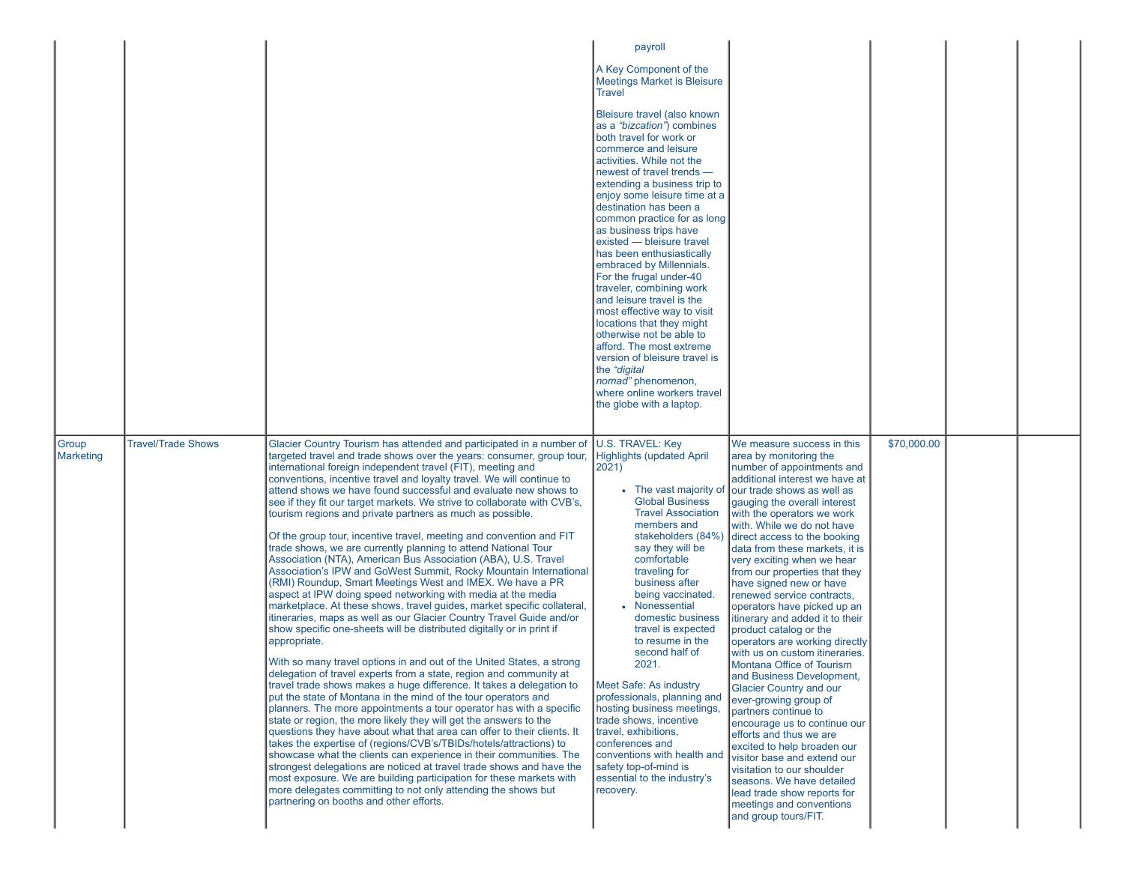|                    |                           |                                                                                                                                                                                                                                                                                                                                                                                                                                                                                                                                                                                                                                                                                                                                                                                                                                                                                                                                                                                                                                                                                                                                                                                                                                                                                                                                                                                                                                                                                                                                                                                                                                                                                                                                                                                                                                                                                                                                                                                                                                                                                   | payroll                                                                                                                                                                                                                                                                                                                                                                                                                                                                                                                                                                                                                                                                                                                                                    |                                                                                                                                                                                                                                                                                                                                                                                                                                                                                                                                                                                                                                                                                                                                                                                                                                                                                                                                                                                                                              |             |  |
|--------------------|---------------------------|-----------------------------------------------------------------------------------------------------------------------------------------------------------------------------------------------------------------------------------------------------------------------------------------------------------------------------------------------------------------------------------------------------------------------------------------------------------------------------------------------------------------------------------------------------------------------------------------------------------------------------------------------------------------------------------------------------------------------------------------------------------------------------------------------------------------------------------------------------------------------------------------------------------------------------------------------------------------------------------------------------------------------------------------------------------------------------------------------------------------------------------------------------------------------------------------------------------------------------------------------------------------------------------------------------------------------------------------------------------------------------------------------------------------------------------------------------------------------------------------------------------------------------------------------------------------------------------------------------------------------------------------------------------------------------------------------------------------------------------------------------------------------------------------------------------------------------------------------------------------------------------------------------------------------------------------------------------------------------------------------------------------------------------------------------------------------------------|------------------------------------------------------------------------------------------------------------------------------------------------------------------------------------------------------------------------------------------------------------------------------------------------------------------------------------------------------------------------------------------------------------------------------------------------------------------------------------------------------------------------------------------------------------------------------------------------------------------------------------------------------------------------------------------------------------------------------------------------------------|------------------------------------------------------------------------------------------------------------------------------------------------------------------------------------------------------------------------------------------------------------------------------------------------------------------------------------------------------------------------------------------------------------------------------------------------------------------------------------------------------------------------------------------------------------------------------------------------------------------------------------------------------------------------------------------------------------------------------------------------------------------------------------------------------------------------------------------------------------------------------------------------------------------------------------------------------------------------------------------------------------------------------|-------------|--|
|                    |                           |                                                                                                                                                                                                                                                                                                                                                                                                                                                                                                                                                                                                                                                                                                                                                                                                                                                                                                                                                                                                                                                                                                                                                                                                                                                                                                                                                                                                                                                                                                                                                                                                                                                                                                                                                                                                                                                                                                                                                                                                                                                                                   | A Key Component of the<br><b>Meetings Market is Bleisure</b><br><b>Travel</b>                                                                                                                                                                                                                                                                                                                                                                                                                                                                                                                                                                                                                                                                              |                                                                                                                                                                                                                                                                                                                                                                                                                                                                                                                                                                                                                                                                                                                                                                                                                                                                                                                                                                                                                              |             |  |
|                    |                           |                                                                                                                                                                                                                                                                                                                                                                                                                                                                                                                                                                                                                                                                                                                                                                                                                                                                                                                                                                                                                                                                                                                                                                                                                                                                                                                                                                                                                                                                                                                                                                                                                                                                                                                                                                                                                                                                                                                                                                                                                                                                                   | Bleisure travel (also known<br>as a "bizcation") combines<br>both travel for work or<br>commerce and leisure<br>activities. While not the<br>newest of travel trends -<br>extending a business trip to<br>enjoy some leisure time at a<br>destination has been a<br>common practice for as long<br>as business trips have<br>existed - bleisure travel<br>has been enthusiastically<br>embraced by Millennials.<br>For the frugal under-40<br>traveler, combining work<br>and leisure travel is the<br>most effective way to visit<br>locations that they might<br>otherwise not be able to<br>afford. The most extreme<br>version of bleisure travel is<br>the "digital"<br>nomad" phenomenon,<br>where online workers travel<br>the globe with a laptop. |                                                                                                                                                                                                                                                                                                                                                                                                                                                                                                                                                                                                                                                                                                                                                                                                                                                                                                                                                                                                                              |             |  |
| Group<br>Marketing | <b>Travel/Trade Shows</b> | Glacier Country Tourism has attended and participated in a number of<br>targeted travel and trade shows over the years: consumer, group tour,<br>international foreign independent travel (FIT), meeting and<br>conventions, incentive travel and loyalty travel. We will continue to<br>attend shows we have found successful and evaluate new shows to<br>see if they fit our target markets. We strive to collaborate with CVB's,<br>tourism regions and private partners as much as possible.<br>Of the group tour, incentive travel, meeting and convention and FIT<br>trade shows, we are currently planning to attend National Tour<br>Association (NTA), American Bus Association (ABA), U.S. Travel<br>Association's IPW and GoWest Summit, Rocky Mountain International<br>(RMI) Roundup, Smart Meetings West and IMEX. We have a PR<br>aspect at IPW doing speed networking with media at the media<br>marketplace. At these shows, travel guides, market specific collateral,<br>itineraries, maps as well as our Glacier Country Travel Guide and/or<br>show specific one-sheets will be distributed digitally or in print if<br>appropriate.<br>With so many travel options in and out of the United States, a strong<br>delegation of travel experts from a state, region and community at<br>travel trade shows makes a huge difference. It takes a delegation to<br>put the state of Montana in the mind of the tour operators and<br>planners. The more appointments a tour operator has with a specific<br>state or region, the more likely they will get the answers to the<br>questions they have about what that area can offer to their clients. It<br>takes the expertise of (regions/CVB's/TBIDs/hotels/attractions) to<br>showcase what the clients can experience in their communities. The<br>strongest delegations are noticed at travel trade shows and have the<br>most exposure. We are building participation for these markets with<br>more delegates committing to not only attending the shows but<br>partnering on booths and other efforts. | U.S. TRAVEL: Key<br><b>Highlights (updated April</b><br>2021)<br>• The vast majority of<br><b>Global Business</b><br><b>Travel Association</b><br>members and<br>stakeholders (84%)<br>say they will be<br>comfortable<br>traveling for<br>business after<br>being vaccinated.<br>• Nonessential<br>domestic business<br>travel is expected<br>to resume in the<br>second half of<br>2021.<br><b>Meet Safe: As industry</b><br>professionals, planning and<br>hosting business meetings,<br>trade shows, incentive<br>travel, exhibitions,<br>conferences and<br>conventions with health and<br>safety top-of-mind is<br>essential to the industry's<br>recovery.                                                                                          | We measure success in this<br>area by monitoring the<br>number of appointments and<br>additional interest we have at<br>our trade shows as well as<br>gauging the overall interest<br>with the operators we work<br>with. While we do not have<br>direct access to the booking<br>data from these markets, it is<br>very exciting when we hear<br>from our properties that they<br>have signed new or have<br>renewed service contracts,<br>operators have picked up an<br>itinerary and added it to their<br>product catalog or the<br>operators are working directly<br>with us on custom itineraries.<br>Montana Office of Tourism<br>and Business Development,<br><b>Glacier Country and our</b><br>ever-growing group of<br>partners continue to<br>encourage us to continue our<br>efforts and thus we are<br>excited to help broaden our<br>visitor base and extend our<br>visitation to our shoulder<br>seasons. We have detailed<br>lead trade show reports for<br>meetings and conventions<br>and group tours/FIT. | \$70,000.00 |  |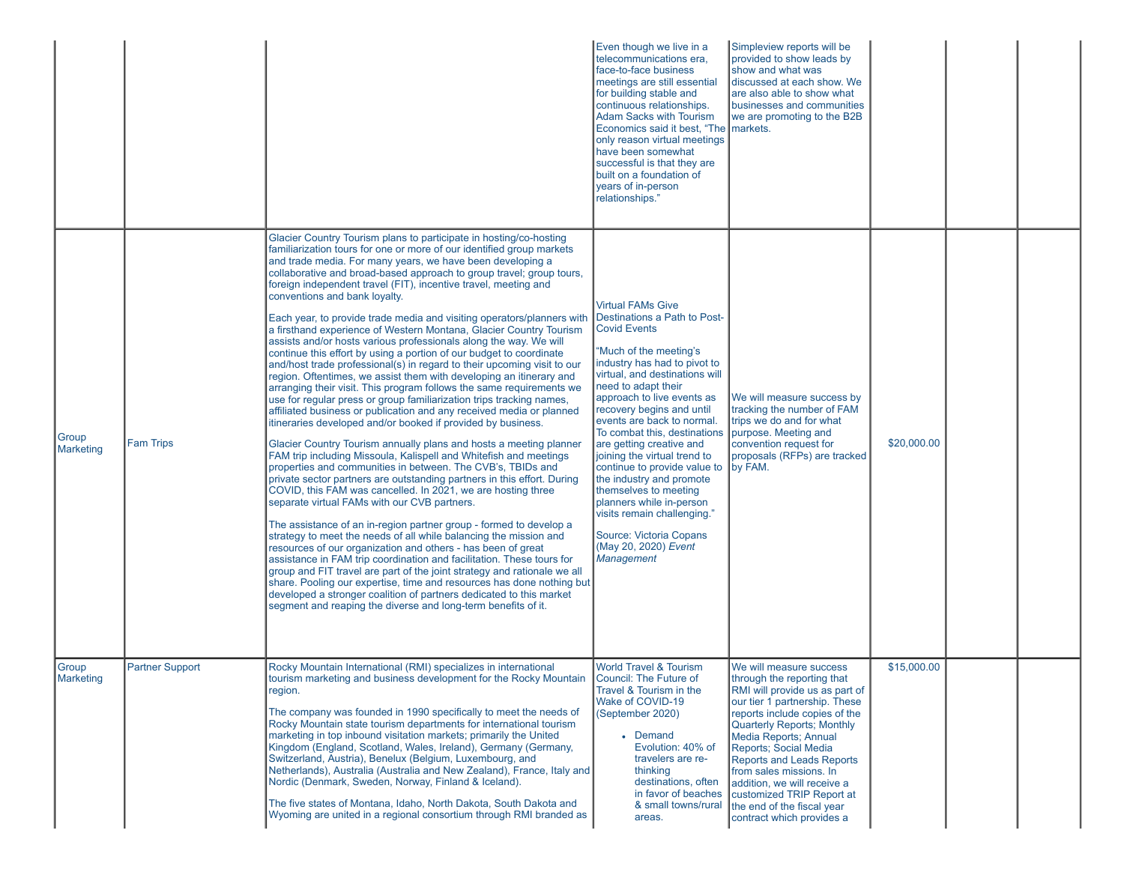|                     |                        |                                                                                                                                                                                                                                                                                                                                                                                                                                                                                                                                                                                                                                                                                                                                                                                                                                                                                                                                                                                                                                                                                                                                                                                                                                                                                                                                                                                                                                                                                                                                                                                                                                                                                                                                                                                                                                                                                                                                                                                                                                                                                                                   | Even though we live in a<br>telecommunications era,<br>face-to-face business<br>meetings are still essential<br>for building stable and<br>continuous relationships.<br><b>Adam Sacks with Tourism</b><br>Economics said it best, "The markets.<br>only reason virtual meetings<br>have been somewhat<br>successful is that they are<br>built on a foundation of<br>years of in-person<br>relationships."                                                                                                                                                                                                       | Simpleview reports will be<br>provided to show leads by<br>show and what was<br>Idiscussed at each show. We<br>are also able to show what<br>businesses and communities<br>we are promoting to the B2B                                                                                                                                                                                                                                  |             |  |
|---------------------|------------------------|-------------------------------------------------------------------------------------------------------------------------------------------------------------------------------------------------------------------------------------------------------------------------------------------------------------------------------------------------------------------------------------------------------------------------------------------------------------------------------------------------------------------------------------------------------------------------------------------------------------------------------------------------------------------------------------------------------------------------------------------------------------------------------------------------------------------------------------------------------------------------------------------------------------------------------------------------------------------------------------------------------------------------------------------------------------------------------------------------------------------------------------------------------------------------------------------------------------------------------------------------------------------------------------------------------------------------------------------------------------------------------------------------------------------------------------------------------------------------------------------------------------------------------------------------------------------------------------------------------------------------------------------------------------------------------------------------------------------------------------------------------------------------------------------------------------------------------------------------------------------------------------------------------------------------------------------------------------------------------------------------------------------------------------------------------------------------------------------------------------------|-----------------------------------------------------------------------------------------------------------------------------------------------------------------------------------------------------------------------------------------------------------------------------------------------------------------------------------------------------------------------------------------------------------------------------------------------------------------------------------------------------------------------------------------------------------------------------------------------------------------|-----------------------------------------------------------------------------------------------------------------------------------------------------------------------------------------------------------------------------------------------------------------------------------------------------------------------------------------------------------------------------------------------------------------------------------------|-------------|--|
| Group<br>Marketing  | <b>Fam Trips</b>       | Glacier Country Tourism plans to participate in hosting/co-hosting<br>familiarization tours for one or more of our identified group markets<br>and trade media. For many years, we have been developing a<br>collaborative and broad-based approach to group travel; group tours,<br>foreign independent travel (FIT), incentive travel, meeting and<br>conventions and bank loyalty.<br>Each year, to provide trade media and visiting operators/planners with<br>a firsthand experience of Western Montana, Glacier Country Tourism<br>assists and/or hosts various professionals along the way. We will<br>continue this effort by using a portion of our budget to coordinate<br>and/host trade professional(s) in regard to their upcoming visit to our<br>region. Oftentimes, we assist them with developing an itinerary and<br>arranging their visit. This program follows the same requirements we<br>use for regular press or group familiarization trips tracking names,<br>affiliated business or publication and any received media or planned<br>itineraries developed and/or booked if provided by business.<br>Glacier Country Tourism annually plans and hosts a meeting planner<br>FAM trip including Missoula, Kalispell and Whitefish and meetings<br>properties and communities in between. The CVB's, TBIDs and<br>private sector partners are outstanding partners in this effort. During<br>COVID, this FAM was cancelled. In 2021, we are hosting three<br>separate virtual FAMs with our CVB partners.<br>The assistance of an in-region partner group - formed to develop a<br>strategy to meet the needs of all while balancing the mission and<br>resources of our organization and others - has been of great<br>assistance in FAM trip coordination and facilitation. These tours for<br>group and FIT travel are part of the joint strategy and rationale we all<br>share. Pooling our expertise, time and resources has done nothing but<br>developed a stronger coalition of partners dedicated to this market<br>segment and reaping the diverse and long-term benefits of it. | <b>Virtual FAMs Give</b><br>Destinations a Path to Post-<br><b>Covid Events</b><br>"Much of the meeting's<br>industry has had to pivot to<br>virtual, and destinations will<br>need to adapt their<br>approach to live events as<br>recovery begins and until<br>events are back to normal.<br>To combat this, destinations<br>are getting creative and<br>joining the virtual trend to<br>continue to provide value to<br>the industry and promote<br>themselves to meeting<br>planners while in-person<br>visits remain challenging."<br>Source: Victoria Copans<br>(May 20, 2020) Event<br><b>Management</b> | We will measure success by<br>tracking the number of FAM<br>trips we do and for what<br>purpose. Meeting and<br>convention request for<br>proposals (RFPs) are tracked<br>by FAM.                                                                                                                                                                                                                                                       | \$20,000.00 |  |
| Group<br>∥Marketing | <b>Partner Support</b> | Rocky Mountain International (RMI) specializes in international<br>tourism marketing and business development for the Rocky Mountain<br>region.<br>The company was founded in 1990 specifically to meet the needs of<br>Rocky Mountain state tourism departments for international tourism<br>marketing in top inbound visitation markets; primarily the United<br>Kingdom (England, Scotland, Wales, Ireland), Germany (Germany,<br>Switzerland, Austria), Benelux (Belgium, Luxembourg, and<br>Netherlands), Australia (Australia and New Zealand), France, Italy and<br>Nordic (Denmark, Sweden, Norway, Finland & Iceland).<br>The five states of Montana, Idaho, North Dakota, South Dakota and<br>Wyoming are united in a regional consortium through RMI branded as                                                                                                                                                                                                                                                                                                                                                                                                                                                                                                                                                                                                                                                                                                                                                                                                                                                                                                                                                                                                                                                                                                                                                                                                                                                                                                                                        | <b>World Travel &amp; Tourism</b><br>Council: The Future of<br>Travel & Tourism in the<br>Wake of COVID-19<br>(September 2020)<br>• Demand<br>Evolution: 40% of<br>travelers are re-<br>thinking<br>destinations, often<br>in favor of beaches<br>& small towns/rural<br>areas.                                                                                                                                                                                                                                                                                                                                 | We will measure success<br>∥through the reporting that<br>RMI will provide us as part of<br>our tier 1 partnership. These<br>reports include copies of the<br><b>Quarterly Reports; Monthly</b><br>Media Reports; Annual<br>Reports; Social Media<br><b>Reports and Leads Reports</b><br>from sales missions. In<br>addition, we will receive a<br>customized TRIP Report at<br>the end of the fiscal year<br>contract which provides a | \$15,000.00 |  |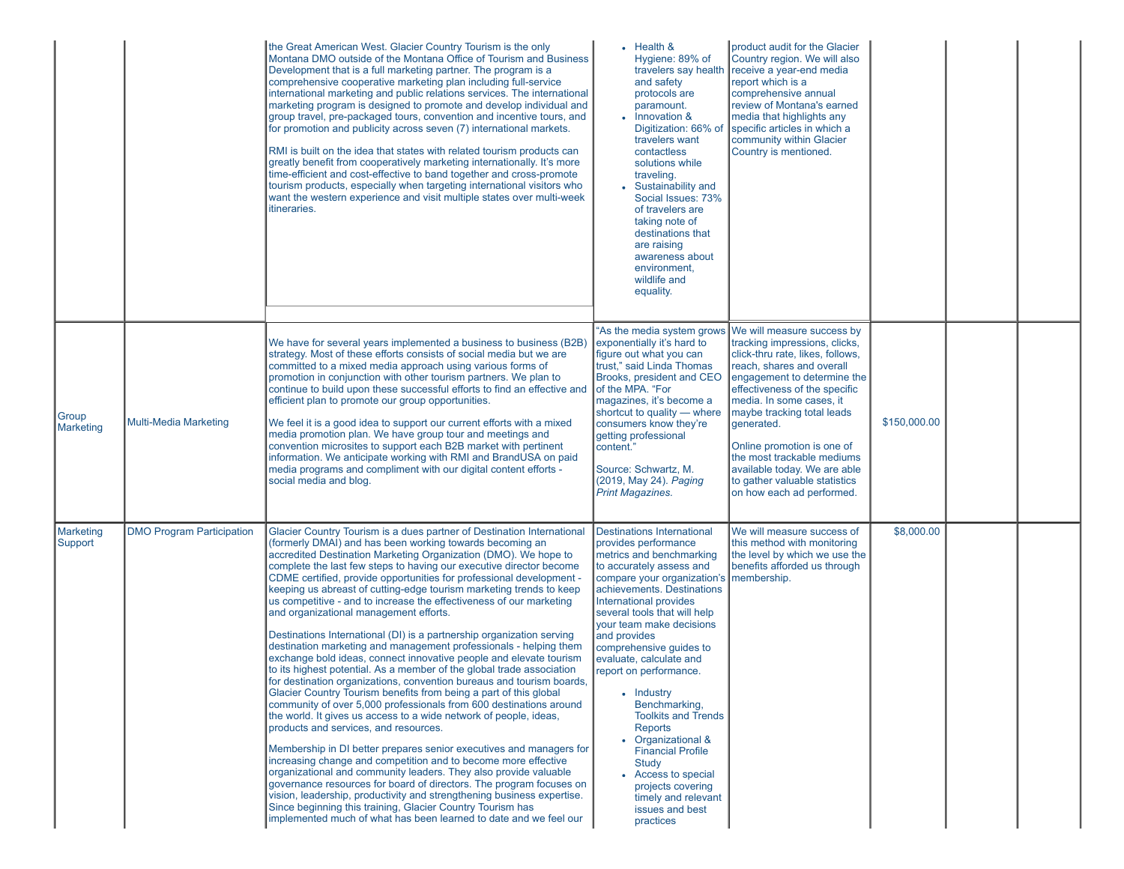|                      |                                  | the Great American West. Glacier Country Tourism is the only<br>Montana DMO outside of the Montana Office of Tourism and Business<br>Development that is a full marketing partner. The program is a<br>comprehensive cooperative marketing plan including full-service<br>international marketing and public relations services. The international<br>marketing program is designed to promote and develop individual and<br>group travel, pre-packaged tours, convention and incentive tours, and<br>for promotion and publicity across seven (7) international markets.<br>RMI is built on the idea that states with related tourism products can<br>greatly benefit from cooperatively marketing internationally. It's more<br>time-efficient and cost-effective to band together and cross-promote<br>tourism products, especially when targeting international visitors who<br>want the western experience and visit multiple states over multi-week<br>itineraries.                                                                                                                                                                                                                                                                                                                                                                                                                                                                                                                                                                                                                                                                                                    | $\cdot$ Health &<br>Hygiene: 89% of<br>travelers say health<br>and safety<br>protocols are<br>paramount.<br>Innovation &<br>Digitization: 66% of<br>travelers want<br>contactless<br>solutions while<br>traveling.<br>• Sustainability and<br>Social Issues: 73%<br>of travelers are<br>taking note of<br>destinations that<br>are raising<br>awareness about<br>environment,<br>wildlife and<br>equality.                                                                                                                                                                                                                                      | product audit for the Glacier<br>Country region. We will also<br>receive a year-end media<br>report which is a<br>comprehensive annual<br>review of Montana's earned<br>media that highlights any<br>specific articles in which a<br>community within Glacier<br>Country is mentioned.                                                                                                                                                                    |              |  |
|----------------------|----------------------------------|------------------------------------------------------------------------------------------------------------------------------------------------------------------------------------------------------------------------------------------------------------------------------------------------------------------------------------------------------------------------------------------------------------------------------------------------------------------------------------------------------------------------------------------------------------------------------------------------------------------------------------------------------------------------------------------------------------------------------------------------------------------------------------------------------------------------------------------------------------------------------------------------------------------------------------------------------------------------------------------------------------------------------------------------------------------------------------------------------------------------------------------------------------------------------------------------------------------------------------------------------------------------------------------------------------------------------------------------------------------------------------------------------------------------------------------------------------------------------------------------------------------------------------------------------------------------------------------------------------------------------------------------------------------------------|-------------------------------------------------------------------------------------------------------------------------------------------------------------------------------------------------------------------------------------------------------------------------------------------------------------------------------------------------------------------------------------------------------------------------------------------------------------------------------------------------------------------------------------------------------------------------------------------------------------------------------------------------|-----------------------------------------------------------------------------------------------------------------------------------------------------------------------------------------------------------------------------------------------------------------------------------------------------------------------------------------------------------------------------------------------------------------------------------------------------------|--------------|--|
| Group<br>Marketing   | <b>Multi-Media Marketing</b>     | We have for several years implemented a business to business (B2B)<br>strategy. Most of these efforts consists of social media but we are<br>committed to a mixed media approach using various forms of<br>promotion in conjunction with other tourism partners. We plan to<br>continue to build upon these successful efforts to find an effective and<br>efficient plan to promote our group opportunities.<br>We feel it is a good idea to support our current efforts with a mixed<br>media promotion plan. We have group tour and meetings and<br>convention microsites to support each B2B market with pertinent<br>information. We anticipate working with RMI and BrandUSA on paid<br>media programs and compliment with our digital content efforts -<br>social media and blog.                                                                                                                                                                                                                                                                                                                                                                                                                                                                                                                                                                                                                                                                                                                                                                                                                                                                                     | exponentially it's hard to<br>figure out what you can<br>trust." said Linda Thomas<br>Brooks, president and CEO<br>of the MPA. "For<br>magazines, it's become a<br>shortcut to quality — where<br>consumers know they're<br>getting professional<br>content."<br>Source: Schwartz, M.<br>(2019, May 24). Paging<br><b>Print Magazines.</b>                                                                                                                                                                                                                                                                                                      | "As the media system grows We will measure success by<br>tracking impressions, clicks,<br>click-thru rate, likes, follows,<br>reach, shares and overall<br>engagement to determine the<br>effectiveness of the specific<br>media. In some cases, it<br>maybe tracking total leads<br>generated.<br>Online promotion is one of<br>the most trackable mediums<br>available today. We are able<br>to gather valuable statistics<br>on how each ad performed. | \$150,000.00 |  |
| Marketing<br>Support | <b>DMO Program Participation</b> | Glacier Country Tourism is a dues partner of Destination International<br>(formerly DMAI) and has been working towards becoming an<br>accredited Destination Marketing Organization (DMO). We hope to<br>complete the last few steps to having our executive director become<br>CDME certified, provide opportunities for professional development -<br>keeping us abreast of cutting-edge tourism marketing trends to keep<br>us competitive - and to increase the effectiveness of our marketing<br>and organizational management efforts.<br>Destinations International (DI) is a partnership organization serving<br>destination marketing and management professionals - helping them<br>exchange bold ideas, connect innovative people and elevate tourism<br>to its highest potential. As a member of the global trade association<br>for destination organizations, convention bureaus and tourism boards,<br>Glacier Country Tourism benefits from being a part of this global<br>community of over 5,000 professionals from 600 destinations around<br>the world. It gives us access to a wide network of people, ideas,<br>products and services, and resources.<br>Membership in DI better prepares senior executives and managers for<br>increasing change and competition and to become more effective<br>organizational and community leaders. They also provide valuable<br>governance resources for board of directors. The program focuses on<br>vision, leadership, productivity and strengthening business expertise.<br>Since beginning this training, Glacier Country Tourism has<br>implemented much of what has been learned to date and we feel our | <b>Destinations International</b><br>provides performance<br>metrics and benchmarking<br>to accurately assess and<br>compare your organization's membership.<br>achievements. Destinations<br>International provides<br>several tools that will help<br>vour team make decisions<br>and provides<br>comprehensive guides to<br>evaluate, calculate and<br>report on performance.<br>• Industry<br>Benchmarking,<br><b>Toolkits and Trends</b><br><b>Reports</b><br>Organizational &<br>$\bullet$<br><b>Financial Profile</b><br><b>Study</b><br>• Access to special<br>projects covering<br>timely and relevant<br>issues and best<br>practices | We will measure success of<br>this method with monitoring<br>the level by which we use the<br>benefits afforded us through                                                                                                                                                                                                                                                                                                                                | \$8,000.00   |  |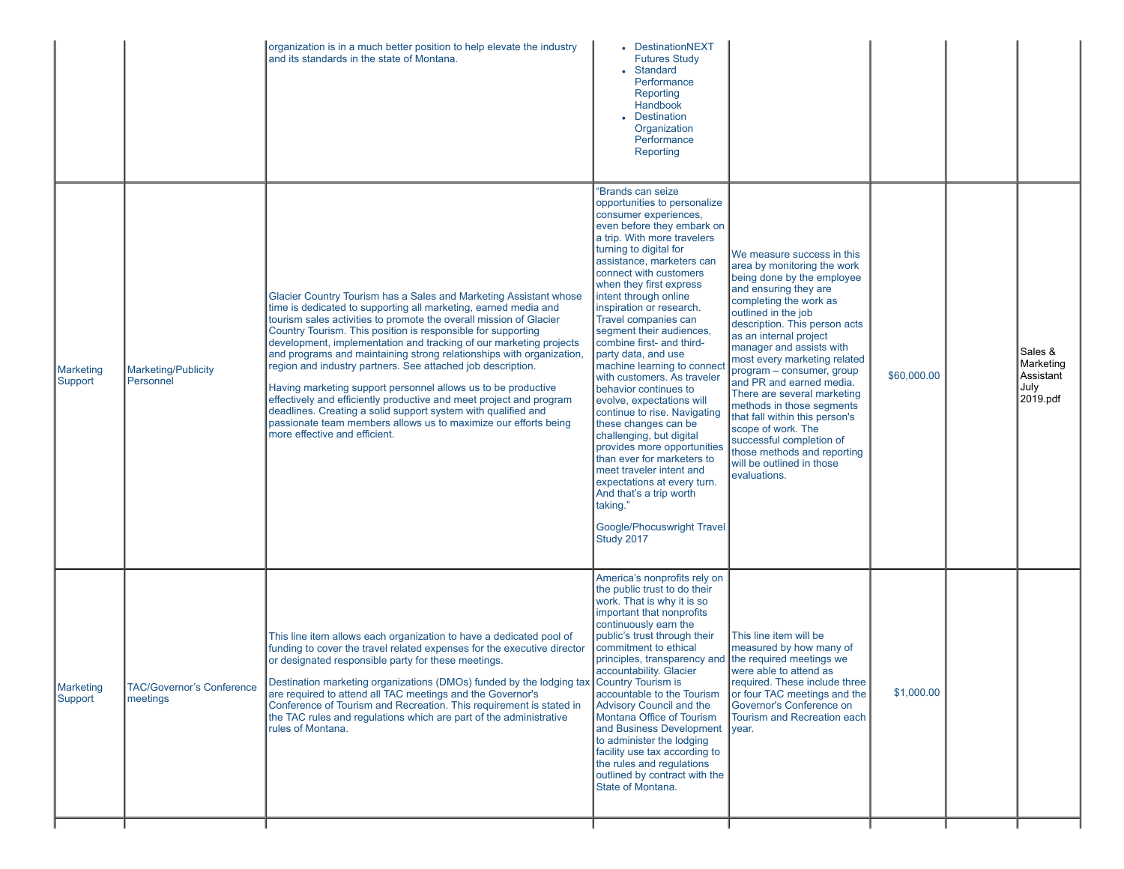|                             |                                              | organization is in a much better position to help elevate the industry<br>and its standards in the state of Montana.                                                                                                                                                                                                                                                                                                                                                                                                                                                                                                                                                                                                                                                                                 | • DestinationNEXT<br><b>Futures Study</b><br>• Standard<br>Performance<br>Reporting<br>Handbook<br>• Destination<br>Organization<br>Performance<br>Reporting                                                                                                                                                                                                                                                                                                                                                                                                                                                                                                                                                                                                                                                                       |                                                                                                                                                                                                                                                                                                                                                                                                                                                                                                                                                                               |             |                                                       |
|-----------------------------|----------------------------------------------|------------------------------------------------------------------------------------------------------------------------------------------------------------------------------------------------------------------------------------------------------------------------------------------------------------------------------------------------------------------------------------------------------------------------------------------------------------------------------------------------------------------------------------------------------------------------------------------------------------------------------------------------------------------------------------------------------------------------------------------------------------------------------------------------------|------------------------------------------------------------------------------------------------------------------------------------------------------------------------------------------------------------------------------------------------------------------------------------------------------------------------------------------------------------------------------------------------------------------------------------------------------------------------------------------------------------------------------------------------------------------------------------------------------------------------------------------------------------------------------------------------------------------------------------------------------------------------------------------------------------------------------------|-------------------------------------------------------------------------------------------------------------------------------------------------------------------------------------------------------------------------------------------------------------------------------------------------------------------------------------------------------------------------------------------------------------------------------------------------------------------------------------------------------------------------------------------------------------------------------|-------------|-------------------------------------------------------|
| <b>Marketing</b><br>Support | Marketing/Publicity<br>Personnel             | Glacier Country Tourism has a Sales and Marketing Assistant whose<br>time is dedicated to supporting all marketing, earned media and<br>tourism sales activities to promote the overall mission of Glacier<br>Country Tourism. This position is responsible for supporting<br>development, implementation and tracking of our marketing projects<br>and programs and maintaining strong relationships with organization,<br>region and industry partners. See attached job description.<br>Having marketing support personnel allows us to be productive<br>effectively and efficiently productive and meet project and program<br>deadlines. Creating a solid support system with qualified and<br>passionate team members allows us to maximize our efforts being<br>more effective and efficient. | "Brands can seize<br>opportunities to personalize<br>consumer experiences,<br>even before they embark on<br>a trip. With more travelers<br>turning to digital for<br>assistance, marketers can<br>connect with customers<br>when they first express<br>intent through online<br>inspiration or research.<br>Travel companies can<br>segment their audiences,<br>combine first- and third-<br>party data, and use<br>machine learning to conned<br>with customers. As traveler<br>behavior continues to<br>evolve, expectations will<br>continue to rise. Navigating<br>these changes can be<br>challenging, but digital<br>provides more opportunities<br>than ever for marketers to<br>meet traveler intent and<br>expectations at every turn.<br>And that's a trip worth<br>taking."<br>Google/Phocuswright Travel<br>Study 2017 | We measure success in this<br>area by monitoring the work<br>being done by the employee<br>and ensuring they are<br>completing the work as<br>outlined in the job<br>description. This person acts<br>as an internal project<br>manager and assists with<br>most every marketing related<br>program - consumer, group<br>and PR and earned media.<br>There are several marketing<br>methods in those segments<br>that fall within this person's<br>scope of work. The<br>successful completion of<br>those methods and reporting<br>will be outlined in those<br>evaluations. | \$60,000.00 | Sales &<br>Marketing<br>Assistant<br>July<br>2019.pdf |
| <b>Marketing</b><br>Support | <b>TAC/Governor's Conference</b><br>meetings | This line item allows each organization to have a dedicated pool of<br>funding to cover the travel related expenses for the executive director<br>or designated responsible party for these meetings.<br>Destination marketing organizations (DMOs) funded by the lodging tax Country Tourism is<br>are required to attend all TAC meetings and the Governor's<br>Conference of Tourism and Recreation. This requirement is stated in<br>the TAC rules and regulations which are part of the administrative<br>rules of Montana.                                                                                                                                                                                                                                                                     | America's nonprofits rely on<br>the public trust to do their<br>work. That is why it is so<br>important that nonprofits<br>continuously earn the<br>public's trust through their<br>commitment to ethical<br>principles, transparency and the required meetings we<br>accountability. Glacier<br>accountable to the Tourism<br>Advisory Council and the<br>Montana Office of Tourism<br>and Business Development   year.<br>to administer the lodging<br>facility use tax according to<br>the rules and regulations<br>outlined by contract with the<br>State of Montana.                                                                                                                                                                                                                                                          | This line item will be<br>measured by how many of<br>were able to attend as<br>required. These include three<br>or four TAC meetings and the<br>Governor's Conference on<br>Tourism and Recreation each                                                                                                                                                                                                                                                                                                                                                                       | \$1,000.00  |                                                       |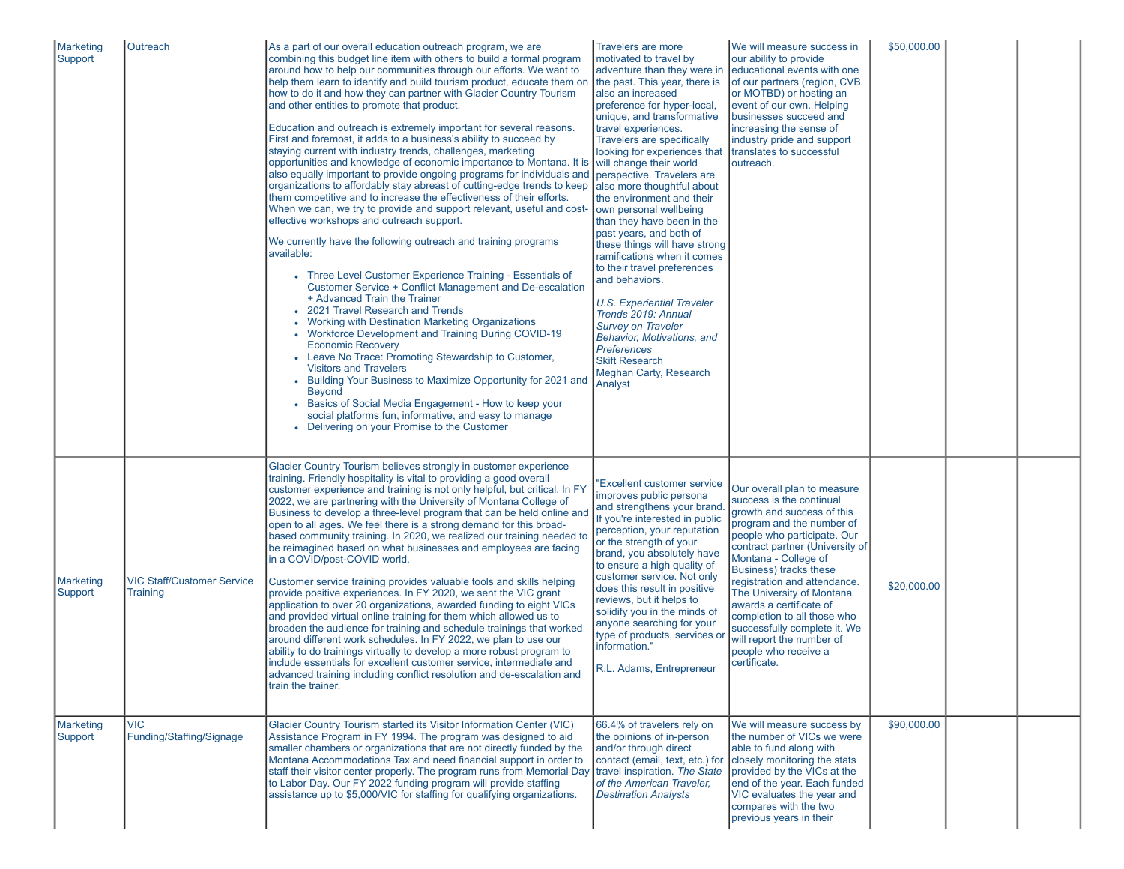| Marketing<br>Support | Outreach                                      | As a part of our overall education outreach program, we are<br>combining this budget line item with others to build a formal program<br>around how to help our communities through our efforts. We want to<br>help them learn to identify and build tourism product, educate them on<br>how to do it and how they can partner with Glacier Country Tourism<br>and other entities to promote that product.<br>Education and outreach is extremely important for several reasons.<br>First and foremost, it adds to a business's ability to succeed by<br>staying current with industry trends, challenges, marketing<br>opportunities and knowledge of economic importance to Montana. It is<br>also equally important to provide ongoing programs for individuals and<br>organizations to affordably stay abreast of cutting-edge trends to keep<br>them competitive and to increase the effectiveness of their efforts.<br>When we can, we try to provide and support relevant, useful and cost-<br>effective workshops and outreach support.<br>We currently have the following outreach and training programs<br>available:<br>• Three Level Customer Experience Training - Essentials of<br>Customer Service + Conflict Management and De-escalation<br>+ Advanced Train the Trainer<br>2021 Travel Research and Trends<br>• Working with Destination Marketing Organizations<br>• Workforce Development and Training During COVID-19<br><b>Economic Recovery</b><br>• Leave No Trace: Promoting Stewardship to Customer,<br><b>Visitors and Travelers</b><br>• Building Your Business to Maximize Opportunity for 2021 and<br><b>Beyond</b><br>• Basics of Social Media Engagement - How to keep your<br>social platforms fun, informative, and easy to manage<br>• Delivering on your Promise to the Customer | Travelers are more<br>motivated to travel by<br>adventure than they were in<br>the past. This year, there is<br>also an increased<br>preference for hyper-local,<br>unique, and transformative<br>travel experiences.<br><b>Travelers are specifically</b><br>looking for experiences that<br>will change their world<br>perspective. Travelers are<br>also more thoughtful about<br>the environment and their<br>own personal wellbeing<br>than they have been in the<br>past years, and both of<br>these things will have strong<br>ramifications when it comes<br>to their travel preferences<br>and behaviors.<br><b>U.S. Experiential Traveler</b><br>Trends 2019: Annual<br><b>Survey on Traveler</b><br>Behavior, Motivations, and<br><b>Preferences</b><br><b>Skift Research</b><br><b>Meghan Carty, Research</b><br>Analyst | We will measure success in<br>our ability to provide<br>educational events with one<br>of our partners (region, CVB<br>or MOTBD) or hosting an<br>event of our own. Helping<br>businesses succeed and<br>increasing the sense of<br>industry pride and support<br>translates to successful<br>loutreach.                                                                                                                                                           | \$50,000.00 |  |
|----------------------|-----------------------------------------------|---------------------------------------------------------------------------------------------------------------------------------------------------------------------------------------------------------------------------------------------------------------------------------------------------------------------------------------------------------------------------------------------------------------------------------------------------------------------------------------------------------------------------------------------------------------------------------------------------------------------------------------------------------------------------------------------------------------------------------------------------------------------------------------------------------------------------------------------------------------------------------------------------------------------------------------------------------------------------------------------------------------------------------------------------------------------------------------------------------------------------------------------------------------------------------------------------------------------------------------------------------------------------------------------------------------------------------------------------------------------------------------------------------------------------------------------------------------------------------------------------------------------------------------------------------------------------------------------------------------------------------------------------------------------------------------------------------------------------------------------------------------------------------------------------------------------|--------------------------------------------------------------------------------------------------------------------------------------------------------------------------------------------------------------------------------------------------------------------------------------------------------------------------------------------------------------------------------------------------------------------------------------------------------------------------------------------------------------------------------------------------------------------------------------------------------------------------------------------------------------------------------------------------------------------------------------------------------------------------------------------------------------------------------------|--------------------------------------------------------------------------------------------------------------------------------------------------------------------------------------------------------------------------------------------------------------------------------------------------------------------------------------------------------------------------------------------------------------------------------------------------------------------|-------------|--|
| Marketing<br>Support | <b>VIC Staff/Customer Service</b><br>Training | Glacier Country Tourism believes strongly in customer experience<br>training. Friendly hospitality is vital to providing a good overall<br>customer experience and training is not only helpful, but critical. In FY<br>2022, we are partnering with the University of Montana College of<br>Business to develop a three-level program that can be held online and<br>open to all ages. We feel there is a strong demand for this broad-<br>based community training. In 2020, we realized our training needed to<br>be reimagined based on what businesses and employees are facing<br>in a COVID/post-COVID world.<br>Customer service training provides valuable tools and skills helping<br>provide positive experiences. In FY 2020, we sent the VIC grant<br>application to over 20 organizations, awarded funding to eight VICs<br>and provided virtual online training for them which allowed us to<br>broaden the audience for training and schedule trainings that worked<br>around different work schedules. In FY 2022, we plan to use our<br>ability to do trainings virtually to develop a more robust program to<br>include essentials for excellent customer service, intermediate and<br>advanced training including conflict resolution and de-escalation and<br>train the trainer.                                                                                                                                                                                                                                                                                                                                                                                                                                                                                                               | <b>Excellent customer service</b><br>improves public persona<br>and strengthens your brand.<br>If you're interested in public<br>perception, your reputation<br>or the strength of your<br>brand, you absolutely have<br>to ensure a high quality of<br>customer service. Not only<br>does this result in positive<br>reviews, but it helps to<br>solidify you in the minds of<br>anyone searching for your<br>type of products, services or<br>information."<br>R.L. Adams, Entrepreneur                                                                                                                                                                                                                                                                                                                                            | Our overall plan to measure<br>success is the continual<br>growth and success of this<br>program and the number of<br>people who participate. Our<br>contract partner (University of<br>Montana - College of<br>Business) tracks these<br>registration and attendance.<br>The University of Montana<br>awards a certificate of<br>completion to all those who<br>successfully complete it. We<br>will report the number of<br>people who receive a<br>certificate. | \$20,000.00 |  |
| Marketing<br>Support | <b>VIC</b><br>Funding/Staffing/Signage        | Glacier Country Tourism started its Visitor Information Center (VIC)<br>Assistance Program in FY 1994. The program was designed to aid<br>smaller chambers or organizations that are not directly funded by the<br>Montana Accommodations Tax and need financial support in order to<br>staff their visitor center properly. The program runs from Memorial Day<br>to Labor Day. Our FY 2022 funding program will provide staffing<br>assistance up to \$5,000/VIC for staffing for qualifying organizations.                                                                                                                                                                                                                                                                                                                                                                                                                                                                                                                                                                                                                                                                                                                                                                                                                                                                                                                                                                                                                                                                                                                                                                                                                                                                                                       | 66.4% of travelers rely on<br>the opinions of in-person<br>and/or through direct<br>contact (email, text, etc.) for<br>travel inspiration. The State<br>of the American Traveler,<br><b>Destination Analysts</b>                                                                                                                                                                                                                                                                                                                                                                                                                                                                                                                                                                                                                     | We will measure success by<br>the number of VICs we were<br>able to fund along with<br>closely monitoring the stats<br>provided by the VICs at the<br>end of the year. Each funded<br>VIC evaluates the year and<br>compares with the two<br>previous years in their                                                                                                                                                                                               | \$90,000.00 |  |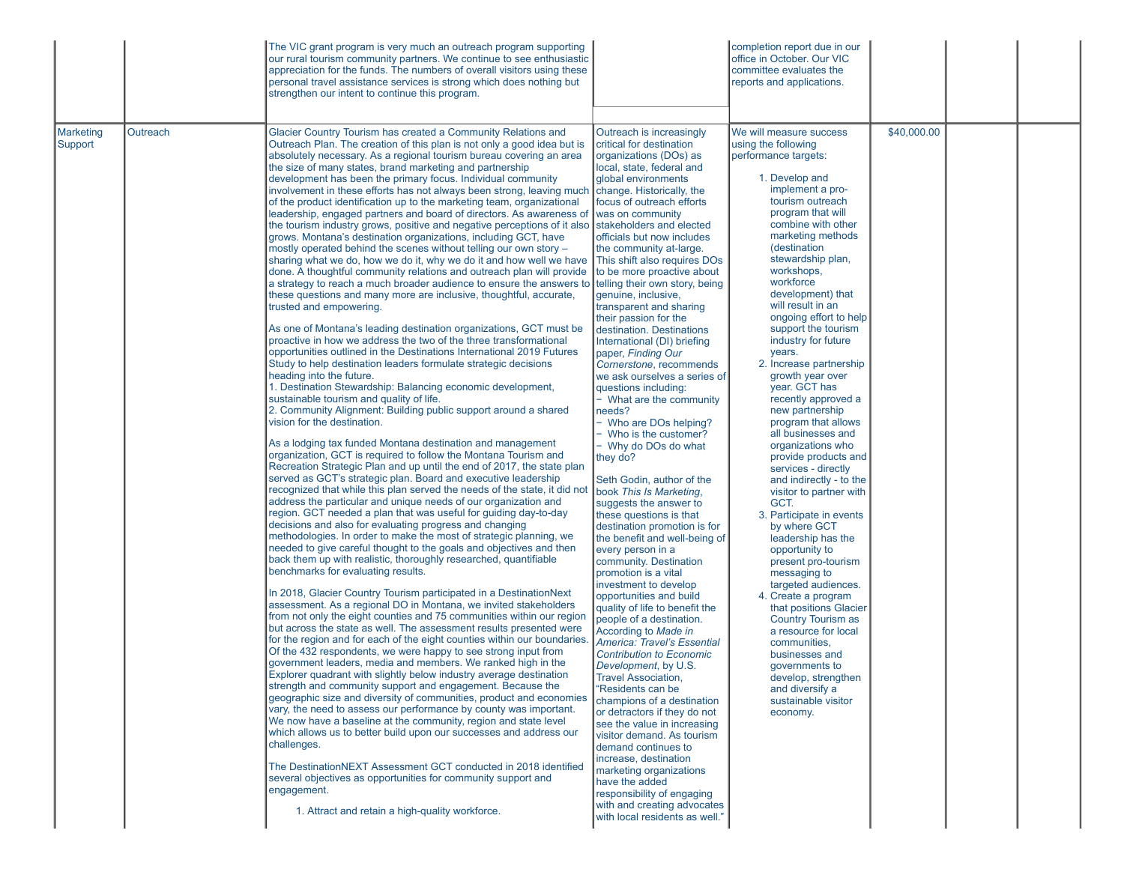|                                  | The VIC grant program is very much an outreach program supporting<br>our rural tourism community partners. We continue to see enthusiastic<br>appreciation for the funds. The numbers of overall visitors using these<br>personal travel assistance services is strong which does nothing but<br>strengthen our intent to continue this program.                                                                                                                                                                                                                                                                                                                                                                                                                                                                                                                                                                                                                                                                                                                                                                                                                                                                                                                                                                                                                                                                                                                                                                                                                                                                                                                                                                                                                                                                                                                                                                                                                                                                                                                                                                                                                                                                                                                                                                                                                                                                                                                                                                                                                                                                                                                                                                                                                                                                                                                                                                                                                                                                                                                                                                                                                                                                                                                                                                                                                                                                                                                                                                                                                                                                                                      |                                                                                                                                                                                                                                                                                                                                                                                                                                                                                                                                                                                                                                                                                                                                                                                                                                                                                                                                                                                                                                                                                                                                                                                                                                                                                                                                                                                                                                                                                                                                                                                                                                   | completion report due in our<br>office in October. Our VIC<br>committee evaluates the<br>reports and applications.                                                                                                                                                                                                                                                                                                                                                                                                                                                                                                                                                                                                                                                                                                                                                                                                                                                                                                                                                      |             |  |
|----------------------------------|-------------------------------------------------------------------------------------------------------------------------------------------------------------------------------------------------------------------------------------------------------------------------------------------------------------------------------------------------------------------------------------------------------------------------------------------------------------------------------------------------------------------------------------------------------------------------------------------------------------------------------------------------------------------------------------------------------------------------------------------------------------------------------------------------------------------------------------------------------------------------------------------------------------------------------------------------------------------------------------------------------------------------------------------------------------------------------------------------------------------------------------------------------------------------------------------------------------------------------------------------------------------------------------------------------------------------------------------------------------------------------------------------------------------------------------------------------------------------------------------------------------------------------------------------------------------------------------------------------------------------------------------------------------------------------------------------------------------------------------------------------------------------------------------------------------------------------------------------------------------------------------------------------------------------------------------------------------------------------------------------------------------------------------------------------------------------------------------------------------------------------------------------------------------------------------------------------------------------------------------------------------------------------------------------------------------------------------------------------------------------------------------------------------------------------------------------------------------------------------------------------------------------------------------------------------------------------------------------------------------------------------------------------------------------------------------------------------------------------------------------------------------------------------------------------------------------------------------------------------------------------------------------------------------------------------------------------------------------------------------------------------------------------------------------------------------------------------------------------------------------------------------------------------------------------------------------------------------------------------------------------------------------------------------------------------------------------------------------------------------------------------------------------------------------------------------------------------------------------------------------------------------------------------------------------------------------------------------------------------------------------------------------------|-----------------------------------------------------------------------------------------------------------------------------------------------------------------------------------------------------------------------------------------------------------------------------------------------------------------------------------------------------------------------------------------------------------------------------------------------------------------------------------------------------------------------------------------------------------------------------------------------------------------------------------------------------------------------------------------------------------------------------------------------------------------------------------------------------------------------------------------------------------------------------------------------------------------------------------------------------------------------------------------------------------------------------------------------------------------------------------------------------------------------------------------------------------------------------------------------------------------------------------------------------------------------------------------------------------------------------------------------------------------------------------------------------------------------------------------------------------------------------------------------------------------------------------------------------------------------------------------------------------------------------------|-------------------------------------------------------------------------------------------------------------------------------------------------------------------------------------------------------------------------------------------------------------------------------------------------------------------------------------------------------------------------------------------------------------------------------------------------------------------------------------------------------------------------------------------------------------------------------------------------------------------------------------------------------------------------------------------------------------------------------------------------------------------------------------------------------------------------------------------------------------------------------------------------------------------------------------------------------------------------------------------------------------------------------------------------------------------------|-------------|--|
| Marketing<br>Outreach<br>Support | Glacier Country Tourism has created a Community Relations and<br>Outreach Plan. The creation of this plan is not only a good idea but is<br>absolutely necessary. As a regional tourism bureau covering an area<br>the size of many states, brand marketing and partnership<br>development has been the primary focus. Individual community<br>involvement in these efforts has not always been strong, leaving much<br>of the product identification up to the marketing team, organizational<br>leadership, engaged partners and board of directors. As awareness of<br>the tourism industry grows, positive and negative perceptions of it also stakeholders and elected<br>grows. Montana's destination organizations, including GCT, have<br>mostly operated behind the scenes without telling our own story -<br>sharing what we do, how we do it, why we do it and how well we have<br>done. A thoughtful community relations and outreach plan will provide<br>a strategy to reach a much broader audience to ensure the answers to<br>these questions and many more are inclusive, thoughtful, accurate,<br>trusted and empowering.<br>As one of Montana's leading destination organizations, GCT must be<br>proactive in how we address the two of the three transformational<br>opportunities outlined in the Destinations International 2019 Futures<br>Study to help destination leaders formulate strategic decisions<br>heading into the future.<br>1. Destination Stewardship: Balancing economic development,<br>sustainable tourism and quality of life.<br>2. Community Alignment: Building public support around a shared<br>vision for the destination.<br>As a lodging tax funded Montana destination and management<br>organization, GCT is required to follow the Montana Tourism and<br>Recreation Strategic Plan and up until the end of 2017, the state plan<br>served as GCT's strategic plan. Board and executive leadership<br>recognized that while this plan served the needs of the state, it did not<br>address the particular and unique needs of our organization and<br>region. GCT needed a plan that was useful for guiding day-to-day<br>decisions and also for evaluating progress and changing<br>methodologies. In order to make the most of strategic planning, we<br>needed to give careful thought to the goals and objectives and then<br>back them up with realistic, thoroughly researched, quantifiable<br>benchmarks for evaluating results.<br>In 2018, Glacier Country Tourism participated in a DestinationNext<br>assessment. As a regional DO in Montana, we invited stakeholders<br>from not only the eight counties and 75 communities within our region<br>but across the state as well. The assessment results presented were<br>for the region and for each of the eight counties within our boundaries.<br>Of the 432 respondents, we were happy to see strong input from<br>government leaders, media and members. We ranked high in the<br>Explorer quadrant with slightly below industry average destination<br>strength and community support and engagement. Because the<br>geographic size and diversity of communities, product and economies<br>vary, the need to assess our performance by county was important.<br>We now have a baseline at the community, region and state level<br>which allows us to better build upon our successes and address our<br>challenges.<br>The DestinationNEXT Assessment GCT conducted in 2018 identified<br>several objectives as opportunities for community support and<br>engagement.<br>1. Attract and retain a high-quality workforce. | Outreach is increasingly<br>critical for destination<br>organizations (DOs) as<br>local, state, federal and<br>global environments<br>change. Historically, the<br>focus of outreach efforts<br>was on community<br>officials but now includes<br>the community at-large.<br>This shift also requires DOs<br>to be more proactive about<br>telling their own story, being<br>genuine, inclusive,<br>transparent and sharing<br>their passion for the<br>destination. Destinations<br>International (DI) briefing<br>paper, Finding Our<br>Cornerstone, recommends<br>we ask ourselves a series of<br>questions including:<br>- What are the community<br>needs?<br>- Who are DOs helping?<br>- Who is the customer?<br>- Why do DOs do what<br>they do?<br>Seth Godin, author of the<br>book This Is Marketing,<br>suggests the answer to<br>these questions is that<br>destination promotion is for<br>the benefit and well-being of<br>every person in a<br>community. Destination<br>promotion is a vital<br>investment to develop<br>opportunities and build<br>quality of life to benefit the<br>people of a destination.<br>According to Made in<br><b>America: Travel's Essential</b><br><b>Contribution to Economic</b><br>Development, by U.S.<br><b>Travel Association,</b><br>"Residents can be<br>champions of a destination<br>or detractors if they do not<br>see the value in increasing<br>visitor demand. As tourism<br>demand continues to<br>increase, destination<br>marketing organizations<br>have the added<br>responsibility of engaging<br>with and creating advocates<br>with local residents as well." | We will measure success<br>using the following<br>performance targets:<br>1. Develop and<br>implement a pro-<br>tourism outreach<br>program that will<br>combine with other<br>marketing methods<br>(destination<br>stewardship plan,<br>workshops,<br>workforce<br>development) that<br>will result in an<br>ongoing effort to help<br>support the tourism<br>industry for future<br>years.<br>2. Increase partnership<br>growth year over<br>year. GCT has<br>recently approved a<br>new partnership<br>program that allows<br>all businesses and<br>organizations who<br>provide products and<br>services - directly<br>and indirectly - to the<br>visitor to partner with<br>GCT.<br>3. Participate in events<br>by where GCT<br>leadership has the<br>opportunity to<br>present pro-tourism<br>messaging to<br>targeted audiences.<br>4. Create a program<br>that positions Glacier<br>Country Tourism as<br>a resource for local<br>communities,<br>businesses and<br>governments to<br>develop, strengthen<br>and diversify a<br>sustainable visitor<br>economy. | \$40,000.00 |  |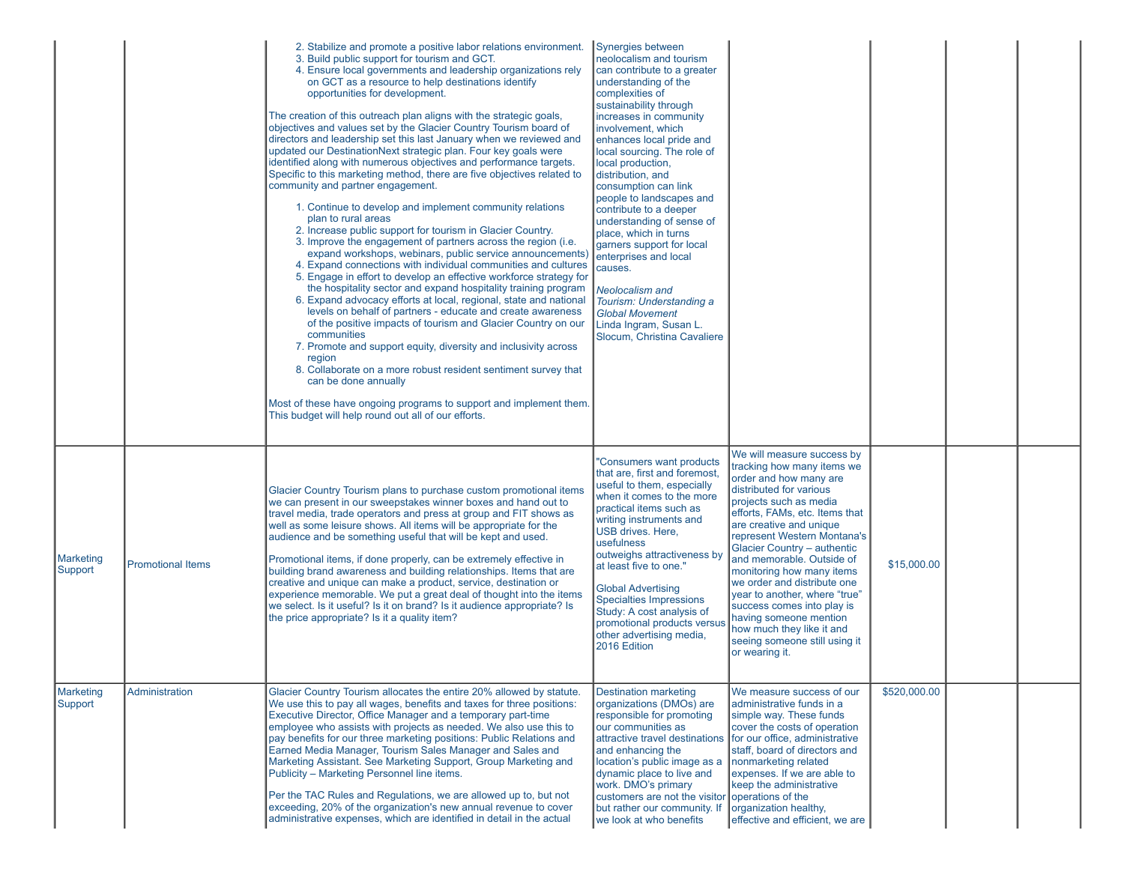|                      |                          | 2. Stabilize and promote a positive labor relations environment.<br>3. Build public support for tourism and GCT.<br>4. Ensure local governments and leadership organizations rely<br>on GCT as a resource to help destinations identify<br>opportunities for development.<br>The creation of this outreach plan aligns with the strategic goals,<br>objectives and values set by the Glacier Country Tourism board of<br>directors and leadership set this last January when we reviewed and<br>updated our DestinationNext strategic plan. Four key goals were<br>identified along with numerous objectives and performance targets.<br>Specific to this marketing method, there are five objectives related to<br>community and partner engagement.<br>1. Continue to develop and implement community relations<br>plan to rural areas<br>2. Increase public support for tourism in Glacier Country.<br>3. Improve the engagement of partners across the region (i.e.<br>expand workshops, webinars, public service announcements)<br>4. Expand connections with individual communities and cultures<br>5. Engage in effort to develop an effective workforce strategy for<br>the hospitality sector and expand hospitality training program<br>6. Expand advocacy efforts at local, regional, state and national<br>levels on behalf of partners - educate and create awareness<br>of the positive impacts of tourism and Glacier Country on our<br>communities<br>7. Promote and support equity, diversity and inclusivity across<br>region<br>8. Collaborate on a more robust resident sentiment survey that<br>can be done annually<br>Most of these have ongoing programs to support and implement them.<br>This budget will help round out all of our efforts. | Synergies between<br>neolocalism and tourism<br>can contribute to a greater<br>understanding of the<br>complexities of<br>sustainability through<br>increases in community<br>involvement, which<br>enhances local pride and<br>local sourcing. The role of<br>local production,<br>distribution, and<br>consumption can link<br>people to landscapes and<br>contribute to a deeper<br>understanding of sense of<br>place, which in turns<br>garners support for local<br>enterprises and local<br>causes.<br><b>Neolocalism and</b><br>Tourism: Understanding a<br><b>Global Movement</b><br>Linda Ingram, Susan L.<br>Slocum, Christina Cavaliere |                                                                                                                                                                                                                                                                                                                                                                                                                                                                                                                                      |              |  |
|----------------------|--------------------------|------------------------------------------------------------------------------------------------------------------------------------------------------------------------------------------------------------------------------------------------------------------------------------------------------------------------------------------------------------------------------------------------------------------------------------------------------------------------------------------------------------------------------------------------------------------------------------------------------------------------------------------------------------------------------------------------------------------------------------------------------------------------------------------------------------------------------------------------------------------------------------------------------------------------------------------------------------------------------------------------------------------------------------------------------------------------------------------------------------------------------------------------------------------------------------------------------------------------------------------------------------------------------------------------------------------------------------------------------------------------------------------------------------------------------------------------------------------------------------------------------------------------------------------------------------------------------------------------------------------------------------------------------------------------------------------------------------------------------------------------------------------------|-----------------------------------------------------------------------------------------------------------------------------------------------------------------------------------------------------------------------------------------------------------------------------------------------------------------------------------------------------------------------------------------------------------------------------------------------------------------------------------------------------------------------------------------------------------------------------------------------------------------------------------------------------|--------------------------------------------------------------------------------------------------------------------------------------------------------------------------------------------------------------------------------------------------------------------------------------------------------------------------------------------------------------------------------------------------------------------------------------------------------------------------------------------------------------------------------------|--------------|--|
| Marketing<br>Support | <b>Promotional Items</b> | Glacier Country Tourism plans to purchase custom promotional items<br>we can present in our sweepstakes winner boxes and hand out to<br>travel media, trade operators and press at group and FIT shows as<br>well as some leisure shows. All items will be appropriate for the<br>audience and be something useful that will be kept and used.<br>Promotional items, if done properly, can be extremely effective in<br>building brand awareness and building relationships. Items that are<br>creative and unique can make a product, service, destination or<br>experience memorable. We put a great deal of thought into the items<br>we select. Is it useful? Is it on brand? Is it audience appropriate? Is<br>the price appropriate? Is it a quality item?                                                                                                                                                                                                                                                                                                                                                                                                                                                                                                                                                                                                                                                                                                                                                                                                                                                                                                                                                                                                       | "Consumers want products<br>that are, first and foremost,<br>useful to them, especially<br>when it comes to the more<br>practical items such as<br>writing instruments and<br>USB drives. Here,<br>usefulness<br>outweighs attractiveness by<br>at least five to one."<br><b>Global Advertising</b><br><b>Specialties Impressions</b><br>Study: A cost analysis of<br>promotional products versus<br>other advertising media,<br>2016 Edition                                                                                                                                                                                                       | We will measure success by<br>tracking how many items we<br>order and how many are<br>distributed for various<br>projects such as media<br>efforts, FAMs, etc. Items that<br>are creative and unique<br>represent Western Montana's<br>Glacier Country - authentic<br>and memorable. Outside of<br>monitoring how many items<br>we order and distribute one<br>year to another, where "true"<br>success comes into play is<br>having someone mention<br>how much they like it and<br>seeing someone still using it<br>or wearing it. | \$15,000.00  |  |
| Marketing<br>Support | Administration           | Glacier Country Tourism allocates the entire 20% allowed by statute.<br>We use this to pay all wages, benefits and taxes for three positions:<br>Executive Director, Office Manager and a temporary part-time<br>employee who assists with projects as needed. We also use this to<br>pay benefits for our three marketing positions: Public Relations and<br>Earned Media Manager, Tourism Sales Manager and Sales and<br>Marketing Assistant. See Marketing Support, Group Marketing and<br>Publicity - Marketing Personnel line items.<br>Per the TAC Rules and Regulations, we are allowed up to, but not<br>exceeding, 20% of the organization's new annual revenue to cover<br>administrative expenses, which are identified in detail in the actual                                                                                                                                                                                                                                                                                                                                                                                                                                                                                                                                                                                                                                                                                                                                                                                                                                                                                                                                                                                                             | <b>Destination marketing</b><br>organizations (DMOs) are<br>responsible for promoting<br>our communities as<br>attractive travel destinations<br>and enhancing the<br>location's public image as a<br>dynamic place to live and<br>work. DMO's primary<br>customers are not the visitor operations of the<br>but rather our community. If<br>we look at who benefits                                                                                                                                                                                                                                                                                | We measure success of our<br>administrative funds in a<br>simple way. These funds<br>cover the costs of operation<br>for our office, administrative<br>staff, board of directors and<br>Inonmarketing related<br>expenses. If we are able to<br>keep the administrative<br>organization healthy,<br>effective and efficient, we are                                                                                                                                                                                                  | \$520,000.00 |  |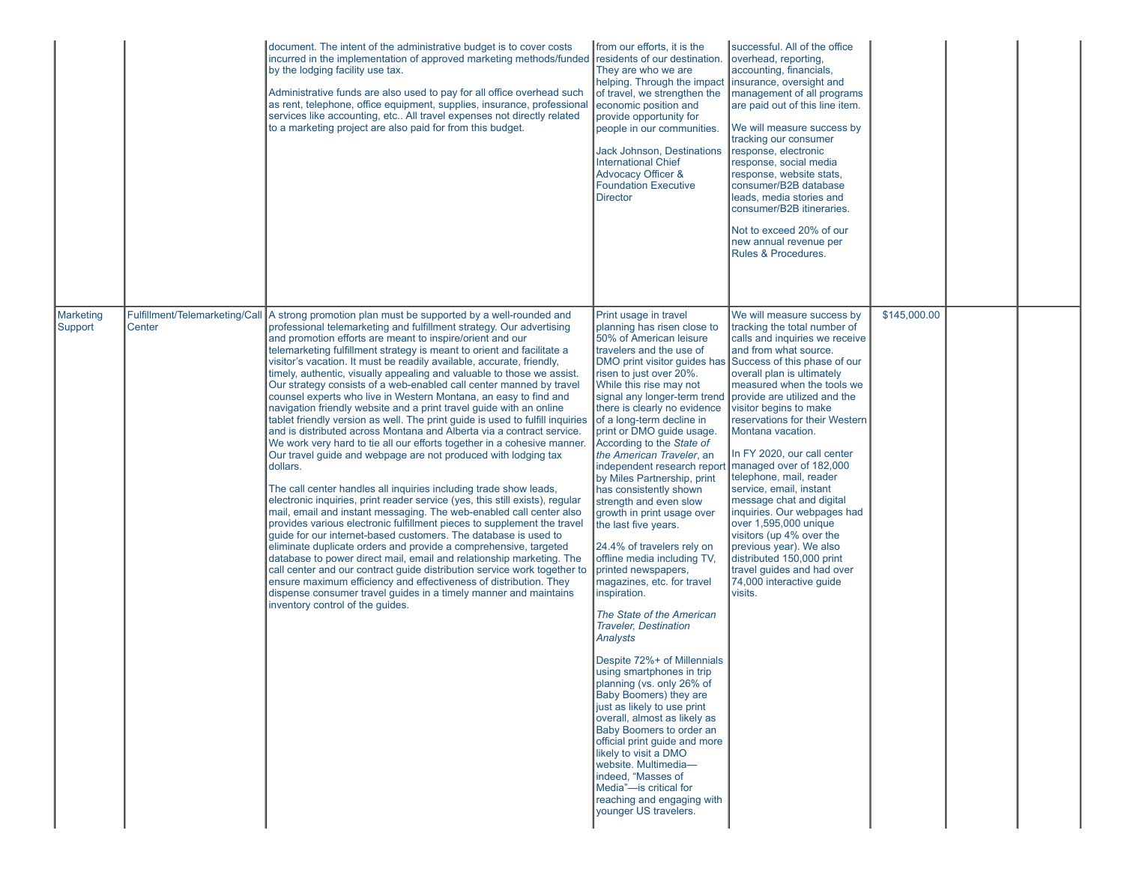|                             |        | document. The intent of the administrative budget is to cover costs<br>incurred in the implementation of approved marketing methods/funded<br>by the lodging facility use tax.<br>Administrative funds are also used to pay for all office overhead such<br>as rent, telephone, office equipment, supplies, insurance, professional<br>services like accounting, etc All travel expenses not directly related<br>to a marketing project are also paid for from this budget.                                                                                                                                                                                                                                                                                                                                                                                                                                                                                                                                                                                                                                                                                                                                                                                                                                                                                                                                                                                                                                                                                                                                                                                                                                                                                                                                    | from our efforts, it is the<br>residents of our destination.<br>They are who we are<br>helping. Through the impact linsurance, oversight and<br>of travel, we strengthen the<br>economic position and<br>provide opportunity for<br>people in our communities.<br><b>Jack Johnson, Destinations</b><br><b>International Chief</b><br><b>Advocacy Officer &amp;</b><br><b>Foundation Executive</b><br><b>Director</b>                                                                                                                                                                                                                                                                                                                                                                                                                                                                                                                                                                                                                                                                                                                            | successful. All of the office<br>overhead, reporting,<br>accounting, financials,<br>management of all programs<br>are paid out of this line item.<br>We will measure success by<br>tracking our consumer<br>response, electronic<br>response, social media<br>response, website stats,<br>consumer/B2B database<br>leads, media stories and<br>consumer/B2B itineraries.<br>Not to exceed 20% of our<br>new annual revenue per<br>Rules & Procedures.                                                                                                                                                                                                                                        |              |  |
|-----------------------------|--------|----------------------------------------------------------------------------------------------------------------------------------------------------------------------------------------------------------------------------------------------------------------------------------------------------------------------------------------------------------------------------------------------------------------------------------------------------------------------------------------------------------------------------------------------------------------------------------------------------------------------------------------------------------------------------------------------------------------------------------------------------------------------------------------------------------------------------------------------------------------------------------------------------------------------------------------------------------------------------------------------------------------------------------------------------------------------------------------------------------------------------------------------------------------------------------------------------------------------------------------------------------------------------------------------------------------------------------------------------------------------------------------------------------------------------------------------------------------------------------------------------------------------------------------------------------------------------------------------------------------------------------------------------------------------------------------------------------------------------------------------------------------------------------------------------------------|-------------------------------------------------------------------------------------------------------------------------------------------------------------------------------------------------------------------------------------------------------------------------------------------------------------------------------------------------------------------------------------------------------------------------------------------------------------------------------------------------------------------------------------------------------------------------------------------------------------------------------------------------------------------------------------------------------------------------------------------------------------------------------------------------------------------------------------------------------------------------------------------------------------------------------------------------------------------------------------------------------------------------------------------------------------------------------------------------------------------------------------------------|----------------------------------------------------------------------------------------------------------------------------------------------------------------------------------------------------------------------------------------------------------------------------------------------------------------------------------------------------------------------------------------------------------------------------------------------------------------------------------------------------------------------------------------------------------------------------------------------------------------------------------------------------------------------------------------------|--------------|--|
| <b>Marketing</b><br>Support | Center | Fulfillment/Telemarketing/Call A strong promotion plan must be supported by a well-rounded and<br>professional telemarketing and fulfillment strategy. Our advertising<br>and promotion efforts are meant to inspire/orient and our<br>telemarketing fulfillment strategy is meant to orient and facilitate a<br>visitor's vacation. It must be readily available, accurate, friendly,<br>timely, authentic, visually appealing and valuable to those we assist.<br>Our strategy consists of a web-enabled call center manned by travel<br>counsel experts who live in Western Montana, an easy to find and<br>navigation friendly website and a print travel guide with an online<br>tablet friendly version as well. The print guide is used to fulfill inquiries of a long-term decline in<br>and is distributed across Montana and Alberta via a contract service.<br>We work very hard to tie all our efforts together in a cohesive manner.<br>Our travel guide and webpage are not produced with lodging tax<br>dollars.<br>The call center handles all inquiries including trade show leads,<br>electronic inquiries, print reader service (yes, this still exists), regular<br>mail, email and instant messaging. The web-enabled call center also<br>provides various electronic fulfillment pieces to supplement the travel<br>guide for our internet-based customers. The database is used to<br>eliminate duplicate orders and provide a comprehensive, targeted<br>database to power direct mail, email and relationship marketing. The<br>call center and our contract guide distribution service work together to<br>ensure maximum efficiency and effectiveness of distribution. They<br>dispense consumer travel guides in a timely manner and maintains<br>inventory control of the quides. | Print usage in travel<br>planning has risen close to<br>50% of American leisure<br>travelers and the use of<br>risen to just over 20%.<br>While this rise may not<br>signal any longer-term trend provide are utilized and the<br>there is clearly no evidence<br>print or DMO guide usage.<br>According to the State of<br>the American Traveler, an<br>independent research report<br>by Miles Partnership, print<br>has consistently shown<br>strength and even slow<br>growth in print usage over<br>the last five years.<br>24.4% of travelers rely on<br>offline media including TV,<br>printed newspapers,<br>magazines, etc. for travel<br>inspiration.<br>The State of the American<br><b>Traveler, Destination</b><br>Analysts<br>Despite 72%+ of Millennials<br>using smartphones in trip<br>planning (vs. only 26% of<br>Baby Boomers) they are<br>just as likely to use print<br>overall, almost as likely as<br>Baby Boomers to order an<br>official print guide and more<br>likely to visit a DMO<br>website. Multimedia-<br>Indeed, "Masses of<br>Media"-is critical for<br>reaching and engaging with<br>younger US travelers. | We will measure success by<br>tracking the total number of<br>calls and inquiries we receive<br>and from what source.<br>DMO print visitor quides has Success of this phase of our<br>overall plan is ultimately<br>measured when the tools we<br>visitor begins to make<br>reservations for their Western<br>Montana vacation.<br>In FY 2020, our call center<br>managed over of 182,000<br>telephone, mail, reader<br>service, email, instant<br>message chat and digital<br>inquiries. Our webpages had<br>over 1,595,000 unique<br>visitors (up 4% over the<br>previous year). We also<br>distributed 150,000 print<br>travel guides and had over<br>74,000 interactive guide<br>visits. | \$145,000.00 |  |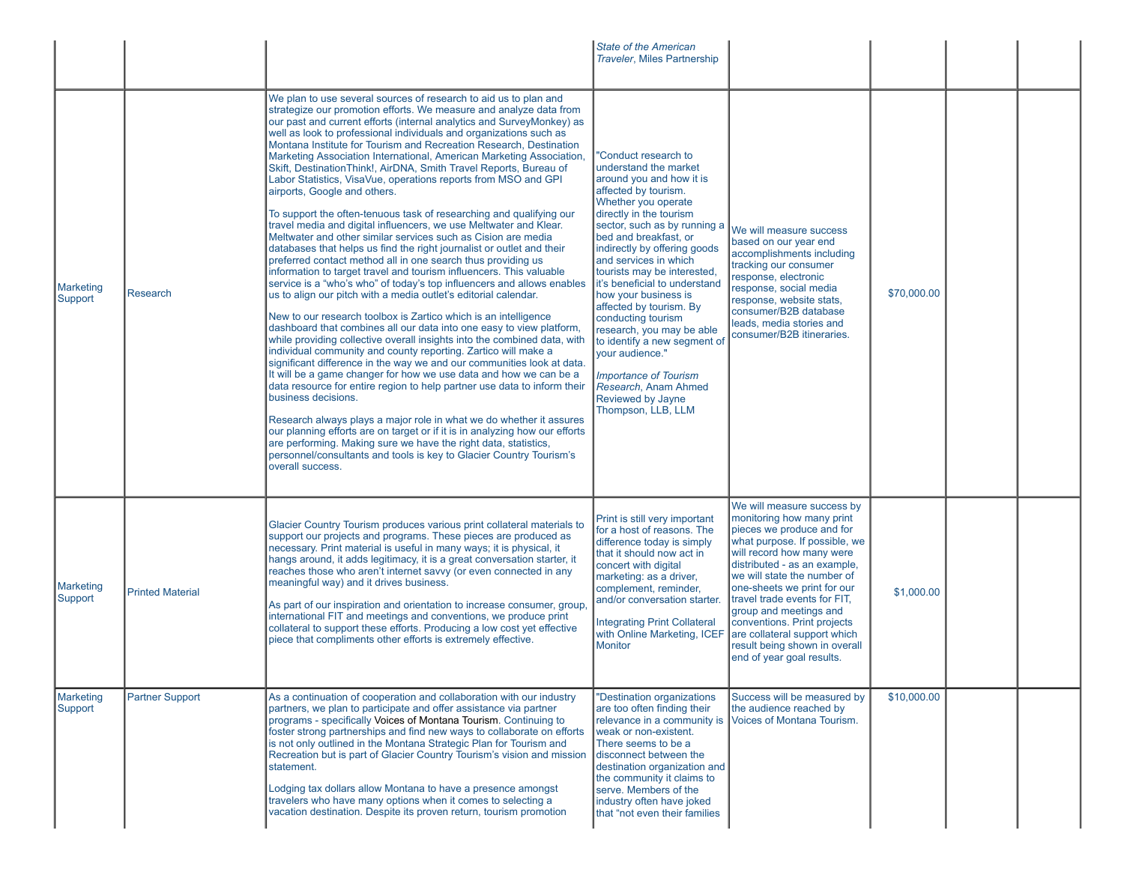|                             |                         |                                                                                                                                                                                                                                                                                                                                                                                                                                                                                                                                                                                                                                                                                                                                                                                                                                                                                                                                                                                                                                                                                                                                                                                                                                                                                                                                                                                                                                                                                                                                                                                                                                                                                                                                                                                                                                                                                                                                                                                                                                                     | <b>State of the American</b><br><b>Traveler, Miles Partnership</b>                                                                                                                                                                                                                                                                                                                                                                                                                                                                                                                                |                                                                                                                                                                                                                                                                                                                                                                                                                                                                     |             |  |
|-----------------------------|-------------------------|-----------------------------------------------------------------------------------------------------------------------------------------------------------------------------------------------------------------------------------------------------------------------------------------------------------------------------------------------------------------------------------------------------------------------------------------------------------------------------------------------------------------------------------------------------------------------------------------------------------------------------------------------------------------------------------------------------------------------------------------------------------------------------------------------------------------------------------------------------------------------------------------------------------------------------------------------------------------------------------------------------------------------------------------------------------------------------------------------------------------------------------------------------------------------------------------------------------------------------------------------------------------------------------------------------------------------------------------------------------------------------------------------------------------------------------------------------------------------------------------------------------------------------------------------------------------------------------------------------------------------------------------------------------------------------------------------------------------------------------------------------------------------------------------------------------------------------------------------------------------------------------------------------------------------------------------------------------------------------------------------------------------------------------------------------|---------------------------------------------------------------------------------------------------------------------------------------------------------------------------------------------------------------------------------------------------------------------------------------------------------------------------------------------------------------------------------------------------------------------------------------------------------------------------------------------------------------------------------------------------------------------------------------------------|---------------------------------------------------------------------------------------------------------------------------------------------------------------------------------------------------------------------------------------------------------------------------------------------------------------------------------------------------------------------------------------------------------------------------------------------------------------------|-------------|--|
| <b>Marketing</b><br>Support | Research                | We plan to use several sources of research to aid us to plan and<br>strategize our promotion efforts. We measure and analyze data from<br>our past and current efforts (internal analytics and SurveyMonkey) as<br>well as look to professional individuals and organizations such as<br>Montana Institute for Tourism and Recreation Research, Destination<br>Marketing Association International, American Marketing Association,<br>Skift, DestinationThink!, AirDNA, Smith Travel Reports, Bureau of<br>Labor Statistics, VisaVue, operations reports from MSO and GPI<br>airports, Google and others.<br>To support the often-tenuous task of researching and qualifying our<br>travel media and digital influencers, we use Meltwater and Klear.<br>Meltwater and other similar services such as Cision are media<br>databases that helps us find the right journalist or outlet and their<br>preferred contact method all in one search thus providing us<br>information to target travel and tourism influencers. This valuable<br>service is a "who's who" of today's top influencers and allows enables<br>us to align our pitch with a media outlet's editorial calendar.<br>New to our research toolbox is Zartico which is an intelligence<br>dashboard that combines all our data into one easy to view platform,<br>while providing collective overall insights into the combined data, with<br>individual community and county reporting. Zartico will make a<br>significant difference in the way we and our communities look at data.<br>It will be a game changer for how we use data and how we can be a<br>data resource for entire region to help partner use data to inform their<br>business decisions.<br>Research always plays a major role in what we do whether it assures<br>our planning efforts are on target or if it is in analyzing how our efforts<br>are performing. Making sure we have the right data, statistics,<br>personnel/consultants and tools is key to Glacier Country Tourism's<br>overall success. | "Conduct research to<br>understand the market<br>around you and how it is<br>affected by tourism.<br>Whether you operate<br>directly in the tourism<br>sector, such as by running a<br>bed and breakfast, or<br>indirectly by offering goods<br>and services in which<br>tourists may be interested,<br>it's beneficial to understand<br>how your business is<br>affected by tourism. By<br>conducting tourism<br>research, you may be able<br>to identify a new segment of<br>vour audience."<br><b>Importance of Tourism</b><br>Research, Anam Ahmed<br>Reviewed by Jayne<br>Thompson, LLB, LLM | We will measure success<br>based on our year end<br>accomplishments including<br>tracking our consumer<br>response, electronic<br>response, social media<br>response, website stats,<br>consumer/B2B database<br>leads, media stories and<br>consumer/B2B itineraries.                                                                                                                                                                                              | \$70,000.00 |  |
| <b>Marketing</b><br>Support | <b>Printed Material</b> | Glacier Country Tourism produces various print collateral materials to<br>support our projects and programs. These pieces are produced as<br>necessary. Print material is useful in many ways; it is physical, it<br>hangs around, it adds legitimacy, it is a great conversation starter, it<br>reaches those who aren't internet savvy (or even connected in any<br>meaningful way) and it drives business.<br>As part of our inspiration and orientation to increase consumer, group,<br>international FIT and meetings and conventions, we produce print<br>collateral to support these efforts. Producing a low cost yet effective<br>piece that compliments other efforts is extremely effective.                                                                                                                                                                                                                                                                                                                                                                                                                                                                                                                                                                                                                                                                                                                                                                                                                                                                                                                                                                                                                                                                                                                                                                                                                                                                                                                                             | Print is still very important<br>for a host of reasons. The<br>difference today is simply<br>that it should now act in<br>concert with digital<br>marketing: as a driver,<br>complement, reminder,<br>and/or conversation starter.<br><b>Integrating Print Collateral</b><br><b>Monitor</b>                                                                                                                                                                                                                                                                                                       | We will measure success by<br>monitoring how many print<br>pieces we produce and for<br>what purpose. If possible, we<br>will record how many were<br>distributed - as an example,<br>we will state the number of<br>one-sheets we print for our<br>travel trade events for FIT,<br>group and meetings and<br>conventions. Print projects<br>with Online Marketing, ICEF are collateral support which<br>result being shown in overall<br>end of year goal results. | \$1,000.00  |  |
| <b>Marketing</b><br>Support | Partner Support         | As a continuation of cooperation and collaboration with our industry<br>partners, we plan to participate and offer assistance via partner<br>programs - specifically Voices of Montana Tourism. Continuing to<br>foster strong partnerships and find new ways to collaborate on efforts<br>is not only outlined in the Montana Strategic Plan for Tourism and<br>Recreation but is part of Glacier Country Tourism's vision and mission<br>statement.<br>Lodging tax dollars allow Montana to have a presence amongst<br>travelers who have many options when it comes to selecting a<br>vacation destination. Despite its proven return, tourism promotion                                                                                                                                                                                                                                                                                                                                                                                                                                                                                                                                                                                                                                                                                                                                                                                                                                                                                                                                                                                                                                                                                                                                                                                                                                                                                                                                                                                         | "Destination organizations<br>are too often finding their<br>weak or non-existent.<br>There seems to be a<br>disconnect between the<br>destination organization and<br>the community it claims to<br>serve. Members of the<br>industry often have joked<br>that "not even their families                                                                                                                                                                                                                                                                                                          | Success will be measured by<br>the audience reached by<br>relevance in a community is Voices of Montana Tourism.                                                                                                                                                                                                                                                                                                                                                    | \$10,000.00 |  |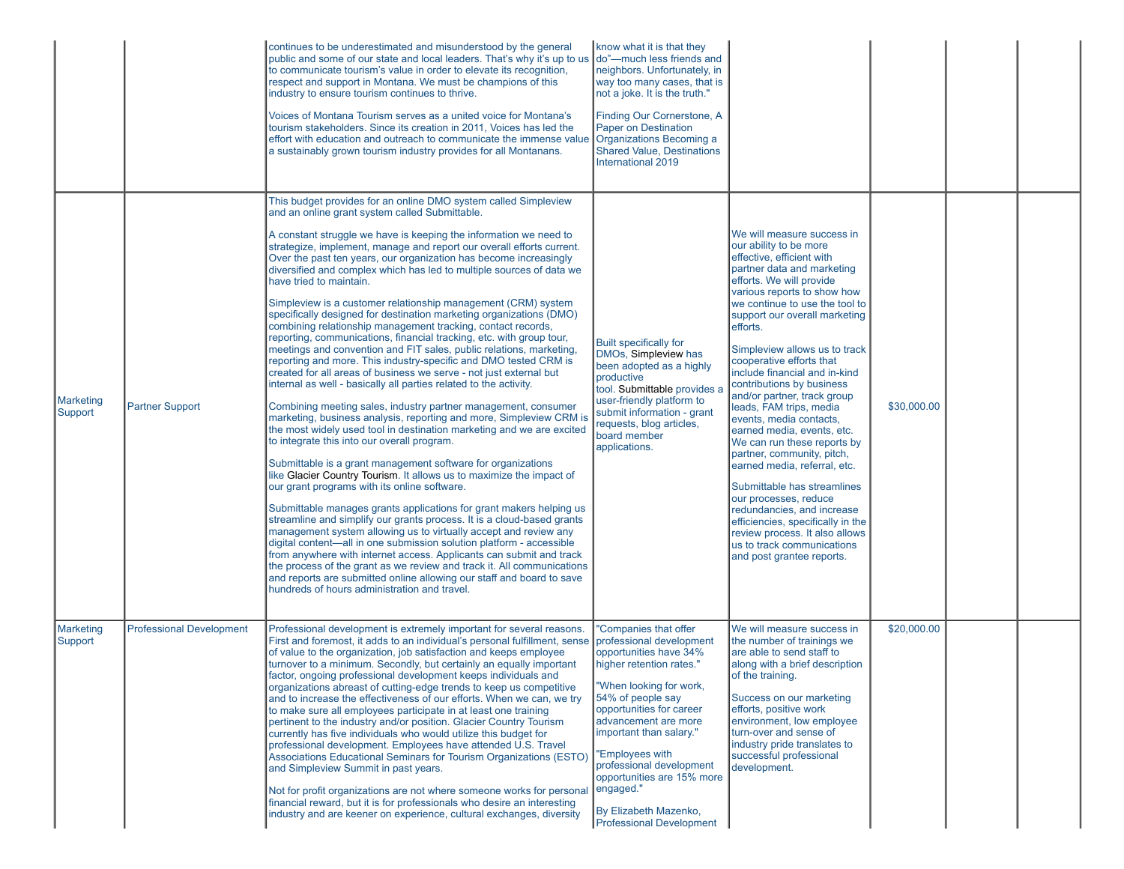|                             |                                 | continues to be underestimated and misunderstood by the general<br>public and some of our state and local leaders. That's why it's up to us $\vert$ do"—much less friends and<br>to communicate tourism's value in order to elevate its recognition,<br>respect and support in Montana. We must be champions of this<br>industry to ensure tourism continues to thrive.<br>Voices of Montana Tourism serves as a united voice for Montana's<br>tourism stakeholders. Since its creation in 2011, Voices has led the<br>effort with education and outreach to communicate the immense value   Organizations Becoming a<br>a sustainably grown tourism industry provides for all Montanans.                                                                                                                                                                                                                                                                                                                                                                                                                                                                                                                                                                                                                                                                                                                                                                                                                                                                                                                                                                                                                                                                                                                                                                                                                                                                                                                                                     | know what it is that they<br>neighbors. Unfortunately, in<br>way too many cases, that is<br>not a joke. It is the truth."<br>Finding Our Cornerstone, A<br><b>Paper on Destination</b><br>Shared Value, Destinations<br>International 2019                                                                                                                                            |                                                                                                                                                                                                                                                                                                                                                                                                                                                                                                                                                                                                                                                                                                                                                                                                                              |             |  |
|-----------------------------|---------------------------------|-----------------------------------------------------------------------------------------------------------------------------------------------------------------------------------------------------------------------------------------------------------------------------------------------------------------------------------------------------------------------------------------------------------------------------------------------------------------------------------------------------------------------------------------------------------------------------------------------------------------------------------------------------------------------------------------------------------------------------------------------------------------------------------------------------------------------------------------------------------------------------------------------------------------------------------------------------------------------------------------------------------------------------------------------------------------------------------------------------------------------------------------------------------------------------------------------------------------------------------------------------------------------------------------------------------------------------------------------------------------------------------------------------------------------------------------------------------------------------------------------------------------------------------------------------------------------------------------------------------------------------------------------------------------------------------------------------------------------------------------------------------------------------------------------------------------------------------------------------------------------------------------------------------------------------------------------------------------------------------------------------------------------------------------------|---------------------------------------------------------------------------------------------------------------------------------------------------------------------------------------------------------------------------------------------------------------------------------------------------------------------------------------------------------------------------------------|------------------------------------------------------------------------------------------------------------------------------------------------------------------------------------------------------------------------------------------------------------------------------------------------------------------------------------------------------------------------------------------------------------------------------------------------------------------------------------------------------------------------------------------------------------------------------------------------------------------------------------------------------------------------------------------------------------------------------------------------------------------------------------------------------------------------------|-------------|--|
| <b>Marketing</b><br>Support | <b>Partner Support</b>          | This budget provides for an online DMO system called Simpleview<br>and an online grant system called Submittable.<br>A constant struggle we have is keeping the information we need to<br>strategize, implement, manage and report our overall efforts current.<br>Over the past ten years, our organization has become increasingly<br>diversified and complex which has led to multiple sources of data we<br>have tried to maintain.<br>Simpleview is a customer relationship management (CRM) system<br>specifically designed for destination marketing organizations (DMO)<br>combining relationship management tracking, contact records,<br>reporting, communications, financial tracking, etc. with group tour,<br>meetings and convention and FIT sales, public relations, marketing,<br>reporting and more. This industry-specific and DMO tested CRM is<br>created for all areas of business we serve - not just external but<br>internal as well - basically all parties related to the activity.<br>Combining meeting sales, industry partner management, consumer<br>marketing, business analysis, reporting and more, Simpleview CRM is<br>the most widely used tool in destination marketing and we are excited<br>to integrate this into our overall program.<br>Submittable is a grant management software for organizations<br>like Glacier Country Tourism. It allows us to maximize the impact of<br>our grant programs with its online software.<br>Submittable manages grants applications for grant makers helping us<br>streamline and simplify our grants process. It is a cloud-based grants<br>management system allowing us to virtually accept and review any<br>digital content—all in one submission solution platform - accessible<br>from anywhere with internet access. Applicants can submit and track<br>the process of the grant as we review and track it. All communications<br>and reports are submitted online allowing our staff and board to save<br>hundreds of hours administration and travel. | <b>Built specifically for</b><br>DMOs, Simpleview has<br>been adopted as a highly<br>productive<br>tool. Submittable provides<br>user-friendly platform to<br>submit information - grant<br>requests, blog articles,<br>board member<br>applications.                                                                                                                                 | We will measure success in<br>our ability to be more<br>effective, efficient with<br>partner data and marketing<br>efforts. We will provide<br>various reports to show how<br>we continue to use the tool to<br>support our overall marketing<br>efforts.<br>Simpleview allows us to track<br>cooperative efforts that<br>include financial and in-kind<br>contributions by business<br>and/or partner, track group<br>leads, FAM trips, media<br>events, media contacts,<br>earned media, events, etc.<br>We can run these reports by<br>partner, community, pitch,<br>earned media, referral, etc.<br>Submittable has streamlines<br>our processes, reduce<br>redundancies, and increase<br>efficiencies, specifically in the<br>review process. It also allows<br>us to track communications<br>and post grantee reports. | \$30,000.00 |  |
| <b>Marketing</b><br>Support | <b>Professional Development</b> | Professional development is extremely important for several reasons.<br>First and foremost, it adds to an individual's personal fulfillment, sense<br>of value to the organization, job satisfaction and keeps employee<br>turnover to a minimum. Secondly, but certainly an equally important<br>factor, ongoing professional development keeps individuals and<br>organizations abreast of cutting-edge trends to keep us competitive<br>and to increase the effectiveness of our efforts. When we can, we try<br>to make sure all employees participate in at least one training<br>pertinent to the industry and/or position. Glacier Country Tourism<br>currently has five individuals who would utilize this budget for<br>professional development. Employees have attended U.S. Travel<br><b>Associations Educational Seminars for Tourism Organizations (ESTO)</b><br>and Simpleview Summit in past years.<br>Not for profit organizations are not where someone works for personal<br>financial reward, but it is for professionals who desire an interesting<br>industry and are keener on experience, cultural exchanges, diversity                                                                                                                                                                                                                                                                                                                                                                                                                                                                                                                                                                                                                                                                                                                                                                                                                                                                                               | "Companies that offer<br>professional development<br>opportunities have 34%<br>higher retention rates."<br>"When looking for work,<br>54% of people say<br>opportunities for career<br>advancement are more<br>important than salary."<br>"Employees with<br>professional development<br>opportunities are 15% more<br>engaged."<br>By Elizabeth Mazenko,<br>Professional Development | We will measure success in<br>the number of trainings we<br>are able to send staff to<br>along with a brief description<br>∣of the training.<br>Success on our marketing<br>efforts, positive work<br>environment, low employee<br>turn-over and sense of<br>industry pride translates to<br>successful professional<br>development.                                                                                                                                                                                                                                                                                                                                                                                                                                                                                         | \$20,000.00 |  |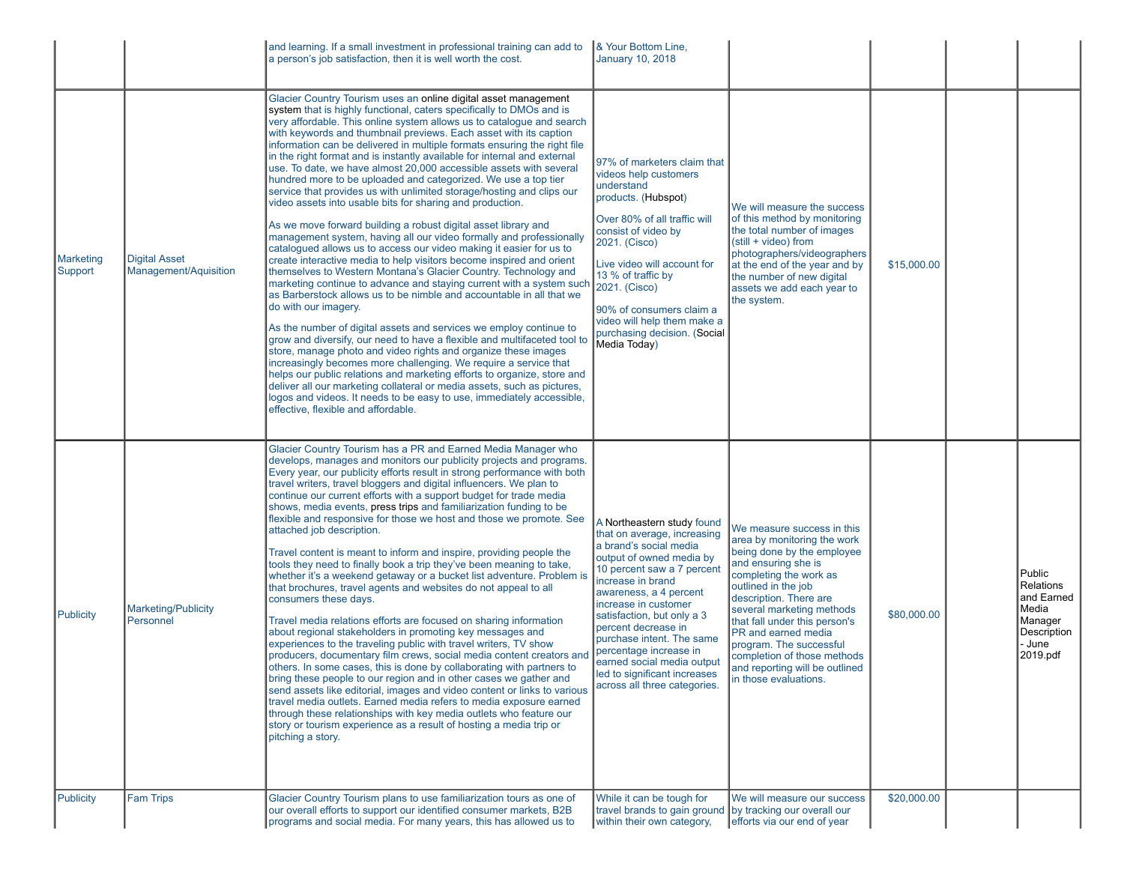|                      |                                               | and learning. If a small investment in professional training can add to<br>a person's job satisfaction, then it is well worth the cost.                                                                                                                                                                                                                                                                                                                                                                                                                                                                                                                                                                                                                                                                                                                                                                                                                                                                                                                                                                                                                                                                                                                                                                                                                                                                                                                                                                                                                                                                                                                                                                                                                                                                                      | & Your Bottom Line,<br><b>January 10, 2018</b>                                                                                                                                                                                                                                                                                                                                                                                 |                                                                                                                                                                                                                                                                                                                                                                                                     |             |                                                                                                   |
|----------------------|-----------------------------------------------|------------------------------------------------------------------------------------------------------------------------------------------------------------------------------------------------------------------------------------------------------------------------------------------------------------------------------------------------------------------------------------------------------------------------------------------------------------------------------------------------------------------------------------------------------------------------------------------------------------------------------------------------------------------------------------------------------------------------------------------------------------------------------------------------------------------------------------------------------------------------------------------------------------------------------------------------------------------------------------------------------------------------------------------------------------------------------------------------------------------------------------------------------------------------------------------------------------------------------------------------------------------------------------------------------------------------------------------------------------------------------------------------------------------------------------------------------------------------------------------------------------------------------------------------------------------------------------------------------------------------------------------------------------------------------------------------------------------------------------------------------------------------------------------------------------------------------|--------------------------------------------------------------------------------------------------------------------------------------------------------------------------------------------------------------------------------------------------------------------------------------------------------------------------------------------------------------------------------------------------------------------------------|-----------------------------------------------------------------------------------------------------------------------------------------------------------------------------------------------------------------------------------------------------------------------------------------------------------------------------------------------------------------------------------------------------|-------------|---------------------------------------------------------------------------------------------------|
| Marketing<br>Support | <b>Digital Asset</b><br>Management/Aquisition | Glacier Country Tourism uses an online digital asset management<br>system that is highly functional, caters specifically to DMOs and is<br>very affordable. This online system allows us to catalogue and search<br>with keywords and thumbnail previews. Each asset with its caption<br>information can be delivered in multiple formats ensuring the right file<br>in the right format and is instantly available for internal and external<br>use. To date, we have almost 20,000 accessible assets with several<br>hundred more to be uploaded and categorized. We use a top tier<br>service that provides us with unlimited storage/hosting and clips our<br>video assets into usable bits for sharing and production.<br>As we move forward building a robust digital asset library and<br>management system, having all our video formally and professionally<br>catalogued allows us to access our video making it easier for us to<br>create interactive media to help visitors become inspired and orient<br>themselves to Western Montana's Glacier Country. Technology and<br>marketing continue to advance and staying current with a system such<br>as Barberstock allows us to be nimble and accountable in all that we<br>do with our imagery.<br>As the number of digital assets and services we employ continue to<br>grow and diversify, our need to have a flexible and multifaceted tool to<br>store, manage photo and video rights and organize these images<br>increasingly becomes more challenging. We require a service that<br>helps our public relations and marketing efforts to organize, store and<br>deliver all our marketing collateral or media assets, such as pictures,<br>logos and videos. It needs to be easy to use, immediately accessible,<br>effective, flexible and affordable. | 97% of marketers claim that<br>videos help customers<br>understand<br>products. (Hubspot)<br>Over 80% of all traffic will<br>consist of video by<br>2021. (Cisco)<br>Live video will account for<br>13 % of traffic by<br>2021. (Cisco)<br>90% of consumers claim a<br>video will help them make a<br>purchasing decision. (Social<br>Media Today)                                                                             | We will measure the success<br>of this method by monitoring<br>the total number of images<br>(still + video) from<br>photographers/videographers<br>at the end of the year and by<br>the number of new digital<br>assets we add each year to<br>the system.                                                                                                                                         | \$15,000.00 |                                                                                                   |
| <b>Publicity</b>     | <b>Marketing/Publicity</b><br>Personnel       | Glacier Country Tourism has a PR and Earned Media Manager who<br>develops, manages and monitors our publicity projects and programs.<br>Every year, our publicity efforts result in strong performance with both<br>travel writers, travel bloggers and digital influencers. We plan to<br>continue our current efforts with a support budget for trade media<br>shows, media events, press trips and familiarization funding to be<br>flexible and responsive for those we host and those we promote. See<br>attached job description.<br>Travel content is meant to inform and inspire, providing people the<br>tools they need to finally book a trip they've been meaning to take,<br>whether it's a weekend getaway or a bucket list adventure. Problem is<br>that brochures, travel agents and websites do not appeal to all<br>consumers these days.<br>Travel media relations efforts are focused on sharing information<br>about regional stakeholders in promoting key messages and<br>experiences to the traveling public with travel writers, TV show<br>producers, documentary film crews, social media content creators and<br>others. In some cases, this is done by collaborating with partners to<br>bring these people to our region and in other cases we gather and<br>send assets like editorial, images and video content or links to various<br>travel media outlets. Earned media refers to media exposure earned<br>through these relationships with key media outlets who feature our<br>story or tourism experience as a result of hosting a media trip or<br>pitching a story.                                                                                                                                                                                                                   | A Northeastern study found<br>that on average, increasing<br>a brand's social media<br>output of owned media by<br>10 percent saw a 7 percent<br>increase in brand<br>awareness, a 4 percent<br>increase in customer<br>satisfaction, but only a 3<br>percent decrease in<br>purchase intent. The same<br>percentage increase in<br>earned social media output<br>led to significant increases<br>across all three categories. | We measure success in this<br>area by monitoring the work<br>being done by the employee<br>and ensuring she is<br>completing the work as<br>outlined in the job<br>description. There are<br>several marketing methods<br>that fall under this person's<br>PR and earned media<br>program. The successful<br>completion of those methods<br>and reporting will be outlined<br>in those evaluations. | \$80,000.00 | Public<br>Relations<br>and Earned<br>Media<br>Manager<br><b>Description</b><br>- June<br>2019.pdf |
| <b>Publicity</b>     | <b>Fam Trips</b>                              | Glacier Country Tourism plans to use familiarization tours as one of<br>our overall efforts to support our identified consumer markets, B2B<br>programs and social media. For many years, this has allowed us to                                                                                                                                                                                                                                                                                                                                                                                                                                                                                                                                                                                                                                                                                                                                                                                                                                                                                                                                                                                                                                                                                                                                                                                                                                                                                                                                                                                                                                                                                                                                                                                                             | While it can be tough for<br>travel brands to gain ground by tracking our overall our<br>within their own category,                                                                                                                                                                                                                                                                                                            | We will measure our success<br>efforts via our end of year                                                                                                                                                                                                                                                                                                                                          | \$20,000.00 |                                                                                                   |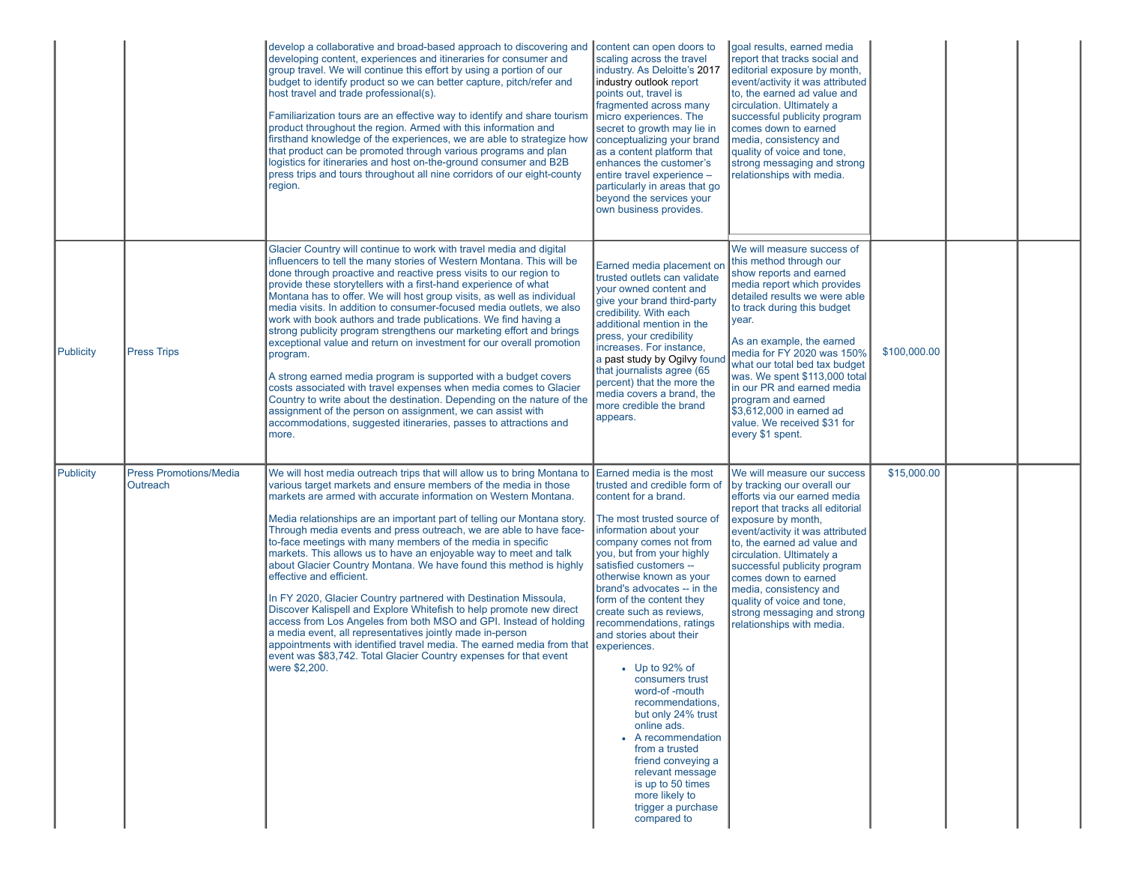|           |                                           | develop a collaborative and broad-based approach to discovering and content can open doors to<br>developing content, experiences and itineraries for consumer and<br>group travel. We will continue this effort by using a portion of our<br>budget to identify product so we can better capture, pitch/refer and<br>host travel and trade professional(s).<br>Familiarization tours are an effective way to identify and share tourism<br>product throughout the region. Armed with this information and<br>firsthand knowledge of the experiences, we are able to strategize how<br>that product can be promoted through various programs and plan<br>logistics for itineraries and host on-the-ground consumer and B2B<br>press trips and tours throughout all nine corridors of our eight-county<br>region.                                                                                                                                                                                                                                                            | scaling across the travel<br>industry. As Deloitte's 2017<br>industry outlook report<br>points out, travel is<br>fragmented across many<br>micro experiences. The<br>secret to growth may lie in<br>conceptualizing your brand<br>as a content platform that<br>enhances the customer's<br>entire travel experience -<br>particularly in areas that go<br>beyond the services your<br>own business provides.                                                                                                                                                                                                                                                               | goal results, earned media<br>report that tracks social and<br>editorial exposure by month,<br>event/activity it was attributed<br>to, the earned ad value and<br>circulation. Ultimately a<br>successful publicity program<br>comes down to earned<br>media, consistency and<br>quality of voice and tone,<br>strong messaging and strong<br>relationships with media.                                                                                  |              |  |
|-----------|-------------------------------------------|----------------------------------------------------------------------------------------------------------------------------------------------------------------------------------------------------------------------------------------------------------------------------------------------------------------------------------------------------------------------------------------------------------------------------------------------------------------------------------------------------------------------------------------------------------------------------------------------------------------------------------------------------------------------------------------------------------------------------------------------------------------------------------------------------------------------------------------------------------------------------------------------------------------------------------------------------------------------------------------------------------------------------------------------------------------------------|----------------------------------------------------------------------------------------------------------------------------------------------------------------------------------------------------------------------------------------------------------------------------------------------------------------------------------------------------------------------------------------------------------------------------------------------------------------------------------------------------------------------------------------------------------------------------------------------------------------------------------------------------------------------------|----------------------------------------------------------------------------------------------------------------------------------------------------------------------------------------------------------------------------------------------------------------------------------------------------------------------------------------------------------------------------------------------------------------------------------------------------------|--------------|--|
| Publicity | <b>Press Trips</b>                        | Glacier Country will continue to work with travel media and digital<br>influencers to tell the many stories of Western Montana. This will be<br>done through proactive and reactive press visits to our region to<br>provide these storytellers with a first-hand experience of what<br>Montana has to offer. We will host group visits, as well as individual<br>media visits. In addition to consumer-focused media outlets, we also<br>work with book authors and trade publications. We find having a<br>strong publicity program strengthens our marketing effort and brings<br>exceptional value and return on investment for our overall promotion<br>program.<br>A strong earned media program is supported with a budget covers<br>costs associated with travel expenses when media comes to Glacier<br>Country to write about the destination. Depending on the nature of the<br>assignment of the person on assignment, we can assist with<br>accommodations, suggested itineraries, passes to attractions and<br>more.                                         | Earned media placement or<br>trusted outlets can validate<br>your owned content and<br>give your brand third-party<br>credibility. With each<br>additional mention in the<br>press, your credibility<br>increases. For instance,<br>a past study by Ogilvy foun<br>that journalists agree (65<br>percent) that the more the<br>media covers a brand, the<br>more credible the brand<br>appears.                                                                                                                                                                                                                                                                            | We will measure success of<br>this method through our<br>show reports and earned<br>media report which provides<br>detailed results we were able<br>to track during this budget<br>year.<br>As an example, the earned<br>media for FY 2020 was 150%<br>what our total bed tax budget<br>was. We spent \$113,000 total<br>in our PR and earned media<br>program and earned<br>\$3,612,000 in earned ad<br>value. We received \$31 for<br>every \$1 spent. | \$100,000.00 |  |
| Publicity | <b>Press Promotions/Media</b><br>Outreach | We will host media outreach trips that will allow us to bring Montana to Earned media is the most<br>various target markets and ensure members of the media in those<br>markets are armed with accurate information on Western Montana.<br>Media relationships are an important part of telling our Montana story.<br>Through media events and press outreach, we are able to have face-<br>to-face meetings with many members of the media in specific<br>markets. This allows us to have an enjoyable way to meet and talk<br>about Glacier Country Montana. We have found this method is highly<br>effective and efficient.<br>In FY 2020, Glacier Country partnered with Destination Missoula,<br>Discover Kalispell and Explore Whitefish to help promote new direct<br>access from Los Angeles from both MSO and GPI. Instead of holding<br>a media event, all representatives jointly made in-person<br>appointments with identified travel media. The earned media from that<br>event was \$83,742. Total Glacier Country expenses for that event<br>were \$2,200. | trusted and credible form of<br>content for a brand.<br>The most trusted source of<br>information about your<br>company comes not from<br>you, but from your highly<br>satisfied customers --<br>otherwise known as your<br>brand's advocates -- in the<br>form of the content they<br>create such as reviews,<br>recommendations, ratings<br>and stories about their<br>experiences.<br>$\bullet$ Up to 92% of<br>consumers trust<br>word-of-mouth<br>recommendations,<br>but only 24% trust<br>online ads.<br>• A recommendation<br>from a trusted<br>friend conveying a<br>relevant message<br>is up to 50 times<br>more likely to<br>trigger a purchase<br>compared to | We will measure our success<br>by tracking our overall our<br>efforts via our earned media<br>report that tracks all editorial<br>exposure by month,<br>event/activity it was attributed<br>to, the earned ad value and<br>circulation. Ultimately a<br>successful publicity program<br>comes down to earned<br>media, consistency and<br>quality of voice and tone,<br>strong messaging and strong<br>relationships with media.                         | \$15,000.00  |  |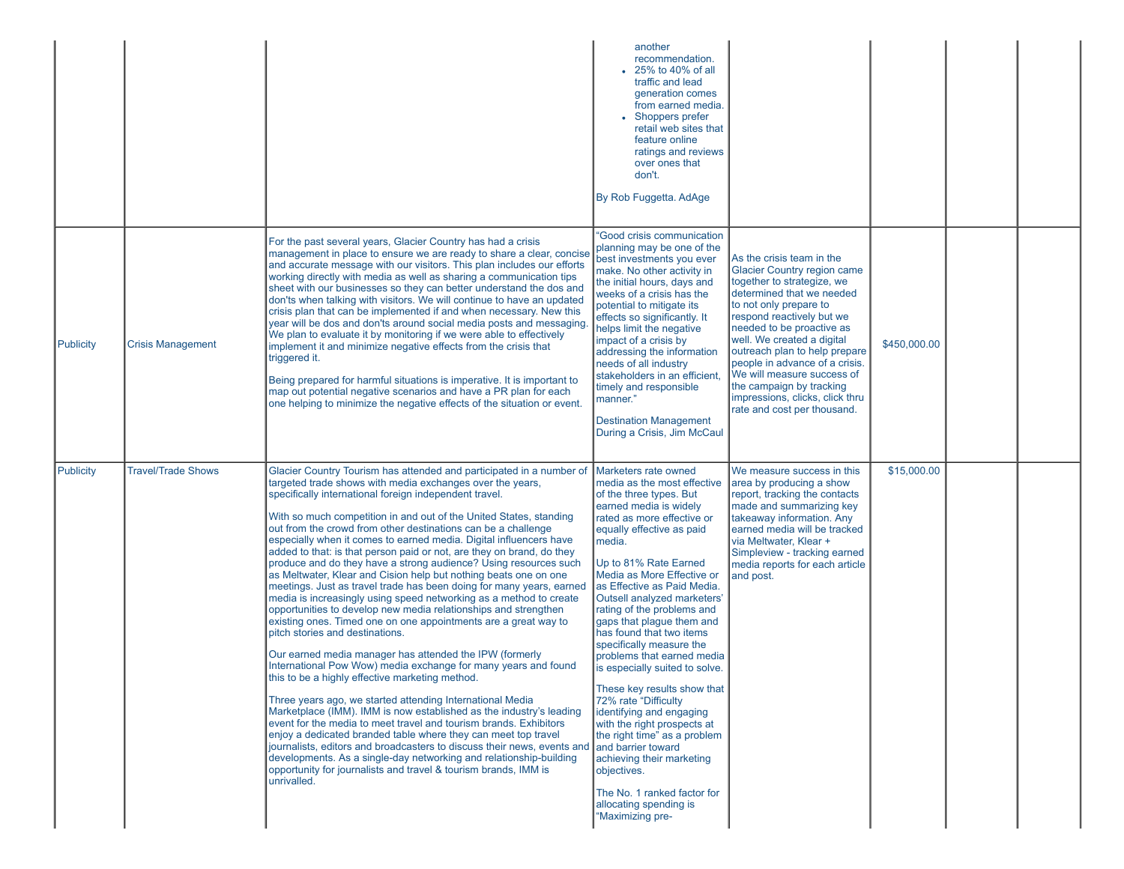|           |                           |                                                                                                                                                                                                                                                                                                                                                                                                                                                                                                                                                                                                                                                                                                                                                                                                                                                                                                                                                                                                                                                                                                                                                                                                                                                                                                                                                                                                                                                                                                                                                                                                                                                                   | another<br>recommendation.<br>• 25% to 40% of all<br>traffic and lead<br>generation comes<br>from earned media.<br>• Shoppers prefer<br>retail web sites that<br>feature online<br>ratings and reviews<br>over ones that<br>don't.<br>By Rob Fuggetta. AdAge                                                                                                                                                                                                                                                                                                                                                                                                                                                                                                      |                                                                                                                                                                                                                                                                                                                                                                                                                                             |              |  |
|-----------|---------------------------|-------------------------------------------------------------------------------------------------------------------------------------------------------------------------------------------------------------------------------------------------------------------------------------------------------------------------------------------------------------------------------------------------------------------------------------------------------------------------------------------------------------------------------------------------------------------------------------------------------------------------------------------------------------------------------------------------------------------------------------------------------------------------------------------------------------------------------------------------------------------------------------------------------------------------------------------------------------------------------------------------------------------------------------------------------------------------------------------------------------------------------------------------------------------------------------------------------------------------------------------------------------------------------------------------------------------------------------------------------------------------------------------------------------------------------------------------------------------------------------------------------------------------------------------------------------------------------------------------------------------------------------------------------------------|-------------------------------------------------------------------------------------------------------------------------------------------------------------------------------------------------------------------------------------------------------------------------------------------------------------------------------------------------------------------------------------------------------------------------------------------------------------------------------------------------------------------------------------------------------------------------------------------------------------------------------------------------------------------------------------------------------------------------------------------------------------------|---------------------------------------------------------------------------------------------------------------------------------------------------------------------------------------------------------------------------------------------------------------------------------------------------------------------------------------------------------------------------------------------------------------------------------------------|--------------|--|
| Publicity | <b>Crisis Management</b>  | For the past several years, Glacier Country has had a crisis<br>management in place to ensure we are ready to share a clear, concise<br>and accurate message with our visitors. This plan includes our efforts<br>working directly with media as well as sharing a communication tips<br>sheet with our businesses so they can better understand the dos and<br>don'ts when talking with visitors. We will continue to have an updated<br>crisis plan that can be implemented if and when necessary. New this<br>year will be dos and don'ts around social media posts and messaging.<br>We plan to evaluate it by monitoring if we were able to effectively<br>implement it and minimize negative effects from the crisis that<br>triggered it.<br>Being prepared for harmful situations is imperative. It is important to<br>map out potential negative scenarios and have a PR plan for each<br>one helping to minimize the negative effects of the situation or event.                                                                                                                                                                                                                                                                                                                                                                                                                                                                                                                                                                                                                                                                                        | "Good crisis communication<br>planning may be one of the<br>best investments you ever<br>make. No other activity in<br>the initial hours, days and<br>weeks of a crisis has the<br>potential to mitigate its<br>effects so significantly. It<br>helps limit the negative<br>impact of a crisis by<br>addressing the information<br>needs of all industry<br>stakeholders in an efficient<br>timely and responsible<br>manner."<br><b>Destination Management</b><br>During a Crisis, Jim McCaul                                                                                                                                                                                                                                                                    | As the crisis team in the<br><b>Glacier Country region came</b><br>together to strategize, we<br>determined that we needed<br>to not only prepare to<br>respond reactively but we<br>needed to be proactive as<br>well. We created a digital<br>outreach plan to help prepare<br>people in advance of a crisis.<br>We will measure success of<br>the campaign by tracking<br>impressions, clicks, click thru<br>rate and cost per thousand. | \$450,000.00 |  |
| Publicity | <b>Travel/Trade Shows</b> | Glacier Country Tourism has attended and participated in a number of<br>targeted trade shows with media exchanges over the years,<br>specifically international foreign independent travel.<br>With so much competition in and out of the United States, standing<br>out from the crowd from other destinations can be a challenge<br>especially when it comes to earned media. Digital influencers have<br>added to that: is that person paid or not, are they on brand, do they<br>produce and do they have a strong audience? Using resources such<br>as Meltwater, Klear and Cision help but nothing beats one on one<br>meetings. Just as travel trade has been doing for many years, earned<br>media is increasingly using speed networking as a method to create<br>opportunities to develop new media relationships and strengthen<br>existing ones. Timed one on one appointments are a great way to<br>pitch stories and destinations.<br>Our earned media manager has attended the IPW (formerly<br>International Pow Wow) media exchange for many years and found<br>this to be a highly effective marketing method.<br>Three years ago, we started attending International Media<br>Marketplace (IMM). IMM is now established as the industry's leading<br>event for the media to meet travel and tourism brands. Exhibitors<br>enjoy a dedicated branded table where they can meet top travel<br>journalists, editors and broadcasters to discuss their news, events and and barrier toward<br>developments. As a single-day networking and relationship-building<br>opportunity for journalists and travel & tourism brands, IMM is<br>unrivalled. | Marketers rate owned<br>media as the most effective<br>of the three types. But<br>earned media is widely<br>rated as more effective or<br>equally effective as paid<br>media.<br>Up to 81% Rate Earned<br>Media as More Effective or<br>Ias Effective as Paid Media.<br>Outsell analyzed marketers'<br>rating of the problems and<br>gaps that plaque them and<br>has found that two items<br>specifically measure the<br>problems that earned media<br>is especially suited to solve.<br>These key results show that<br>72% rate "Difficulty<br>identifying and engaging<br>with the right prospects at<br>the right time" as a problem<br>achieving their marketing<br>objectives.<br>The No. 1 ranked factor for<br>allocating spending is<br>"Maximizing pre- | We measure success in this<br>area by producing a show<br>report, tracking the contacts<br>made and summarizing key<br>takeaway information. Any<br>earned media will be tracked<br>via Meltwater, Klear +<br>Simpleview - tracking earned<br>media reports for each article<br>and post.                                                                                                                                                   | \$15,000.00  |  |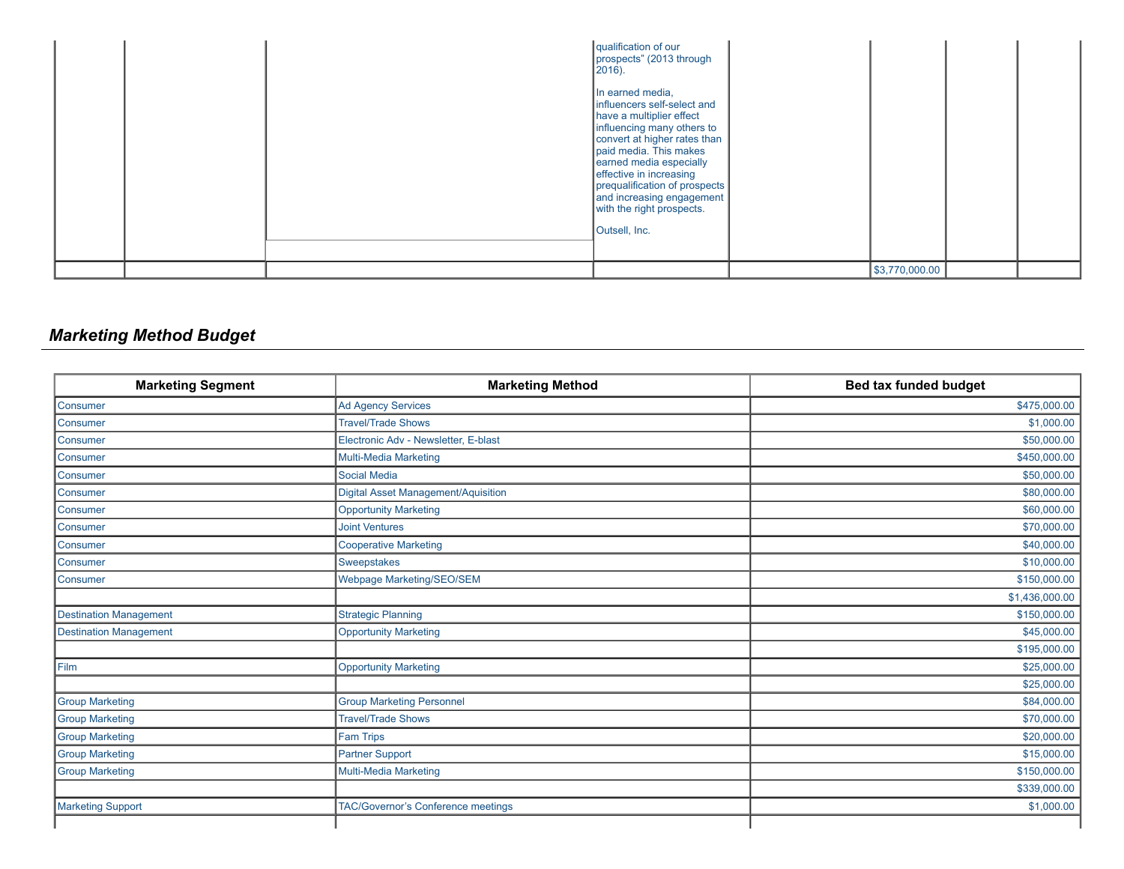|  | qualification of our<br>prospects" (2013 through<br>$[2016]$ .<br>In earned media,<br>influencers self-select and<br>have a multiplier effect<br>influencing many others to<br>convert at higher rates than<br>paid media. This makes<br>earned media especially<br>effective in increasing<br>prequalification of prospects<br>and increasing engagement<br>with the right prospects.<br>Outsell, Inc. |                |  |
|--|---------------------------------------------------------------------------------------------------------------------------------------------------------------------------------------------------------------------------------------------------------------------------------------------------------------------------------------------------------------------------------------------------------|----------------|--|
|  |                                                                                                                                                                                                                                                                                                                                                                                                         | \$3,770,000.00 |  |

# *Marketing Method Budget*

| <b>Marketing Segment</b>      | <b>Marketing Method</b>                    | Bed tax funded budget |
|-------------------------------|--------------------------------------------|-----------------------|
| Consumer                      | <b>Ad Agency Services</b>                  | \$475,000.00          |
| Consumer                      | <b>Travel/Trade Shows</b>                  | \$1,000.00            |
| Consumer                      | Electronic Adv - Newsletter, E-blast       | \$50,000.00           |
| Consumer                      | Multi-Media Marketing                      | \$450,000.00          |
| Consumer                      | <b>Social Media</b>                        | \$50,000.00           |
| Consumer                      | <b>Digital Asset Management/Aquisition</b> | \$80,000.00           |
| Consumer                      | <b>Opportunity Marketing</b>               | \$60,000.00           |
| Consumer                      | <b>Joint Ventures</b>                      | \$70,000.00           |
| Consumer                      | <b>Cooperative Marketing</b>               | \$40,000.00           |
| Consumer                      | <b>Sweepstakes</b>                         | \$10,000.00           |
| Consumer                      | Webpage Marketing/SEO/SEM                  | \$150,000.00          |
|                               |                                            | \$1,436,000.00        |
| <b>Destination Management</b> | <b>Strategic Planning</b>                  | \$150,000.00          |
| <b>Destination Management</b> | <b>Opportunity Marketing</b>               | \$45,000.00           |
|                               |                                            | \$195,000.00          |
| Film                          | <b>Opportunity Marketing</b>               | \$25,000.00           |
|                               |                                            | \$25,000.00           |
| <b>Group Marketing</b>        | <b>Group Marketing Personnel</b>           | \$84,000.00           |
| <b>Group Marketing</b>        | <b>Travel/Trade Shows</b>                  | \$70,000.00           |
| <b>Group Marketing</b>        | <b>Fam Trips</b>                           | \$20,000.00           |
| <b>Group Marketing</b>        | <b>Partner Support</b>                     | \$15,000.00           |
| <b>Group Marketing</b>        | <b>Multi-Media Marketing</b>               | \$150,000.00          |
|                               |                                            | \$339,000.00          |
| Marketing Support             | <b>TAC/Governor's Conference meetings</b>  | \$1,000.00            |
|                               |                                            |                       |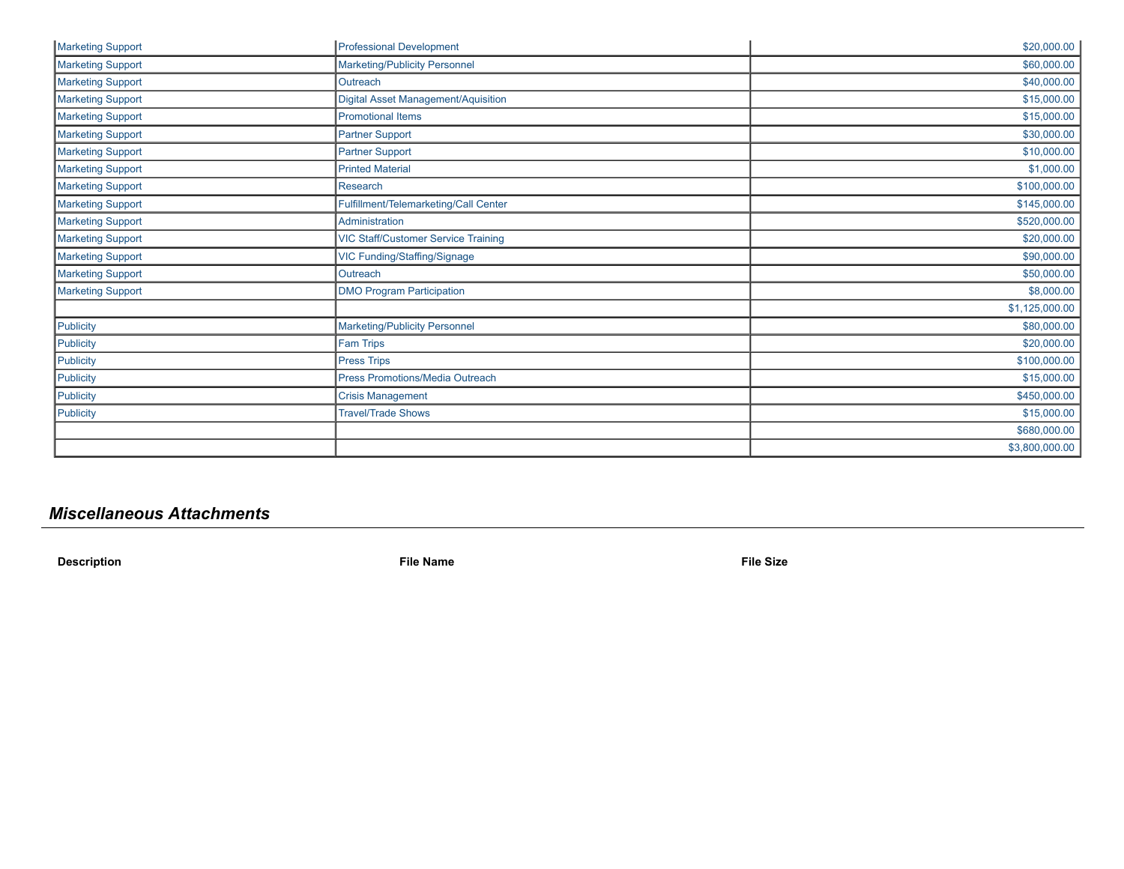| Marketing Support        | <b>Professional Development</b>            | \$20,000.00    |
|--------------------------|--------------------------------------------|----------------|
| Marketing Support        | <b>Marketing/Publicity Personnel</b>       | \$60,000.00    |
| Marketing Support        | Outreach                                   | \$40,000.00    |
| Marketing Support        | Digital Asset Management/Aquisition        | \$15,000.00    |
| Marketing Support        | <b>Promotional Items</b>                   | \$15,000.00    |
| Marketing Support        | <b>Partner Support</b>                     | \$30,000.00    |
| Marketing Support        | <b>Partner Support</b>                     | \$10,000.00    |
| Marketing Support        | <b>Printed Material</b>                    | \$1,000.00     |
| Marketing Support        | Research                                   | \$100,000.00   |
| Marketing Support        | Fulfillment/Telemarketing/Call Center      | \$145,000.00   |
| Marketing Support        | Administration                             | \$520,000.00   |
| <b>Marketing Support</b> | <b>VIC Staff/Customer Service Training</b> | \$20,000.00    |
| <b>Marketing Support</b> | VIC Funding/Staffing/Signage               | \$90,000.00    |
| Marketing Support        | Outreach                                   | \$50,000.00    |
| <b>Marketing Support</b> | <b>DMO Program Participation</b>           | \$8,000.00     |
|                          |                                            | \$1,125,000.00 |
| Publicity                | Marketing/Publicity Personnel              | \$80,000.00    |
| Publicity                | <b>Fam Trips</b>                           | \$20,000.00    |
| Publicity                | <b>Press Trips</b>                         | \$100,000.00   |
| Publicity                | Press Promotions/Media Outreach            | \$15,000.00    |
| Publicity                | <b>Crisis Management</b>                   | \$450,000.00   |
| Publicity                | <b>Travel/Trade Shows</b>                  | \$15,000.00    |
|                          |                                            | \$680,000.00   |
|                          |                                            | \$3,800,000.00 |

# *Miscellaneous Attachments*

**Description File Name File Size**